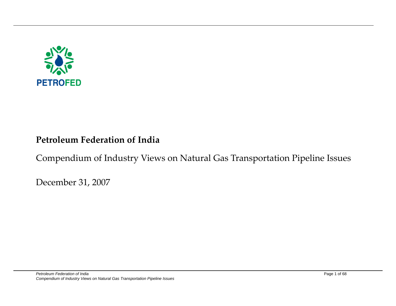

## **Petroleum Federation of India**

## Compendium of Industry Views on Natural Gas Transportation Pipeline Issues

December 31, 2007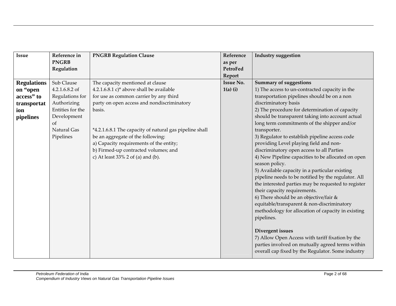| <b>Issue</b>       | Reference in     | <b>PNGRB Regulation Clause</b>                          | Reference        | <b>Industry suggestion</b>                          |
|--------------------|------------------|---------------------------------------------------------|------------------|-----------------------------------------------------|
|                    | <b>PNGRB</b>     |                                                         | as per           |                                                     |
|                    | Regulation       |                                                         | PetroFed         |                                                     |
|                    |                  |                                                         | Report           |                                                     |
| <b>Regulations</b> | Sub Clause       | The capacity mentioned at clause                        | <b>Issue No.</b> | <b>Summary of suggestions</b>                       |
| on "open           | 4.2.1.6.8.2 of   | 4.2.1.6.8.1 c)* above shall be available                | $1(a)$ (i)       | 1) The access to un-contracted capacity in the      |
| access" to         | Regulations for  | for use as common carrier by any third                  |                  | transportation pipelines should be on a non         |
| transportat        | Authorizing      | party on open access and nondiscriminatory              |                  | discriminatory basis                                |
| ion                | Entities for the | basis.                                                  |                  | 2) The procedure for determination of capacity      |
| pipelines          | Development      |                                                         |                  | should be transparent taking into account actual    |
|                    | of               |                                                         |                  | long term commitments of the shipper and/or         |
|                    | Natural Gas      | *4.2.1.6.8.1 The capacity of natural gas pipeline shall |                  | transporter.                                        |
|                    | Pipelines        | be an aggregate of the following:                       |                  | 3) Regulator to establish pipeline access code      |
|                    |                  | a) Capacity requirements of the entity;                 |                  | providing Level playing field and non-              |
|                    |                  | b) Firmed-up contracted volumes; and                    |                  | discriminatory open access to all Parties           |
|                    |                  | c) At least 33% 2 of (a) and (b).                       |                  | 4) New Pipeline capacities to be allocated on open  |
|                    |                  |                                                         |                  | season policy.                                      |
|                    |                  |                                                         |                  | 5) Available capacity in a particular existing      |
|                    |                  |                                                         |                  | pipeline needs to be notified by the regulator. All |
|                    |                  |                                                         |                  | the interested parties may be requested to register |
|                    |                  |                                                         |                  | their capacity requirements.                        |
|                    |                  |                                                         |                  | 6) There should be an objective/fair &              |
|                    |                  |                                                         |                  | equitable/transparent & non-discriminatory          |
|                    |                  |                                                         |                  | methodology for allocation of capacity in existing  |
|                    |                  |                                                         |                  | pipelines.                                          |
|                    |                  |                                                         |                  |                                                     |
|                    |                  |                                                         |                  | Divergent issues                                    |
|                    |                  |                                                         |                  | 7) Allow Open Access with tariff fixation by the    |
|                    |                  |                                                         |                  | parties involved on mutually agreed terms within    |
|                    |                  |                                                         |                  | overall cap fixed by the Regulator. Some industry   |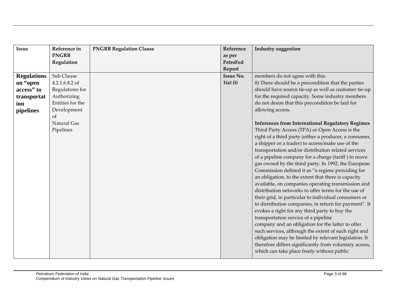| Issue              | Reference in     | <b>PNGRB Regulation Clause</b> | Reference        | <b>Industry suggestion</b>                              |
|--------------------|------------------|--------------------------------|------------------|---------------------------------------------------------|
|                    | <b>PNGRB</b>     |                                | as per           |                                                         |
|                    | Regulation       |                                | PetroFed         |                                                         |
|                    |                  |                                | Report           |                                                         |
| <b>Regulations</b> | Sub Clause       |                                | <b>Issue No.</b> | members do not agree with this.                         |
| on "open           | 4.2.1.6.8.2 of   |                                | $1(a)$ (i)       | 8) There should be a precondition that the parties      |
| access" to         | Regulations for  |                                |                  | should have source tie-up as well as customer tie-up    |
| transportat        | Authorizing      |                                |                  | for the required capacity. Some industry members        |
| ion                | Entities for the |                                |                  | do not desire that this precondition be laid for        |
| pipelines          | Development      |                                |                  | allowing access.                                        |
|                    | <sub>of</sub>    |                                |                  |                                                         |
|                    | Natural Gas      |                                |                  | <b>Inferences from International Regulatory Regimes</b> |
|                    | Pipelines        |                                |                  | Third Party Access (TPA) or Open Access is the          |
|                    |                  |                                |                  | right of a third party (either a producer, a consumer,  |
|                    |                  |                                |                  | a shipper or a trader) to access/make use of the        |
|                    |                  |                                |                  | transportation and/or distribution related services     |
|                    |                  |                                |                  | of a pipeline company for a charge (tariff) to move     |
|                    |                  |                                |                  | gas owned by the third party. In 1992, the European     |
|                    |                  |                                |                  | Commission defined it as "a regime providing for        |
|                    |                  |                                |                  | an obligation, to the extent that there is capacity     |
|                    |                  |                                |                  | available, on companies operating transmission and      |
|                    |                  |                                |                  | distribution networks to offer terms for the use of     |
|                    |                  |                                |                  | their grid, in particular to individual consumers or    |
|                    |                  |                                |                  | to distribution companies, in return for payment". It   |
|                    |                  |                                |                  | evokes a right for any third party to buy the           |
|                    |                  |                                |                  | transportation service of a pipeline                    |
|                    |                  |                                |                  | company and an obligation for the latter to offer       |
|                    |                  |                                |                  | such services, although the extent of such right and    |
|                    |                  |                                |                  | obligation may be limited by relevant legislation. It   |
|                    |                  |                                |                  | therefore differs significantly from voluntary access,  |
|                    |                  |                                |                  | which can take place freely without public              |
|                    |                  |                                |                  |                                                         |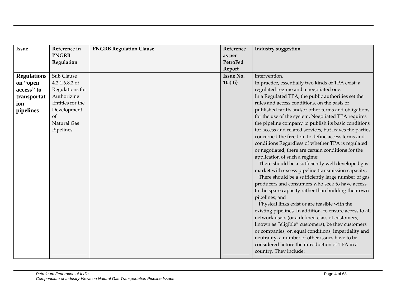| <b>Issue</b>       | Reference in     | <b>PNGRB Regulation Clause</b> | Reference        | Industry suggestion                                      |
|--------------------|------------------|--------------------------------|------------------|----------------------------------------------------------|
|                    | <b>PNGRB</b>     |                                | as per           |                                                          |
|                    | Regulation       |                                | PetroFed         |                                                          |
|                    |                  |                                | Report           |                                                          |
| <b>Regulations</b> | Sub Clause       |                                | <b>Issue No.</b> | intervention.                                            |
| on "open           | 4.2.1.6.8.2 of   |                                | $1(a)$ (i)       | In practice, essentially two kinds of TPA exist: a       |
| access" to         | Regulations for  |                                |                  | regulated regime and a negotiated one.                   |
| transportat        | Authorizing      |                                |                  | In a Regulated TPA, the public authorities set the       |
| ion                | Entities for the |                                |                  | rules and access conditions, on the basis of             |
| pipelines          | Development      |                                |                  | published tariffs and/or other terms and obligations     |
|                    | <sub>of</sub>    |                                |                  | for the use of the system. Negotiated TPA requires       |
|                    | Natural Gas      |                                |                  | the pipeline company to publish its basic conditions     |
|                    | Pipelines        |                                |                  | for access and related services, but leaves the parties  |
|                    |                  |                                |                  | concerned the freedom to define access terms and         |
|                    |                  |                                |                  | conditions Regardless of whether TPA is regulated        |
|                    |                  |                                |                  | or negotiated, there are certain conditions for the      |
|                    |                  |                                |                  | application of such a regime:                            |
|                    |                  |                                |                  | There should be a sufficiently well developed gas        |
|                    |                  |                                |                  | market with excess pipeline transmission capacity;       |
|                    |                  |                                |                  | There should be a sufficiently large number of gas       |
|                    |                  |                                |                  | producers and consumers who seek to have access          |
|                    |                  |                                |                  | to the spare capacity rather than building their own     |
|                    |                  |                                |                  | pipelines; and                                           |
|                    |                  |                                |                  | Physical links exist or are feasible with the            |
|                    |                  |                                |                  | existing pipelines. In addition, to ensure access to all |
|                    |                  |                                |                  | network users (or a defined class of customers,          |
|                    |                  |                                |                  | known as "eligible" customers), be they customers        |
|                    |                  |                                |                  | or companies, on equal conditions, impartiality and      |
|                    |                  |                                |                  | neutrality, a number of other issues have to be          |
|                    |                  |                                |                  | considered before the introduction of TPA in a           |
|                    |                  |                                |                  | country. They include:                                   |
|                    |                  |                                |                  |                                                          |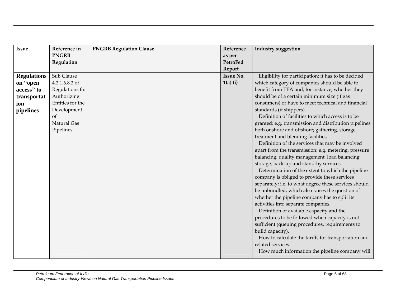| <b>Issue</b>       | Reference in     | <b>PNGRB Regulation Clause</b> | Reference        | <b>Industry suggestion</b>                            |
|--------------------|------------------|--------------------------------|------------------|-------------------------------------------------------|
|                    | <b>PNGRB</b>     |                                | as per           |                                                       |
|                    | Regulation       |                                | <b>PetroFed</b>  |                                                       |
|                    |                  |                                | Report           |                                                       |
| <b>Regulations</b> | Sub Clause       |                                | <b>Issue No.</b> | Eligibility for participation: it has to be decided   |
| on "open           | 4.2.1.6.8.2 of   |                                | $1(a)$ (i)       | which category of companies should be able to         |
| access" to         | Regulations for  |                                |                  | benefit from TPA and, for instance, whether they      |
| transportat        | Authorizing      |                                |                  | should be of a certain minimum size (if gas           |
| ion                | Entities for the |                                |                  | consumers) or have to meet technical and financial    |
| pipelines          | Development      |                                |                  | standards (if shippers).                              |
|                    | <sub>of</sub>    |                                |                  | Definition of facilities to which access is to be     |
|                    | Natural Gas      |                                |                  | granted: e.g. transmission and distribution pipelines |
|                    | Pipelines        |                                |                  | both onshore and offshore; gathering, storage,        |
|                    |                  |                                |                  | treatment and blending facilities.                    |
|                    |                  |                                |                  | Definition of the services that may be involved       |
|                    |                  |                                |                  | apart from the transmission: e.g. metering, pressure  |
|                    |                  |                                |                  | balancing, quality management, load balancing,        |
|                    |                  |                                |                  | storage, back-up and stand-by services.               |
|                    |                  |                                |                  | Determination of the extent to which the pipeline     |
|                    |                  |                                |                  | company is obliged to provide these services          |
|                    |                  |                                |                  | separately; i.e. to what degree these services should |
|                    |                  |                                |                  | be unbundled, which also raises the question of       |
|                    |                  |                                |                  | whether the pipeline company has to split its         |
|                    |                  |                                |                  | activities into separate companies.                   |
|                    |                  |                                |                  | Definition of available capacity and the              |
|                    |                  |                                |                  | procedures to be followed when capacity is not        |
|                    |                  |                                |                  | sufficient (queuing procedures, requirements to       |
|                    |                  |                                |                  | build capacity).                                      |
|                    |                  |                                |                  | How to calculate the tariffs for transportation and   |
|                    |                  |                                |                  | related services.                                     |
|                    |                  |                                |                  | How much information the pipeline company will        |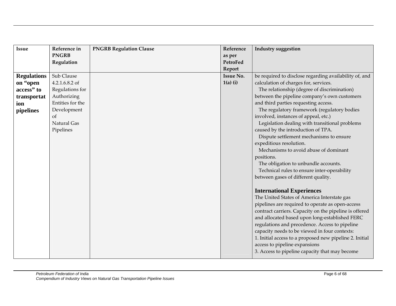| <b>Issue</b>       | Reference in     | <b>PNGRB Regulation Clause</b> | Reference        | <b>Industry suggestion</b>                              |
|--------------------|------------------|--------------------------------|------------------|---------------------------------------------------------|
|                    | <b>PNGRB</b>     |                                | as per           |                                                         |
|                    | Regulation       |                                | PetroFed         |                                                         |
|                    |                  |                                | Report           |                                                         |
| <b>Regulations</b> | Sub Clause       |                                | <b>Issue No.</b> | be required to disclose regarding availability of, and  |
| on "open           | 4.2.1.6.8.2 of   |                                | $1(a)$ (i)       | calculation of charges for, services.                   |
| access" to         | Regulations for  |                                |                  | The relationship (degree of discrimination)             |
| transportat        | Authorizing      |                                |                  | between the pipeline company's own customers            |
| ion                | Entities for the |                                |                  | and third parties requesting access.                    |
| pipelines          | Development      |                                |                  | The regulatory framework (regulatory bodies             |
|                    | <sub>of</sub>    |                                |                  | involved, instances of appeal, etc.)                    |
|                    | Natural Gas      |                                |                  | Legislation dealing with transitional problems          |
|                    | Pipelines        |                                |                  | caused by the introduction of TPA.                      |
|                    |                  |                                |                  | Dispute settlement mechanisms to ensure                 |
|                    |                  |                                |                  | expeditious resolution.                                 |
|                    |                  |                                |                  | Mechanisms to avoid abuse of dominant                   |
|                    |                  |                                |                  | positions.                                              |
|                    |                  |                                |                  | The obligation to unbundle accounts.                    |
|                    |                  |                                |                  | Technical rules to ensure inter-operability             |
|                    |                  |                                |                  | between gases of different quality.                     |
|                    |                  |                                |                  | <b>International Experiences</b>                        |
|                    |                  |                                |                  | The United States of America Interstate gas             |
|                    |                  |                                |                  | pipelines are required to operate as open-access        |
|                    |                  |                                |                  | contract carriers. Capacity on the pipeline is offered  |
|                    |                  |                                |                  | and allocated based upon long-established FERC          |
|                    |                  |                                |                  | regulations and precedence. Access to pipeline          |
|                    |                  |                                |                  | capacity needs to be viewed in four contexts:           |
|                    |                  |                                |                  | 1. Initial access to a proposed new pipeline 2. Initial |
|                    |                  |                                |                  | access to pipeline expansions                           |
|                    |                  |                                |                  | 3. Access to pipeline capacity that may become          |
|                    |                  |                                |                  |                                                         |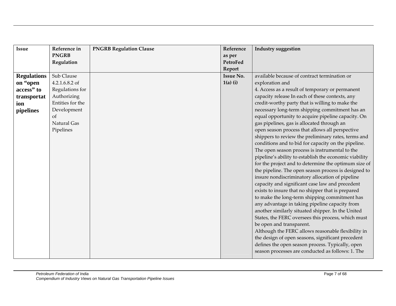| Issue              | Reference in     | <b>PNGRB Regulation Clause</b> | Reference        | <b>Industry suggestion</b>                             |
|--------------------|------------------|--------------------------------|------------------|--------------------------------------------------------|
|                    | <b>PNGRB</b>     |                                | as per           |                                                        |
|                    | Regulation       |                                | PetroFed         |                                                        |
|                    |                  |                                | Report           |                                                        |
| <b>Regulations</b> | Sub Clause       |                                | <b>Issue No.</b> | available because of contract termination or           |
| on "open           | 4.2.1.6.8.2 of   |                                | $1(a)$ (i)       | exploration and                                        |
| access" to         | Regulations for  |                                |                  | 4. Access as a result of temporary or permanent        |
| transportat        | Authorizing      |                                |                  | capacity release In each of these contexts, any        |
| ion                | Entities for the |                                |                  | credit-worthy party that is willing to make the        |
| pipelines          | Development      |                                |                  | necessary long-term shipping commitment has an         |
|                    | <sub>of</sub>    |                                |                  | equal opportunity to acquire pipeline capacity. On     |
|                    | Natural Gas      |                                |                  | gas pipelines, gas is allocated through an             |
|                    | Pipelines        |                                |                  | open season process that allows all perspective        |
|                    |                  |                                |                  | shippers to review the preliminary rates, terms and    |
|                    |                  |                                |                  | conditions and to bid for capacity on the pipeline.    |
|                    |                  |                                |                  | The open season process is instrumental to the         |
|                    |                  |                                |                  | pipeline's ability to establish the economic viability |
|                    |                  |                                |                  | for the project and to determine the optimum size of   |
|                    |                  |                                |                  | the pipeline. The open season process is designed to   |
|                    |                  |                                |                  | insure nondiscriminatory allocation of pipeline        |
|                    |                  |                                |                  | capacity and significant case law and precedent        |
|                    |                  |                                |                  | exists to insure that no shipper that is prepared      |
|                    |                  |                                |                  | to make the long-term shipping commitment has          |
|                    |                  |                                |                  | any advantage in taking pipeline capacity from         |
|                    |                  |                                |                  | another similarly situated shipper. In the United      |
|                    |                  |                                |                  | States, the FERC oversees this process, which must     |
|                    |                  |                                |                  | be open and transparent.                               |
|                    |                  |                                |                  | Although the FERC allows reasonable flexibility in     |
|                    |                  |                                |                  | the design of open seasons, significant precedent      |
|                    |                  |                                |                  | defines the open season process. Typically, open       |
|                    |                  |                                |                  | season processes are conducted as follows: 1. The      |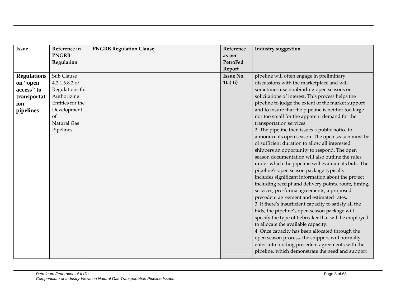| <b>Issue</b>       | Reference in     | <b>PNGRB Regulation Clause</b> | Reference        | <b>Industry suggestion</b>                             |
|--------------------|------------------|--------------------------------|------------------|--------------------------------------------------------|
|                    | <b>PNGRB</b>     |                                | as per           |                                                        |
|                    | Regulation       |                                | PetroFed         |                                                        |
|                    |                  |                                | Report           |                                                        |
| <b>Regulations</b> | Sub Clause       |                                | <b>Issue No.</b> | pipeline will often engage in preliminary              |
| on "open           | 4.2.1.6.8.2 of   |                                | $1(a)$ (i)       | discussions with the marketplace and will              |
| access" to         | Regulations for  |                                |                  | sometimes use nonbinding open seasons or               |
| transportat        | Authorizing      |                                |                  | solicitations of interest. This process helps the      |
| ion                | Entities for the |                                |                  | pipeline to judge the extent of the market support     |
| pipelines          | Development      |                                |                  | and to insure that the pipeline is neither too large   |
|                    | <sub>of</sub>    |                                |                  | nor too small for the apparent demand for the          |
|                    | Natural Gas      |                                |                  | transportation services.                               |
|                    | Pipelines        |                                |                  | 2. The pipeline then issues a public notice to         |
|                    |                  |                                |                  | announce its open season. The open season must be      |
|                    |                  |                                |                  | of sufficient duration to allow all interested         |
|                    |                  |                                |                  | shippers an opportunity to respond. The open           |
|                    |                  |                                |                  | season documentation will also outline the rules       |
|                    |                  |                                |                  | under which the pipeline will evaluate its bids. The   |
|                    |                  |                                |                  | pipeline's open season package typically               |
|                    |                  |                                |                  | includes significant information about the project     |
|                    |                  |                                |                  | including receipt and delivery points, route, timing,  |
|                    |                  |                                |                  | services, pro-forma agreements, a proposed             |
|                    |                  |                                |                  | precedent agreement and estimated rates.               |
|                    |                  |                                |                  | 3. If there's insufficient capacity to satisfy all the |
|                    |                  |                                |                  | bids, the pipeline's open season package will          |
|                    |                  |                                |                  | specify the type of tiebreaker that will be employed   |
|                    |                  |                                |                  | to allocate the available capacity.                    |
|                    |                  |                                |                  | 4. Once capacity has been allocated through the        |
|                    |                  |                                |                  | open season process, the shippers will normally        |
|                    |                  |                                |                  | enter into binding precedent agreements with the       |
|                    |                  |                                |                  | pipeline, which demonstrate the need and support       |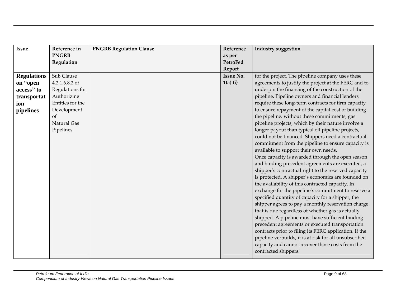| Issue              | Reference in     | <b>PNGRB Regulation Clause</b> | Reference        | <b>Industry suggestion</b>                             |
|--------------------|------------------|--------------------------------|------------------|--------------------------------------------------------|
|                    | <b>PNGRB</b>     |                                | as per           |                                                        |
|                    | Regulation       |                                | PetroFed         |                                                        |
|                    |                  |                                | Report           |                                                        |
| <b>Regulations</b> | Sub Clause       |                                | <b>Issue No.</b> | for the project. The pipeline company uses these       |
| on "open           | 4.2.1.6.8.2 of   |                                | $1(a)$ (i)       | agreements to justify the project at the FERC and to   |
| access" to         | Regulations for  |                                |                  | underpin the financing of the construction of the      |
| transportat        | Authorizing      |                                |                  | pipeline. Pipeline owners and financial lenders        |
| ion                | Entities for the |                                |                  | require these long-term contracts for firm capacity    |
| pipelines          | Development      |                                |                  | to ensure repayment of the capital cost of building    |
|                    | <sub>of</sub>    |                                |                  | the pipeline. without these commitments, gas           |
|                    | Natural Gas      |                                |                  | pipeline projects, which by their nature involve a     |
|                    | Pipelines        |                                |                  | longer payout than typical oil pipeline projects,      |
|                    |                  |                                |                  | could not be financed. Shippers need a contractual     |
|                    |                  |                                |                  | commitment from the pipeline to ensure capacity is     |
|                    |                  |                                |                  | available to support their own needs.                  |
|                    |                  |                                |                  | Once capacity is awarded through the open season       |
|                    |                  |                                |                  | and binding precedent agreements are executed, a       |
|                    |                  |                                |                  | shipper's contractual right to the reserved capacity   |
|                    |                  |                                |                  | is protected. A shipper's economics are founded on     |
|                    |                  |                                |                  | the availability of this contracted capacity. In       |
|                    |                  |                                |                  | exchange for the pipeline's commitment to reserve a    |
|                    |                  |                                |                  | specified quantity of capacity for a shipper, the      |
|                    |                  |                                |                  | shipper agrees to pay a monthly reservation charge     |
|                    |                  |                                |                  | that is due regardless of whether gas is actually      |
|                    |                  |                                |                  | shipped. A pipeline must have sufficient binding       |
|                    |                  |                                |                  | precedent agreements or executed transportation        |
|                    |                  |                                |                  | contracts prior to filing its FERC application. If the |
|                    |                  |                                |                  | pipeline verbuilds, it is at risk for all unsubscribed |
|                    |                  |                                |                  | capacity and cannot recover those costs from the       |
|                    |                  |                                |                  | contracted shippers.                                   |
|                    |                  |                                |                  |                                                        |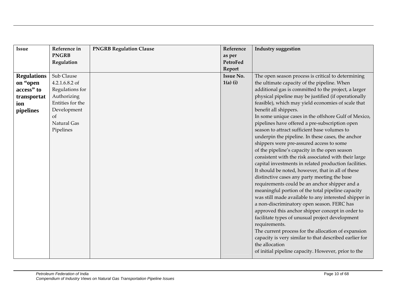| Issue              | Reference in     | <b>PNGRB Regulation Clause</b> | Reference        | <b>Industry suggestion</b>                                                                                                                                                                                                                                                                                 |
|--------------------|------------------|--------------------------------|------------------|------------------------------------------------------------------------------------------------------------------------------------------------------------------------------------------------------------------------------------------------------------------------------------------------------------|
|                    | <b>PNGRB</b>     |                                | as per           |                                                                                                                                                                                                                                                                                                            |
|                    | Regulation       |                                | PetroFed         |                                                                                                                                                                                                                                                                                                            |
|                    |                  |                                | Report           |                                                                                                                                                                                                                                                                                                            |
| <b>Regulations</b> | Sub Clause       |                                | <b>Issue No.</b> | The open season process is critical to determining                                                                                                                                                                                                                                                         |
| on "open           | 4.2.1.6.8.2 of   |                                | $1(a)$ (i)       | the ultimate capacity of the pipeline. When                                                                                                                                                                                                                                                                |
| access" to         | Regulations for  |                                |                  | additional gas is committed to the project, a larger                                                                                                                                                                                                                                                       |
| transportat        | Authorizing      |                                |                  | physical pipeline may be justified (if operationally                                                                                                                                                                                                                                                       |
| ion                | Entities for the |                                |                  | feasible), which may yield economies of scale that                                                                                                                                                                                                                                                         |
| pipelines          | Development      |                                |                  | benefit all shippers.                                                                                                                                                                                                                                                                                      |
|                    | <sub>of</sub>    |                                |                  | In some unique cases in the offshore Gulf of Mexico,                                                                                                                                                                                                                                                       |
|                    | Natural Gas      |                                |                  | pipelines have offered a pre-subscription open                                                                                                                                                                                                                                                             |
|                    | Pipelines        |                                |                  | season to attract sufficient base volumes to                                                                                                                                                                                                                                                               |
|                    |                  |                                |                  | underpin the pipeline. In these cases, the anchor                                                                                                                                                                                                                                                          |
|                    |                  |                                |                  | shippers were pre-assured access to some                                                                                                                                                                                                                                                                   |
|                    |                  |                                |                  |                                                                                                                                                                                                                                                                                                            |
|                    |                  |                                |                  | consistent with the risk associated with their large                                                                                                                                                                                                                                                       |
|                    |                  |                                |                  | capital investments in related production facilities.                                                                                                                                                                                                                                                      |
|                    |                  |                                |                  |                                                                                                                                                                                                                                                                                                            |
|                    |                  |                                |                  | distinctive cases any party meeting the base                                                                                                                                                                                                                                                               |
|                    |                  |                                |                  |                                                                                                                                                                                                                                                                                                            |
|                    |                  |                                |                  |                                                                                                                                                                                                                                                                                                            |
|                    |                  |                                |                  | was still made available to any interested shipper in                                                                                                                                                                                                                                                      |
|                    |                  |                                |                  |                                                                                                                                                                                                                                                                                                            |
|                    |                  |                                |                  |                                                                                                                                                                                                                                                                                                            |
|                    |                  |                                |                  | facilitate types of unusual project development                                                                                                                                                                                                                                                            |
|                    |                  |                                |                  | requirements.                                                                                                                                                                                                                                                                                              |
|                    |                  |                                |                  | The current process for the allocation of expansion                                                                                                                                                                                                                                                        |
|                    |                  |                                |                  | capacity is very similar to that described earlier for                                                                                                                                                                                                                                                     |
|                    |                  |                                |                  | the allocation                                                                                                                                                                                                                                                                                             |
|                    |                  |                                |                  | of initial pipeline capacity. However, prior to the                                                                                                                                                                                                                                                        |
|                    |                  |                                |                  | of the pipeline's capacity in the open season<br>It should be noted, however, that in all of these<br>requirements could be an anchor shipper and a<br>meaningful portion of the total pipeline capacity<br>a non-discriminatory open season. FERC has<br>approved this anchor shipper concept in order to |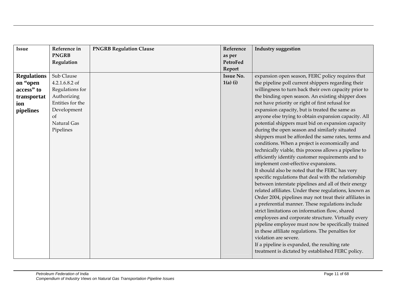| Issue              | Reference in     | <b>PNGRB Regulation Clause</b> | Reference        | <b>Industry suggestion</b>                              |
|--------------------|------------------|--------------------------------|------------------|---------------------------------------------------------|
|                    | <b>PNGRB</b>     |                                | as per           |                                                         |
|                    | Regulation       |                                | PetroFed         |                                                         |
|                    |                  |                                | Report           |                                                         |
| <b>Regulations</b> | Sub Clause       |                                | <b>Issue No.</b> | expansion open season, FERC policy requires that        |
| on "open           | 4.2.1.6.8.2 of   |                                | $1(a)$ (i)       | the pipeline poll current shippers regarding their      |
| access" to         | Regulations for  |                                |                  | willingness to turn back their own capacity prior to    |
| transportat        | Authorizing      |                                |                  | the binding open season. An existing shipper does       |
| ion                | Entities for the |                                |                  | not have priority or right of first refusal for         |
| pipelines          | Development      |                                |                  | expansion capacity, but is treated the same as          |
|                    | <sub>of</sub>    |                                |                  | anyone else trying to obtain expansion capacity. All    |
|                    | Natural Gas      |                                |                  | potential shippers must bid on expansion capacity       |
|                    | Pipelines        |                                |                  | during the open season and similarly situated           |
|                    |                  |                                |                  | shippers must be afforded the same rates, terms and     |
|                    |                  |                                |                  | conditions. When a project is economically and          |
|                    |                  |                                |                  | technically viable, this process allows a pipeline to   |
|                    |                  |                                |                  | efficiently identify customer requirements and to       |
|                    |                  |                                |                  | implement cost-effective expansions.                    |
|                    |                  |                                |                  | It should also be noted that the FERC has very          |
|                    |                  |                                |                  | specific regulations that deal with the relationship    |
|                    |                  |                                |                  | between interstate pipelines and all of their energy    |
|                    |                  |                                |                  | related affiliates. Under these regulations, known as   |
|                    |                  |                                |                  | Order 2004, pipelines may not treat their affiliates in |
|                    |                  |                                |                  | a preferential manner. These regulations include        |
|                    |                  |                                |                  | strict limitations on information flow, shared          |
|                    |                  |                                |                  | employees and corporate structure. Virtually every      |
|                    |                  |                                |                  | pipeline employee must now be specifically trained      |
|                    |                  |                                |                  | in these affiliate regulations. The penalties for       |
|                    |                  |                                |                  | violation are severe.                                   |
|                    |                  |                                |                  | If a pipeline is expanded, the resulting rate           |
|                    |                  |                                |                  | treatment is dictated by established FERC policy.       |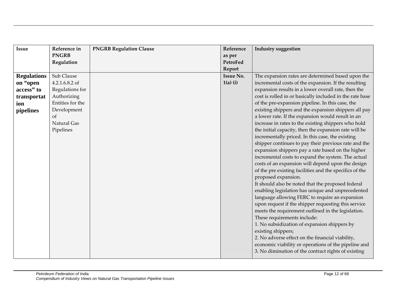| Issue              | Reference in     | <b>PNGRB Regulation Clause</b> | Reference        | <b>Industry suggestion</b>                               |
|--------------------|------------------|--------------------------------|------------------|----------------------------------------------------------|
|                    | <b>PNGRB</b>     |                                | as per           |                                                          |
|                    | Regulation       |                                | PetroFed         |                                                          |
|                    |                  |                                | Report           |                                                          |
| <b>Regulations</b> | Sub Clause       |                                | <b>Issue No.</b> | The expansion rates are determined based upon the        |
| on "open           | 4.2.1.6.8.2 of   |                                | $1(a)$ (i)       | incremental costs of the expansion. If the resulting     |
| access" to         | Regulations for  |                                |                  | expansion results in a lower overall rate, then the      |
| transportat        | Authorizing      |                                |                  | cost is rolled in or basically included in the rate base |
| ion                | Entities for the |                                |                  | of the pre-expansion pipeline. In this case, the         |
| pipelines          | Development      |                                |                  | existing shippers and the expansion shippers all pay     |
|                    | <sub>of</sub>    |                                |                  | a lower rate. If the expansion would result in an        |
|                    | Natural Gas      |                                |                  | increase in rates to the existing shippers who hold      |
|                    | Pipelines        |                                |                  | the initial capacity, then the expansion rate will be    |
|                    |                  |                                |                  | incrementally priced. In this case, the existing         |
|                    |                  |                                |                  | shipper continues to pay their previous rate and the     |
|                    |                  |                                |                  | expansion shippers pay a rate based on the higher        |
|                    |                  |                                |                  | incremental costs to expand the system. The actual       |
|                    |                  |                                |                  | costs of an expansion will depend upon the design        |
|                    |                  |                                |                  | of the pre existing facilities and the specifics of the  |
|                    |                  |                                |                  | proposed expansion.                                      |
|                    |                  |                                |                  | It should also be noted that the proposed federal        |
|                    |                  |                                |                  | enabling legislation has unique and unprecedented        |
|                    |                  |                                |                  | language allowing FERC to require an expansion           |
|                    |                  |                                |                  | upon request if the shipper requesting this service      |
|                    |                  |                                |                  | meets the requirement outlined in the legislation.       |
|                    |                  |                                |                  | These requirements include:                              |
|                    |                  |                                |                  | 1. No subsidization of expansion shippers by             |
|                    |                  |                                |                  | existing shippers;                                       |
|                    |                  |                                |                  | 2. No adverse effect on the financial viability,         |
|                    |                  |                                |                  | economic viability or operations of the pipeline and     |
|                    |                  |                                |                  | 3. No diminution of the contract rights of existing      |
|                    |                  |                                |                  |                                                          |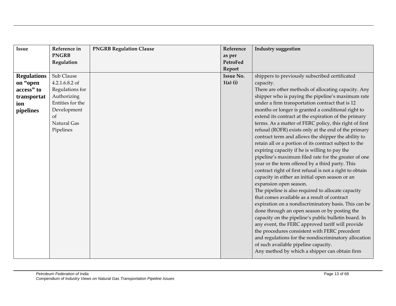| Issue              | Reference in     | <b>PNGRB Regulation Clause</b> | Reference        | <b>Industry suggestion</b>                               |
|--------------------|------------------|--------------------------------|------------------|----------------------------------------------------------|
|                    | <b>PNGRB</b>     |                                | as per           |                                                          |
|                    | Regulation       |                                | <b>PetroFed</b>  |                                                          |
|                    |                  |                                | Report           |                                                          |
| <b>Regulations</b> | Sub Clause       |                                | <b>Issue No.</b> | shippers to previously subscribed certificated           |
| on "open           | 4.2.1.6.8.2 of   |                                | $1(a)$ (i)       | capacity.                                                |
| access" to         | Regulations for  |                                |                  | There are other methods of allocating capacity. Any      |
| transportat        | Authorizing      |                                |                  | shipper who is paying the pipeline's maximum rate        |
| ion                | Entities for the |                                |                  | under a firm transportation contract that is 12          |
| pipelines          | Development      |                                |                  | months or longer is granted a conditional right to       |
|                    | <sub>of</sub>    |                                |                  | extend its contract at the expiration of the primary     |
|                    | Natural Gas      |                                |                  | terms. As a matter of FERC policy, this right of first   |
|                    | Pipelines        |                                |                  | refusal (ROFR) exists only at the end of the primary     |
|                    |                  |                                |                  | contract term and allows the shipper the ability to      |
|                    |                  |                                |                  | retain all or a portion of its contract subject to the   |
|                    |                  |                                |                  | expiring capacity if he is willing to pay the            |
|                    |                  |                                |                  | pipeline's maximum filed rate for the greater of one     |
|                    |                  |                                |                  | year or the term offered by a third party. This          |
|                    |                  |                                |                  | contract right of first refusal is not a right to obtain |
|                    |                  |                                |                  | capacity in either an initial open season or an          |
|                    |                  |                                |                  | expansion open season.                                   |
|                    |                  |                                |                  | The pipeline is also required to allocate capacity       |
|                    |                  |                                |                  | that comes available as a result of contract             |
|                    |                  |                                |                  | expiration on a nondiscriminatory basis. This can be     |
|                    |                  |                                |                  | done through an open season or by posting the            |
|                    |                  |                                |                  | capacity on the pipeline's public bulletin board. In     |
|                    |                  |                                |                  | any event, the FERC approved tariff will provide         |
|                    |                  |                                |                  | the procedures consistent with FERC precedent            |
|                    |                  |                                |                  | and regulations for the nondiscriminatory allocation     |
|                    |                  |                                |                  | of such available pipeline capacity.                     |
|                    |                  |                                |                  | Any method by which a shipper can obtain firm            |
|                    |                  |                                |                  |                                                          |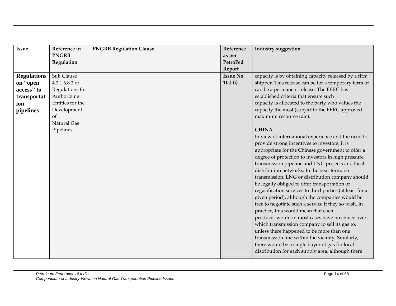| Issue              | Reference in     | <b>PNGRB Regulation Clause</b> | Reference        | <b>Industry suggestion</b>                               |
|--------------------|------------------|--------------------------------|------------------|----------------------------------------------------------|
|                    | <b>PNGRB</b>     |                                | as per           |                                                          |
|                    | Regulation       |                                | PetroFed         |                                                          |
|                    |                  |                                | Report           |                                                          |
| <b>Regulations</b> | Sub Clause       |                                | <b>Issue No.</b> | capacity is by obtaining capacity released by a firm     |
| on "open           | 4.2.1.6.8.2 of   |                                | $1(a)$ (i)       | shipper. This release can be for a temporary term or     |
| access" to         | Regulations for  |                                |                  | can be a permanent release. The FERC has                 |
| transportat        | Authorizing      |                                |                  | established criteria that ensure such                    |
| ion                | Entities for the |                                |                  | capacity is allocated to the party who values the        |
| pipelines          | Development      |                                |                  | capacity the most (subject to the FERC approved          |
|                    | <sub>of</sub>    |                                |                  | maximum recourse rate).                                  |
|                    | Natural Gas      |                                |                  |                                                          |
|                    | Pipelines        |                                |                  | <b>CHINA</b>                                             |
|                    |                  |                                |                  | In view of international experience and the need to      |
|                    |                  |                                |                  | provide strong incentives to investors, it is            |
|                    |                  |                                |                  | appropriate for the Chinese government to offer a        |
|                    |                  |                                |                  | degree of protection to investors in high pressure       |
|                    |                  |                                |                  | transmission pipeline and LNG projects and local         |
|                    |                  |                                |                  | distribution networks. In the near term, no              |
|                    |                  |                                |                  | transmission, LNG or distribution company should         |
|                    |                  |                                |                  | be legally obliged to offer transportation or            |
|                    |                  |                                |                  | regasification services to third parties (at least for a |
|                    |                  |                                |                  | given period), although the companies would be           |
|                    |                  |                                |                  | free to negotiate such a service if they so wish. In     |
|                    |                  |                                |                  | practice, this would mean that each                      |
|                    |                  |                                |                  | producer would in most cases have no choice over         |
|                    |                  |                                |                  | which transmission company to sell its gas to,           |
|                    |                  |                                |                  | unless there happened to be more than one                |
|                    |                  |                                |                  | transmission line within the vicinity. Similarly,        |
|                    |                  |                                |                  | there would be a single buyer of gas for local           |
|                    |                  |                                |                  | distribution for each supply area, although there        |
|                    |                  |                                |                  |                                                          |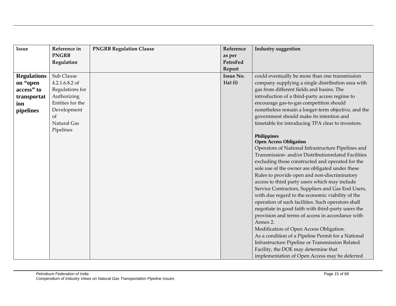| <b>Issue</b>       | Reference in     | <b>PNGRB Regulation Clause</b> | Reference        | <b>Industry suggestion</b>                                                                                |
|--------------------|------------------|--------------------------------|------------------|-----------------------------------------------------------------------------------------------------------|
|                    | <b>PNGRB</b>     |                                | as per           |                                                                                                           |
|                    | Regulation       |                                | PetroFed         |                                                                                                           |
|                    |                  |                                | Report           |                                                                                                           |
| <b>Regulations</b> | Sub Clause       |                                | <b>Issue No.</b> | could eventually be more than one transmission                                                            |
| on "open           | 4.2.1.6.8.2 of   |                                | $1(a)$ (i)       | company supplying a single distribution area with                                                         |
| access" to         | Regulations for  |                                |                  | gas from different fields and basins. The                                                                 |
| transportat        | Authorizing      |                                |                  | introduction of a third-party access regime to                                                            |
| ion                | Entities for the |                                |                  | encourage gas-to-gas competition should                                                                   |
| pipelines          | Development      |                                |                  | nonetheless remain a longer-term objective, and the                                                       |
|                    | of               |                                |                  | government should make its intention and                                                                  |
|                    | Natural Gas      |                                |                  | timetable for introducing TPA clear to investors.                                                         |
|                    | Pipelines        |                                |                  |                                                                                                           |
|                    |                  |                                |                  | <b>Philippines</b>                                                                                        |
|                    |                  |                                |                  | <b>Open Access Obligation</b>                                                                             |
|                    |                  |                                |                  | Operators of National Infrastructure Pipelines and<br>Transmission- and/or Distributionrelated Facilities |
|                    |                  |                                |                  | excluding those constructed and operated for the                                                          |
|                    |                  |                                |                  | sole use of the owner are obligated under these                                                           |
|                    |                  |                                |                  | Rules to provide open and non-discriminatory                                                              |
|                    |                  |                                |                  | access to third party users which may include                                                             |
|                    |                  |                                |                  | Service Contractors, Suppliers and Gas End Users,                                                         |
|                    |                  |                                |                  | with due regard to the economic viability of the                                                          |
|                    |                  |                                |                  | operation of such facilities. Such operators shall                                                        |
|                    |                  |                                |                  | negotiate in good faith with third-party users the                                                        |
|                    |                  |                                |                  | provision and terms of access in accordance with                                                          |
|                    |                  |                                |                  | Annex 2.                                                                                                  |
|                    |                  |                                |                  | Modification of Open Access Obligation.                                                                   |
|                    |                  |                                |                  | As a condition of a Pipeline Permit for a National                                                        |
|                    |                  |                                |                  | Infrastructure Pipeline or Transmission Related                                                           |
|                    |                  |                                |                  | Facility, the DOE may determine that                                                                      |
|                    |                  |                                |                  | implementation of Open Access may be deferred                                                             |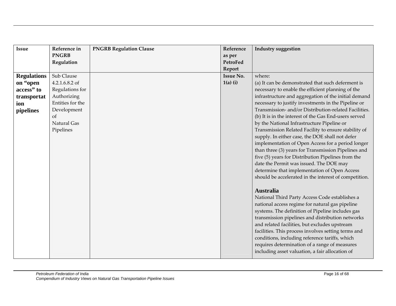| <b>Issue</b>       | Reference in     | <b>PNGRB Regulation Clause</b> | Reference        | Industry suggestion                                   |
|--------------------|------------------|--------------------------------|------------------|-------------------------------------------------------|
|                    | <b>PNGRB</b>     |                                | as per           |                                                       |
|                    | Regulation       |                                | PetroFed         |                                                       |
|                    |                  |                                | Report           |                                                       |
| <b>Regulations</b> | Sub Clause       |                                | <b>Issue No.</b> | where:                                                |
| on "open           | 4.2.1.6.8.2 of   |                                | $1(a)$ (i)       | (a) It can be demonstrated that such deferment is     |
| access" to         | Regulations for  |                                |                  | necessary to enable the efficient planning of the     |
| transportat        | Authorizing      |                                |                  | infrastructure and aggregation of the initial demand  |
| ion                | Entities for the |                                |                  | necessary to justify investments in the Pipeline or   |
| pipelines          | Development      |                                |                  | Transmission- and/or Distribution-related Facilities. |
|                    | <sub>of</sub>    |                                |                  | (b) It is in the interest of the Gas End-users served |
|                    | Natural Gas      |                                |                  | by the National Infrastructure Pipeline or            |
|                    | Pipelines        |                                |                  | Transmission Related Facility to ensure stability of  |
|                    |                  |                                |                  | supply. In either case, the DOE shall not defer       |
|                    |                  |                                |                  | implementation of Open Access for a period longer     |
|                    |                  |                                |                  | than three (3) years for Transmission Pipelines and   |
|                    |                  |                                |                  | five (5) years for Distribution Pipelines from the    |
|                    |                  |                                |                  | date the Permit was issued. The DOE may               |
|                    |                  |                                |                  | determine that implementation of Open Access          |
|                    |                  |                                |                  | should be accelerated in the interest of competition. |
|                    |                  |                                |                  |                                                       |
|                    |                  |                                |                  | <b>Australia</b>                                      |
|                    |                  |                                |                  | National Third Party Access Code establishes a        |
|                    |                  |                                |                  | national access regime for natural gas pipeline       |
|                    |                  |                                |                  | systems. The definition of Pipeline includes gas      |
|                    |                  |                                |                  | transmission pipelines and distribution networks      |
|                    |                  |                                |                  | and related facilities, but excludes upstream         |
|                    |                  |                                |                  | facilities. This process involves setting terms and   |
|                    |                  |                                |                  | conditions, including reference tariffs, which        |
|                    |                  |                                |                  | requires determination of a range of measures         |
|                    |                  |                                |                  | including asset valuation, a fair allocation of       |
|                    |                  |                                |                  |                                                       |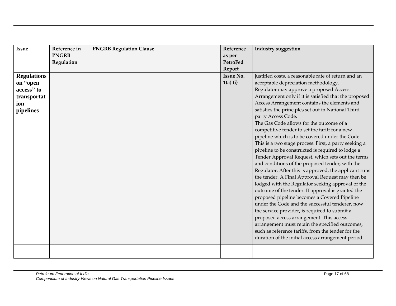| <b>Issue</b><br><b>Regulations</b><br>on "open<br>access" to<br>transportat<br>ion<br>pipelines | Reference in<br><b>PNGRB</b><br>Regulation | <b>PNGRB Regulation Clause</b> | Reference<br>as per<br>PetroFed<br>Report<br><b>Issue No.</b><br>$1(a)$ (i) | <b>Industry suggestion</b><br>justified costs, a reasonable rate of return and an<br>acceptable depreciation methodology.<br>Regulator may approve a proposed Access<br>Arrangement only if it is satisfied that the proposed<br>Access Arrangement contains the elements and<br>satisfies the principles set out in National Third<br>party Access Code.<br>The Gas Code allows for the outcome of a<br>competitive tender to set the tariff for a new<br>pipeline which is to be covered under the Code.<br>This is a two stage process. First, a party seeking a<br>pipeline to be constructed is required to lodge a<br>Tender Approval Request, which sets out the terms<br>and conditions of the proposed tender, with the |
|-------------------------------------------------------------------------------------------------|--------------------------------------------|--------------------------------|-----------------------------------------------------------------------------|----------------------------------------------------------------------------------------------------------------------------------------------------------------------------------------------------------------------------------------------------------------------------------------------------------------------------------------------------------------------------------------------------------------------------------------------------------------------------------------------------------------------------------------------------------------------------------------------------------------------------------------------------------------------------------------------------------------------------------|
|                                                                                                 |                                            |                                |                                                                             | Regulator. After this is approved, the applicant runs<br>the tender. A Final Approval Request may then be<br>lodged with the Regulator seeking approval of the<br>outcome of the tender. If approval is granted the<br>proposed pipeline becomes a Covered Pipeline<br>under the Code and the successful tenderer, now<br>the service provider, is required to submit a<br>proposed access arrangement. This access<br>arrangement must retain the specified outcomes,<br>such as reference tariffs, from the tender for the<br>duration of the initial access arrangement period.                                                                                                                                               |
|                                                                                                 |                                            |                                |                                                                             |                                                                                                                                                                                                                                                                                                                                                                                                                                                                                                                                                                                                                                                                                                                                  |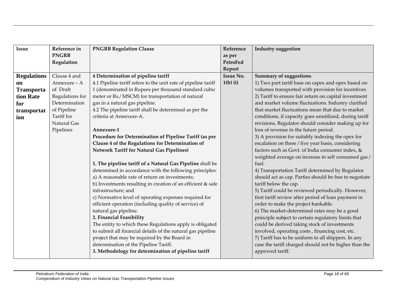| Issue              | Reference in    | <b>PNGRB Regulation Clause</b>                                 | Reference        | <b>Industry suggestion</b>                             |
|--------------------|-----------------|----------------------------------------------------------------|------------------|--------------------------------------------------------|
|                    | <b>PNGRB</b>    |                                                                | as per           |                                                        |
|                    | Regulation      |                                                                | PetroFed         |                                                        |
|                    |                 |                                                                | Report           |                                                        |
| <b>Regulations</b> | Clause 4 and    | 4 Determination of pipeline tariff                             | <b>Issue No.</b> | <b>Summary of suggestions</b>                          |
| <sub>on</sub>      | Annexure - A    | 4.1 Pipeline tariff refers to the unit rate of pipeline tariff | $1(b)$ (i)       | 1) Two part tariff base on capex and opex based on     |
| <b>Transporta</b>  | of Draft        | 1 (denominated in Rupees per thousand standard cubic           |                  | volumes transported with provision for incentives      |
| tion Rate          | Regulations for | meter or Rs./ MSCM) for transportation of natural              |                  | 2) Tariff to ensure fair return on capital investment  |
| for                | Determination   | gas in a natural gas pipeline.                                 |                  | and market volume fluctuations. Industry clarified     |
| transportat        | of Pipeline     | 4.2 The pipeline tariff shall be determined as per the         |                  | that market fluctuations mean that due to market       |
| ion                | Tariff for      | criteria at Annexure-A.                                        |                  | conditions, if capacity goes unutilized, during tariff |
|                    | Natural Gas     |                                                                |                  | revisions, Regulator should consider making up for     |
|                    | Pipelines       | Annexure-1                                                     |                  | loss of revenue in the future period.                  |
|                    |                 | Procedure for Determination of Pipeline Tariff (as per         |                  | 3) A provision for suitably indexing the opex for      |
|                    |                 | Clause 4 of the Regulations for Determination of               |                  | escalation on three / five year basis, considering     |
|                    |                 | <b>Network Tariff for Natural Gas Pipelines)</b>               |                  | factors such as Govt. of India consumer index, &       |
|                    |                 |                                                                |                  | weighted average on increase in self consumed gas /    |
|                    |                 | 1. The pipeline tariff of a Natural Gas Pipeline shall be      |                  | fuel.                                                  |
|                    |                 | determined in accordance with the following principles:        |                  | 4) Transportation Tariff determined by Regulator       |
|                    |                 | a) A reasonable rate of return on investments;                 |                  | should act as cap. Parties should be free to negotiate |
|                    |                 | b) Investments resulting in creation of an efficient & safe    |                  | tariff below the cap.                                  |
|                    |                 | infrastructure; and                                            |                  | 5) Tariff could be reviewed periodically. However,     |
|                    |                 | c) Normative level of operating expenses required for          |                  | first tariff review after period of loan payment in    |
|                    |                 | efficient operation (including quality of service) of          |                  | order to make the project bankable.                    |
|                    |                 | natural gas pipeline.                                          |                  | 6) The market-determined rates may be a good           |
|                    |                 | 2. Financial Feasibility                                       |                  | principle subject to certain regulatory limits that    |
|                    |                 | The entity to which these Regulations apply is obligated       |                  | could be derived taking stock of investments           |
|                    |                 | to submit all financial details of the natural gas pipeline    |                  | involved, operating costs, financing cost, etc.        |
|                    |                 | project that may be required by the Board in                   |                  | 7) Tariff has to be uniform to all shippers. In any    |
|                    |                 | determination of the Pipeline Tariff.                          |                  | case the tariff charged should not be higher than the  |
|                    |                 | 3. Methodology for determination of pipeline tariff            |                  | approved tariff.                                       |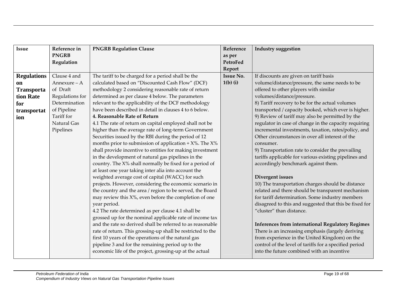| <b>Issue</b>       | Reference in    | <b>PNGRB Regulation Clause</b>                               | Reference        | <b>Industry suggestion</b>                              |
|--------------------|-----------------|--------------------------------------------------------------|------------------|---------------------------------------------------------|
|                    | <b>PNGRB</b>    |                                                              | as per           |                                                         |
|                    | Regulation      |                                                              | <b>PetroFed</b>  |                                                         |
|                    |                 |                                                              | Report           |                                                         |
| <b>Regulations</b> | Clause 4 and    | The tariff to be charged for a period shall be the           | <b>Issue No.</b> | If discounts are given on tariff basis                  |
| on                 | Annexure - A    | calculated based on "Discounted Cash Flow" (DCF)             | $1(b)$ (i)       | volume/distance/pressure, the same needs to be          |
| <b>Transporta</b>  | of Draft        | methodology 2 considering reasonable rate of return          |                  | offered to other players with similar                   |
| tion Rate          | Regulations for | determined as per clause 4 below. The parameters             |                  | volumes/distance/pressure.                              |
| for                | Determination   | relevant to the applicability of the DCF methodology         |                  | 8) Tariff recovery to be for the actual volumes         |
| transportat        | of Pipeline     | have been described in detail in clauses 4 to 6 below.       |                  | transported / capacity booked, which ever is higher.    |
| ion                | Tariff for      | 4. Reasonable Rate of Return                                 |                  | 9) Review of tariff may also be permitted by the        |
|                    | Natural Gas     | 4.1 The rate of return on capital employed shall not be      |                  | regulator in case of change in the capacity requiring   |
|                    | Pipelines       | higher than the average rate of long-term Government         |                  | incremental investments, taxation, rates/policy, and    |
|                    |                 | Securities issued by the RBI during the period of 12         |                  | Other circumstances in over all interest of the         |
|                    |                 | months prior to submission of application + $X$ %. The $X$ % |                  | consumer.                                               |
|                    |                 | shall provide incentive to entities for making investment    |                  | 9) Transportation rate to consider the prevailing       |
|                    |                 | in the development of natural gas pipelines in the           |                  | tariffs applicable for various existing pipelines and   |
|                    |                 | country. The X% shall normally be fixed for a period of      |                  | accordingly benchmark against them.                     |
|                    |                 | at least one year taking inter alia into account the         |                  |                                                         |
|                    |                 | weighted average cost of capital (WACC) for such             |                  | Divergent issues                                        |
|                    |                 | projects. However, considering the economic scenario in      |                  | 10) The transportation charges should be distance       |
|                    |                 | the country and the area / region to be served, the Board    |                  | related and there should be transparent mechanism       |
|                    |                 | may review this X%, even before the completion of one        |                  | for tariff determination. Some industry members         |
|                    |                 | year period.                                                 |                  | disagreed to this and suggested that this be fixed for  |
|                    |                 | 4.2 The rate determined as per clause 4.1 shall be           |                  | "cluster" than distance.                                |
|                    |                 | grossed up for the nominal applicable rate of income tax     |                  |                                                         |
|                    |                 | and the rate so derived shall be referred to as reasonable   |                  | <b>Inferences from international Regulatory Regimes</b> |
|                    |                 | rate of return. This grossing-up shall be restricted to the  |                  | There is an increasing emphasis (largely deriving       |
|                    |                 | first 10 years of the operations of the natural gas          |                  | from experience in the United Kingdom) on the           |
|                    |                 | pipeline 3 and for the remaining period up to the            |                  | control of the level of tariffs for a specified period  |
|                    |                 | economic life of the project, grossing-up at the actual      |                  | into the future combined with an incentive              |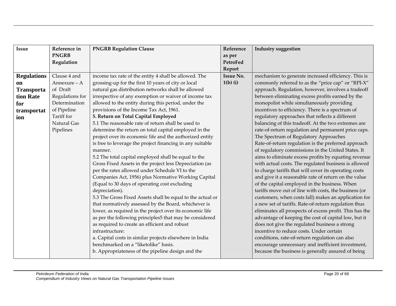| Issue              | Reference in    | <b>PNGRB Regulation Clause</b>                             | Reference        | Industry suggestion                                     |
|--------------------|-----------------|------------------------------------------------------------|------------------|---------------------------------------------------------|
|                    | <b>PNGRB</b>    |                                                            | as per           |                                                         |
|                    | Regulation      |                                                            | PetroFed         |                                                         |
|                    |                 |                                                            | Report           |                                                         |
| <b>Regulations</b> | Clause 4 and    | income tax rate of the entity 4 shall be allowed. The      | <b>Issue No.</b> | mechanism to generate increased efficiency. This is     |
| on                 | Annexure - A    | grossing-up for the first 10 years of city or local        | $1(b)$ (i)       | commonly referred to as the "price cap" or "RPI-X"      |
| <b>Transporta</b>  | of Draft        | natural gas distribution networks shall be allowed         |                  | approach. Regulation, however, involves a tradeoff      |
| tion Rate          | Regulations for | irrespective of any exemption or waiver of income tax      |                  | between eliminating excess profits earned by the        |
| for                | Determination   | allowed to the entity during this period, under the        |                  | monopolist while simultaneously providing               |
| transportat        | of Pipeline     | provisions of the Income Tax Act, 1961.                    |                  | incentives to efficiency. There is a spectrum of        |
| ion                | Tariff for      | 5. Return on Total Capital Employed                        |                  | regulatory approaches that reflects a different         |
|                    | Natural Gas     | 5.1 The reasonable rate of return shall be used to         |                  | balancing of this tradeoff. At the two extremes are     |
|                    | Pipelines       | determine the return on total capital employed in the      |                  | rate-of-return regulation and permanent price caps.     |
|                    |                 | project over its economic life and the authorized entity   |                  | The Spectrum of Regulatory Approaches                   |
|                    |                 | is free to leverage the project financing in any suitable  |                  | Rate-of-return regulation is the preferred approach     |
|                    |                 | manner.                                                    |                  | of regulatory commissions in the United States. It      |
|                    |                 | 5.2 The total capital employed shall be equal to the       |                  | aims to eliminate excess profits by equating revenue    |
|                    |                 | Gross Fixed Assets in the project less Depreciation (as    |                  | with actual costs. The regulated business is allowed    |
|                    |                 | per the rates allowed under Schedule VI to the             |                  | to charge tariffs that will cover its operating costs   |
|                    |                 | Companies Act, 1956) plus Normative Working Capital        |                  | and give it a reasonable rate of return on the value    |
|                    |                 | (Equal to 30 days of operating cost excluding              |                  | of the capital employed in the business. When           |
|                    |                 | depreciation).                                             |                  | tariffs move out of line with costs, the business (or   |
|                    |                 | 5.3 The Gross Fixed Assets shall be equal to the actual or |                  | customers, when costs fall) makes an application for    |
|                    |                 | that normatively assessed by the Board, whichever is       |                  | a new set of tariffs. Rate-of-return regulation thus    |
|                    |                 | lower, as required in the project over its economic life   |                  | eliminates all prospects of excess profit. This has the |
|                    |                 | as per the following principles5 that may be considered    |                  | advantage of keeping the cost of capital low, but it    |
|                    |                 | as required to create an efficient and robust              |                  | does not give the regulated business a strong           |
|                    |                 | infrastructure:                                            |                  | incentive to reduce costs. Under certain                |
|                    |                 | a. Capital costs in similar projects elsewhere in India    |                  | conditions, rate-of-return regulation can also          |
|                    |                 | benchmarked on a "liketolike" basis.                       |                  | encourage unnecessary and inefficient investment,       |
|                    |                 | b. Appropriateness of the pipeline design and the          |                  | because the business is generally assured of being      |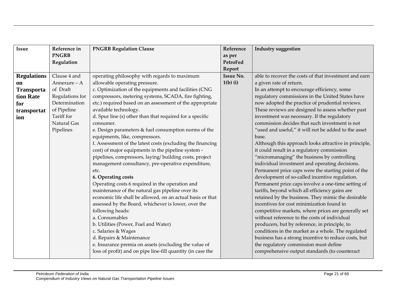| <b>Issue</b>       | Reference in    | <b>PNGRB Regulation Clause</b>                              | Reference        | <b>Industry suggestion</b>                            |
|--------------------|-----------------|-------------------------------------------------------------|------------------|-------------------------------------------------------|
|                    | <b>PNGRB</b>    |                                                             | as per           |                                                       |
|                    | Regulation      |                                                             | <b>PetroFed</b>  |                                                       |
|                    |                 |                                                             | Report           |                                                       |
| <b>Regulations</b> | Clause 4 and    | operating philosophy with regards to maximum                | <b>Issue No.</b> | able to recover the costs of that investment and earn |
| <b>on</b>          | Annexure - A    | allowable operating pressure.                               | $1(b)$ (i)       | a given rate of return.                               |
| <b>Transporta</b>  | of Draft        | c. Optimization of the equipments and facilities (CNG       |                  | In an attempt to encourage efficiency, some           |
| tion Rate          | Regulations for | compressors, metering systems, SCADA, fire fighting,        |                  | regulatory commissions in the United States have      |
| for                | Determination   | etc.) required based on an assessment of the appropriate    |                  | now adopted the practice of prudential reviews.       |
| transportat        | of Pipeline     | available technology.                                       |                  | These reviews are designed to assess whether past     |
| ion                | Tariff for      | d. Spur line (s) other than that required for a specific    |                  | investment was necessary. If the regulatory           |
|                    | Natural Gas     | consumer.                                                   |                  | commission decides that such investment is not        |
|                    | Pipelines       | e. Design parameters & fuel consumption norms of the        |                  | "used and useful," it will not be added to the asset  |
|                    |                 | equipments, like, compressors.                              |                  | base.                                                 |
|                    |                 | f. Assessment of the latest costs (excluding the financing  |                  | Although this approach looks attractive in principle, |
|                    |                 | cost) of major equipments in the pipeline system -          |                  | it could result in a regulatory commission            |
|                    |                 | pipelines, compressors, laying/building costs, project      |                  | "micromanaging" the business by controlling           |
|                    |                 | management consultancy, pre-operative expenditure,          |                  | individual investment and operating decisions.        |
|                    |                 | etc.                                                        |                  | Permanent price caps were the starting point of the   |
|                    |                 | 6. Operating costs                                          |                  | development of so-called incentive regulation.        |
|                    |                 | Operating costs 6 required in the operation and             |                  | Permanent price caps involve a one-time setting of    |
|                    |                 | maintenance of the natural gas pipeline over its            |                  | tariffs, beyond which all efficiency gains are        |
|                    |                 | economic life shall be allowed, on an actual basis or that  |                  | retained by the business. They mimic the desirable    |
|                    |                 | assessed by the Board, whichever is lower, over the         |                  | incentives for cost minimization found in             |
|                    |                 | following heads:                                            |                  | competitive markets, where prices are generally set   |
|                    |                 | a. Consumables                                              |                  | without reference to the costs of individual          |
|                    |                 | b. Utilities (Power, Fuel and Water)                        |                  | producers, but by reference, in principle, to         |
|                    |                 | c. Salaries & Wages                                         |                  | conditions in the market as a whole. The regulated    |
|                    |                 | d. Repairs & Maintenance                                    |                  | business has a strong incentive to reduce costs, but  |
|                    |                 | e. Insurance premia on assets (excluding the value of       |                  | the regulatory commission must define                 |
|                    |                 | loss of profit) and on pipe line-fill quantity (in case the |                  | comprehensive output standards (to counteract         |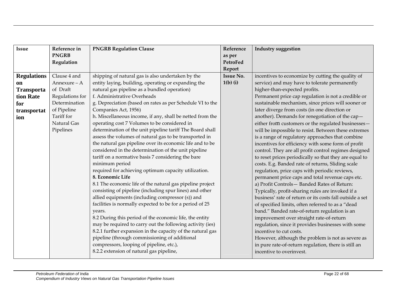| Issue              | Reference in    | <b>PNGRB Regulation Clause</b>                             | Reference        | Industry suggestion                                      |
|--------------------|-----------------|------------------------------------------------------------|------------------|----------------------------------------------------------|
|                    | <b>PNGRB</b>    |                                                            | as per           |                                                          |
|                    | Regulation      |                                                            | PetroFed         |                                                          |
|                    |                 |                                                            | Report           |                                                          |
| <b>Regulations</b> | Clause 4 and    | shipping of natural gas is also undertaken by the          | <b>Issue No.</b> | incentives to economize by cutting the quality of        |
| <sub>on</sub>      | Annexure - A    | entity laying, building, operating or expanding the        | $1(b)$ (i)       | service) and may have to tolerate permanently            |
| <b>Transporta</b>  | of Draft        | natural gas pipeline as a bundled operation)               |                  | higher-than-expected profits.                            |
| tion Rate          | Regulations for | f. Administrative Overheads                                |                  | Permanent price cap regulation is not a credible or      |
| for                | Determination   | g. Depreciation (based on rates as per Schedule VI to the  |                  | sustainable mechanism, since prices will sooner or       |
| transportat        | of Pipeline     | Companies Act, 1956)                                       |                  | later diverge from costs (in one direction or            |
| ion                | Tariff for      | h. Miscellaneous income, if any, shall be netted from the  |                  | another). Demands for renegotiation of the cap-          |
|                    | Natural Gas     | operating cost 7 Volumes to be considered in               |                  | either from customers or the regulated businesses-       |
|                    | Pipelines       | determination of the unit pipeline tariff The Board shall  |                  | will be impossible to resist. Between these extremes     |
|                    |                 | assess the volumes of natural gas to be transported in     |                  | is a range of regulatory approaches that combine         |
|                    |                 | the natural gas pipeline over its economic life and to be  |                  | incentives for efficiency with some form of profit       |
|                    |                 | considered in the determination of the unit pipeline       |                  | control. They are all profit control regimes designed    |
|                    |                 | tariff on a normative basis 7 considering the bare         |                  | to reset prices periodically so that they are equal to   |
|                    |                 | minimum period                                             |                  | costs. E.g. Banded rate of returns, Sliding scale        |
|                    |                 | required for achieving optimum capacity utilization.       |                  | regulation, price caps with periodic reviews,            |
|                    |                 | 8. Economic Life                                           |                  | permanent price caps and total revenue caps etc.         |
|                    |                 | 8.1 The economic life of the natural gas pipeline project  |                  | a) Profit Controls-Banded Rates of Return:               |
|                    |                 | consisting of pipeline (including spur lines) and other    |                  | Typically, profit-sharing rules are invoked if a         |
|                    |                 | allied equipments (including compressor (s)) and           |                  | business' rate of return or its costs fall outside a set |
|                    |                 | facilities is normally expected to be for a period of 25   |                  | of specified limits, often referred to as a "dead        |
|                    |                 | years.                                                     |                  | band." Banded rate-of-return regulation is an            |
|                    |                 | 8.2 During this period of the economic life, the entity    |                  | improvement over straight rate-of-return                 |
|                    |                 | may be required to carry out the following activity (ies)  |                  | regulation, since it provides businesses with some       |
|                    |                 | 8.2.1 further expansion in the capacity of the natural gas |                  | incentive to cut costs.                                  |
|                    |                 | pipeline (through commissioning of additional              |                  | However, although the problem is not as severe as        |
|                    |                 | compressors, looping of pipeline, etc.),                   |                  | in pure rate-of-return regulation, there is still an     |
|                    |                 | 8.2.2 extension of natural gas pipeline,                   |                  | incentive to overinvest.                                 |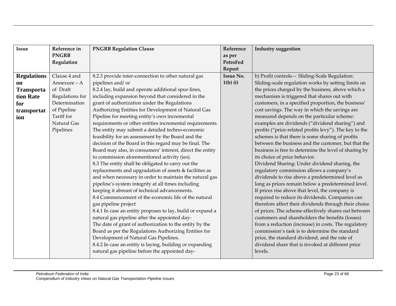| <b>Issue</b>       | Reference in    | <b>PNGRB Regulation Clause</b>                             | Reference        | <b>Industry suggestion</b>                             |
|--------------------|-----------------|------------------------------------------------------------|------------------|--------------------------------------------------------|
|                    | <b>PNGRB</b>    |                                                            | as per           |                                                        |
|                    | Regulation      |                                                            | PetroFed         |                                                        |
|                    |                 |                                                            | Report           |                                                        |
| <b>Regulations</b> | Clause 4 and    | 8.2.3 provide inter-connection to other natural gas        | <b>Issue No.</b> | b) Profit controls-Sliding-Scale Regulation:           |
| <sub>on</sub>      | Annexure - A    | pipelines and/or                                           | $1(b)$ (i)       | Sliding-scale regulation works by setting limits on    |
| <b>Transporta</b>  | of Draft        | 8.2.4 lay, build and operate additional spur-lines,        |                  | the prices charged by the business, above which a      |
| tion Rate          | Regulations for | including expansion beyond that considered in the          |                  | mechanism is triggered that shares out with            |
| for                | Determination   | grant of authorization under the Regulations               |                  | customers, in a specified proportion, the business'    |
| transportat        | of Pipeline     | Authorizing Entities for Development of Natural Gas        |                  | cost savings. The way in which the savings are         |
| ion                | Tariff for      | Pipeline for meeting entity's own incremental              |                  | measured depends on the particular scheme:             |
|                    | Natural Gas     | requirements or other entities incremental requirements.   |                  | examples are dividends ("dividend sharing") and        |
|                    | Pipelines       | The entity may submit a detailed techno-economic           |                  | profits ("price-related profits levy"). The key to the |
|                    |                 | feasibility for an assessment by the Board and the         |                  | schemes is that there is some sharing of profits       |
|                    |                 | decision of the Board in this regard may be final. The     |                  | between the business and the customer, but that the    |
|                    |                 | Board may also, in consumers' interest, direct the entity  |                  | business is free to determine the level of sharing by  |
|                    |                 | to commission aforementioned activity (ies).               |                  | its choice of price behavior.                          |
|                    |                 | 8.3 The entity shall be obligated to carry out the         |                  | Dividend Sharing: Under dividend sharing, the          |
|                    |                 | replacements and upgradation of assets & facilities as     |                  | regulatory commission allows a company's               |
|                    |                 | and when necessary in order to maintain the natural gas    |                  | dividends to rise above a predetermined level as       |
|                    |                 | pipeline's system integrity at all times including         |                  | long as prices remain below a predetermined level.     |
|                    |                 | keeping it abreast of technical advancements.              |                  | If prices rise above that level, the company is        |
|                    |                 | 8.4 Commencement of the economic life of the natural       |                  | required to reduce its dividends. Companies can        |
|                    |                 | gas pipeline project                                       |                  | therefore affect their dividends through their choice  |
|                    |                 | 8.4.1 In case an entity proposes to lay, build or expand a |                  | of prices. The scheme effectively shares out between   |
|                    |                 | natural gas pipeline after the appointed day-              |                  | customers and shareholders the benefits (losses)       |
|                    |                 | The date of grant of authorization to the entity by the    |                  | from a reduction (increase) in costs. The regulatory   |
|                    |                 | Board as per the Regulations Authorizing Entities for      |                  | commission's task is to determine the standard         |
|                    |                 | Development of Natural Gas Pipelines.                      |                  | price, the standard dividend, and the rate of          |
|                    |                 | 8.4.2 In case an entity is laying, building or expanding   |                  | dividend share that is invoked at different price      |
|                    |                 | natural gas pipeline before the appointed day-             |                  | levels.                                                |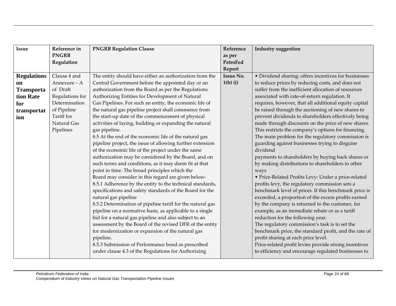| <b>Issue</b>       | Reference in    | <b>PNGRB Regulation Clause</b>                             | Reference        | <b>Industry suggestion</b>                            |
|--------------------|-----------------|------------------------------------------------------------|------------------|-------------------------------------------------------|
|                    | <b>PNGRB</b>    |                                                            | as per           |                                                       |
|                    | Regulation      |                                                            | PetroFed         |                                                       |
|                    |                 |                                                            | Report           |                                                       |
| <b>Regulations</b> | Clause 4 and    | The entity should have either an authorization from the    | <b>Issue No.</b> | • Dividend sharing: offers incentives for businesses  |
| <b>on</b>          | Annexure - A    | Central Government before the appointed day or an          | $1(b)$ (i)       | to reduce prices by reducing costs, and does not      |
| <b>Transporta</b>  | of Draft        | authorization from the Board as per the Regulations        |                  | suffer from the inefficient allocation of resources   |
| tion Rate          | Regulations for | Authorizing Entities for Development of Natural            |                  | associated with rate-of-return regulation. It         |
| for                | Determination   | Gas Pipelines. For such an entity, the economic life of    |                  | requires, however, that all additional equity capital |
| transportat        | of Pipeline     | the natural gas pipeline project shall commence from       |                  | be raised through the auctioning of new shares to     |
| ion                | Tariff for      | the start-up date of the commencement of physical          |                  | prevent dividends to shareholders effectively being   |
|                    | Natural Gas     | activities of laying, building or expanding the natural    |                  | made through discounts on the price of new shares.    |
|                    | Pipelines       | gas pipeline.                                              |                  | This restricts the company's options for financing.   |
|                    |                 | 8.5 At the end of the economic life of the natural gas     |                  | The main problem for the regulatory commission is     |
|                    |                 | pipeline project, the issue of allowing further extension  |                  | guarding against businesses trying to disguise        |
|                    |                 | of the economic life of the project under the same         |                  | dividend                                              |
|                    |                 | authorization may be considered by the Board, and on       |                  | payments to shareholders by buying back shares or     |
|                    |                 | such terms and conditions, as it may deem fit at that      |                  | by making distributions to shareholders in other      |
|                    |                 | point in time. The broad principles which the              |                  | ways                                                  |
|                    |                 | Board may consider in this regard are given below-         |                  | • Price-Related Profits Levy: Under a price-related   |
|                    |                 | 8.5.1 Adherence by the entity to the technical standards,  |                  | profits levy, the regulatory commission sets a        |
|                    |                 | specifications and safety standards of the Board for the   |                  | benchmark level of prices. If this benchmark price is |
|                    |                 | natural gas pipeline                                       |                  | exceeded, a proportion of the excess profits earned   |
|                    |                 | 8.5.2 Determination of pipeline tariff for the natural gas |                  | by the company is returned to the customer, for       |
|                    |                 | pipeline on a normative basis, as applicable to a single   |                  | example, as an immediate rebate or as a tariff        |
|                    |                 | bid for a natural gas pipeline and also subject to an      |                  | reduction for the following year.                     |
|                    |                 | assessment by the Board of the revised DFR of the entity   |                  | The regulatory commission's task is to set the        |
|                    |                 | for modernization or expansion of the natural gas          |                  | benchmark price, the standard profit, and the rate of |
|                    |                 | pipeline.                                                  |                  | profit sharing at each price level.                   |
|                    |                 | 8.5.3 Submission of Performance bond as prescribed         |                  | Price-related profit levies provide strong incentives |
|                    |                 | under clause 4.3 of the Regulations for Authorizing        |                  | to efficiency and encourage regulated businesses to   |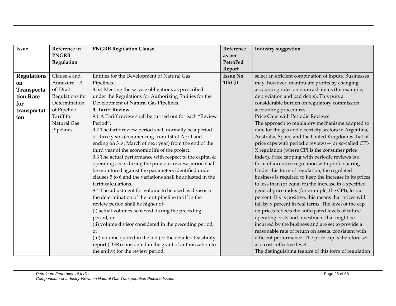| <b>Issue</b>       | Reference in    | <b>PNGRB Regulation Clause</b>                              | Reference        | <b>Industry suggestion</b>                              |
|--------------------|-----------------|-------------------------------------------------------------|------------------|---------------------------------------------------------|
|                    | <b>PNGRB</b>    |                                                             | as per           |                                                         |
|                    | Regulation      |                                                             | PetroFed         |                                                         |
|                    |                 |                                                             | Report           |                                                         |
| <b>Regulations</b> | Clause 4 and    | Entities for the Development of Natural Gas                 | <b>Issue No.</b> | select an efficient combination of inputs. Businesses   |
| on                 | Annexure - A    | Pipelines.                                                  | $1(b)$ (i)       | may, however, manipulate profits by changing            |
| <b>Transporta</b>  | of Draft        | 8.5.4 Meeting the service obligations as prescribed         |                  | accounting rules on non-cash items (for example,        |
| tion Rate          | Regulations for | under the Regulations for Authorizing Entities for the      |                  | depreciation and bad debts). This puts a                |
| for                | Determination   | Development of Natural Gas Pipelines.                       |                  | considerable burden on regulatory commission            |
| transportat        | of Pipeline     | 9. Tariff Review                                            |                  | accounting procedures.                                  |
| ion                | Tariff for      | 9.1 A Tariff review shall be carried out for each "Review   |                  | Price Caps with Periodic Reviews                        |
|                    | Natural Gas     | Period".                                                    |                  | The approach to regulatory mechanisms adopted to        |
|                    | Pipelines       | 9.2 The tariff review period shall normally be a period     |                  | date for the gas and electricity sectors in Argentina,  |
|                    |                 | of three years (commencing from 1st of April and            |                  | Australia, Spain, and the United Kingdom is that of     |
|                    |                 | ending on 31st March of next year) from the end of the      |                  | price caps with periodic reviews- or so-called CPI-     |
|                    |                 | third year of the economic life of the project.             |                  | X regulation (where CPI is the consumer price           |
|                    |                 | 9.3 The actual performance with respect to the capital $\&$ |                  | index). Price capping with periodic reviews is a        |
|                    |                 | operating costs during the previous review period shall     |                  | form of incentive regulation with profit sharing.       |
|                    |                 | be monitored against the parameters identified under        |                  | Under this form of regulation, the regulated            |
|                    |                 | clauses 5 to 6 and the variations shall be adjusted in the  |                  | business is required to keep the increase in its prices |
|                    |                 | tariff calculations.                                        |                  | to less than (or equal to) the increase in a specified  |
|                    |                 | 9.4 The adjustment for volume to be used as divisor in      |                  | general price index (for example, the CPI), less x      |
|                    |                 | the determination of the unit pipeline tariff in the        |                  | percent. If x is positive, this means that prices will  |
|                    |                 | review period shall be higher of-                           |                  | fall by x percent in real terms. The level of the cap   |
|                    |                 | (i) actual volumes achieved during the preceding            |                  | on prices reflects the anticipated levels of future     |
|                    |                 | period, or                                                  |                  | operating costs and investment that might be            |
|                    |                 | (ii) volume divisor considered in the preceding period,     |                  | incurred by the business and are set to provide a       |
|                    |                 | <b>or</b>                                                   |                  | reasonable rate of return on assets, consistent with    |
|                    |                 | (iii) volume quoted in the bid (or the detailed feasibility |                  | efficient performance. The price cap is therefore set   |
|                    |                 | report (DFR) considered in the grant of authorization to    |                  | at a cost-reflective level.                             |
|                    |                 | the entity) for the review period.                          |                  | The distinguishing feature of this form of regulation   |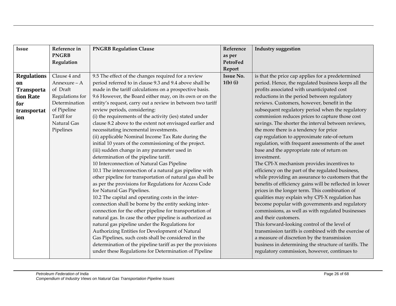| <b>Issue</b>       | Reference in    | <b>PNGRB Regulation Clause</b>                             | Reference        | <b>Industry suggestion</b>                              |
|--------------------|-----------------|------------------------------------------------------------|------------------|---------------------------------------------------------|
|                    | <b>PNGRB</b>    |                                                            | as per           |                                                         |
|                    | Regulation      |                                                            | PetroFed         |                                                         |
|                    |                 |                                                            | Report           |                                                         |
| <b>Regulations</b> | Clause 4 and    | 9.5 The effect of the changes required for a review        | <b>Issue No.</b> | is that the price cap applies for a predetermined       |
| on                 | Annexure - A    | period referred to in clause 9.3 and 9.4 above shall be    | $1(b)$ (i)       | period. Hence, the regulated business keeps all the     |
| <b>Transporta</b>  | of Draft        | made in the tariff calculations on a prospective basis.    |                  | profits associated with unanticipated cost              |
| tion Rate          | Regulations for | 9.6 However, the Board either may, on its own or on the    |                  | reductions in the period between regulatory             |
| for                | Determination   | entity's request, carry out a review in between two tariff |                  | reviews. Customers, however, benefit in the             |
| transportat        | of Pipeline     | review periods, considering:                               |                  | subsequent regulatory period when the regulatory        |
| ion                | Tariff for      | (i) the requirements of the activity (ies) stated under    |                  | commission reduces prices to capture those cost         |
|                    | Natural Gas     | clause 8.2 above to the extent not envisaged earlier and   |                  | savings. The shorter the interval between reviews,      |
|                    | Pipelines       | necessitating incremental investments.                     |                  | the more there is a tendency for price                  |
|                    |                 | (ii) applicable Nominal Income Tax Rate during the         |                  | cap regulation to approximate rate-of-return            |
|                    |                 | initial 10 years of the commissioning of the project.      |                  | regulation, with frequent assessments of the asset      |
|                    |                 | (iii) sudden change in any parameter used in               |                  | base and the appropriate rate of return on              |
|                    |                 | determination of the pipeline tariff.                      |                  | investment.                                             |
|                    |                 | 10 Interconnection of Natural Gas Pipeline                 |                  | The CPI-X mechanism provides incentives to              |
|                    |                 | 10.1 The interconnection of a natural gas pipeline with    |                  | efficiency on the part of the regulated business,       |
|                    |                 | other pipeline for transportation of natural gas shall be  |                  | while providing an assurance to customers that the      |
|                    |                 | as per the provisions for Regulations for Access Code      |                  | benefits of efficiency gains will be reflected in lower |
|                    |                 | for Natural Gas Pipelines.                                 |                  | prices in the longer term. This combination of          |
|                    |                 | 10.2 The capital and operating costs in the inter-         |                  | qualities may explain why CPI-X regulation has          |
|                    |                 | connection shall be borne by the entity seeking inter-     |                  | become popular with governments and regulatory          |
|                    |                 | connection for the other pipeline for transportation of    |                  | commissions, as well as with regulated businesses       |
|                    |                 | natural gas. In case the other pipeline is authorized as   |                  | and their customers.                                    |
|                    |                 | natural gas pipeline under the Regulations for             |                  | This forward-looking control of the level of            |
|                    |                 | Authorizing Entities for Development of Natural            |                  | transmission tariffs is combined with the exercise of   |
|                    |                 | Gas Pipelines, such costs shall be considered in the       |                  | a measure of discretion by the transmission             |
|                    |                 | determination of the pipeline tariff as per the provisions |                  | business in determining the structure of tariffs. The   |
|                    |                 | under these Regulations for Determination of Pipeline      |                  | regulatory commission, however, continues to            |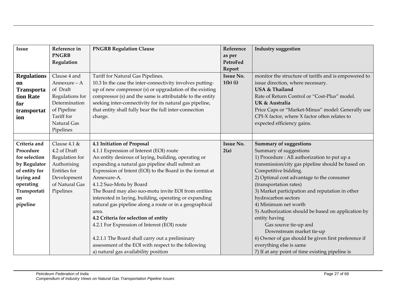| <b>Issue</b>       | Reference in    | <b>PNGRB Regulation Clause</b>                            | Reference        | <b>Industry suggestion</b>                           |
|--------------------|-----------------|-----------------------------------------------------------|------------------|------------------------------------------------------|
|                    | <b>PNGRB</b>    |                                                           | as per           |                                                      |
|                    | Regulation      |                                                           | PetroFed         |                                                      |
|                    |                 |                                                           | Report           |                                                      |
| <b>Regulations</b> | Clause 4 and    | Tariff for Natural Gas Pipelines.                         | <b>Issue No.</b> | monitor the structure of tariffs and is empowered to |
| on                 | Annexure - A    | 10.3 In the case the inter-connectivity involves putting- | $1(b)$ (i)       | issue direction, where necessary.                    |
| <b>Transporta</b>  | of Draft        | up of new compressor (s) or upgradation of the existing   |                  | USA & Thailand                                       |
| tion Rate          | Regulations for | compressor (s) and the same is attributable to the entity |                  | Rate of Return Control or "Cost-Plus" model.         |
| for                | Determination   | seeking inter-connectivity for its natural gas pipeline,  |                  | UK & Australia                                       |
| transportat        | of Pipeline     | that entity shall fully bear the full inter-connection    |                  | Price Caps or "Market-Minus" model: Generally use    |
| ion                | Tariff for      | charge.                                                   |                  | CPI-X factor, where X factor often relates to        |
|                    | Natural Gas     |                                                           |                  | expected efficiency gains.                           |
|                    | Pipelines       |                                                           |                  |                                                      |
|                    |                 |                                                           |                  |                                                      |
| Criteria and       | Clause $4.1 \&$ | 4.1 Initiation of Proposal                                | <b>Issue No.</b> | <b>Summary of suggestions</b>                        |
| Procedure          | 4.2 of Draft    | 4.1.1 Expression of Interest (EOI) route                  | 2(a)             | Summary of suggestions                               |
| for selection      | Regulation for  | An entity desirous of laying, building, operating or      |                  | 1) Procedure : All authorization to put up a         |
| by Regulator       | Authorising     | expanding a natural gas pipeline shall submit an          |                  | transmission/city gas pipeline should be based on    |
| of entity for      | Entities for    | Expression of Intent (EOI) to the Board in the format at  |                  | Competitive bidding.                                 |
| laying and         | Development     | Annexure-A.                                               |                  | 2) Optimal cost advantage to the consumer            |
| operating          | of Natural Gas  | 4.1.2 Suo-Motu by Board                                   |                  | (transportation rates)                               |
| Transportati       | Pipelines       | The Board may also suo-motu invite EOI from entities      |                  | 3) Market participation and reputation in other      |
| on                 |                 | interested in laying, building, operating or expanding    |                  | hydrocarbon sectors                                  |
| pipeline           |                 | natural gas pipeline along a route or in a geographical   |                  | 4) Minimum net worth                                 |
|                    |                 | area.                                                     |                  | 5) Authorization should be based on application by   |
|                    |                 | 4.2 Criteria for selection of entity                      |                  | entity having                                        |
|                    |                 | 4.2.1 For Expression of Interest (EOI) route              |                  | Gas source tie-up and                                |
|                    |                 |                                                           |                  | Downstream market tie-up                             |
|                    |                 | 4.2.1.1 The Board shall carry out a preliminary           |                  | 6) Owner of gas should be given first preference if  |
|                    |                 | assessment of the EOI with respect to the following       |                  | everything else is same                              |
|                    |                 | a) natural gas availability position                      |                  | 7) If at any point of time existing pipeline is      |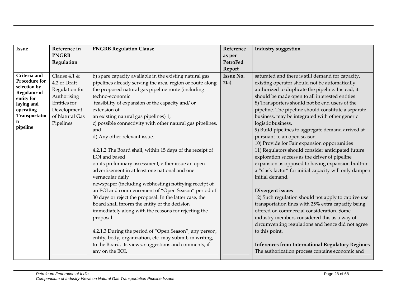| <b>Issue</b>                         | Reference in    | <b>PNGRB Regulation Clause</b>                                                                              | Reference        | <b>Industry suggestion</b>                              |
|--------------------------------------|-----------------|-------------------------------------------------------------------------------------------------------------|------------------|---------------------------------------------------------|
|                                      | <b>PNGRB</b>    |                                                                                                             | as per           |                                                         |
|                                      | Regulation      |                                                                                                             | PetroFed         |                                                         |
|                                      |                 |                                                                                                             | Report           |                                                         |
| Criteria and                         | Clause $4.1 \&$ | b) spare capacity available in the existing natural gas                                                     | <b>Issue No.</b> | saturated and there is still demand for capacity,       |
| <b>Procedure for</b><br>selection by | 4.2 of Draft    | pipelines already serving the area, region or route along                                                   | 2(a)             | existing operator should not be automatically           |
| <b>Regulator of</b>                  | Regulation for  | the proposed natural gas pipeline route (including                                                          |                  | authorized to duplicate the pipeline. Instead, it       |
| entity for                           | Authorising     | techno-economic                                                                                             |                  | should be made open to all interested entities          |
| laying and                           | Entities for    | feasibility of expansion of the capacity and/or                                                             |                  | 8) Transporters should not be end users of the          |
| operating                            | Development     | extension of                                                                                                |                  | pipeline. The pipeline should constitute a separate     |
| Transportatio                        | of Natural Gas  | an existing natural gas pipelines) 1,                                                                       |                  | business, may be integrated with other generic          |
| pipeline                             | Pipelines       | c) possible connectivity with other natural gas pipelines,                                                  |                  | logistic business.                                      |
|                                      |                 | and                                                                                                         |                  | 9) Build pipelines to aggregate demand arrived at       |
|                                      |                 | d) Any other relevant issue.                                                                                |                  | pursuant to an open season                              |
|                                      |                 |                                                                                                             |                  | 10) Provide for Fair expansion opportunities            |
|                                      |                 | 4.2.1.2 The Board shall, within 15 days of the receipt of                                                   |                  | 11) Regulators should consider anticipated future       |
|                                      |                 | EOI and based                                                                                               |                  | exploration success as the driver of pipeline           |
|                                      |                 | on its preliminary assessment, either issue an open                                                         |                  | expansion as opposed to having expansion built-in:      |
|                                      |                 | advertisement in at least one national and one                                                              |                  | a "slack factor" for initial capacity will only dampen  |
|                                      |                 | vernacular daily                                                                                            |                  | initial demand.                                         |
|                                      |                 | newspaper (including webhosting) notifying receipt of<br>an EOI and commencement of "Open Season" period of |                  | Divergent issues                                        |
|                                      |                 | 30 days or reject the proposal. In the latter case, the                                                     |                  | 12) Such regulation should not apply to captive use     |
|                                      |                 | Board shall inform the entity of the decision                                                               |                  | transportation lines with 25% extra capacity being      |
|                                      |                 | immediately along with the reasons for rejecting the                                                        |                  | offered on commercial consideration. Some               |
|                                      |                 | proposal.                                                                                                   |                  | industry members considered this as a way of            |
|                                      |                 |                                                                                                             |                  | circumventing regulations and hence did not agree       |
|                                      |                 | 4.2.1.3 During the period of "Open Season", any person,                                                     |                  | to this point.                                          |
|                                      |                 | entity, body, organization, etc. may submit, in writing,                                                    |                  |                                                         |
|                                      |                 | to the Board, its views, suggestions and comments, if                                                       |                  | <b>Inferences from International Regulatory Regimes</b> |
|                                      |                 | any on the EOI.                                                                                             |                  | The authorization process contains economic and         |
|                                      |                 |                                                                                                             |                  |                                                         |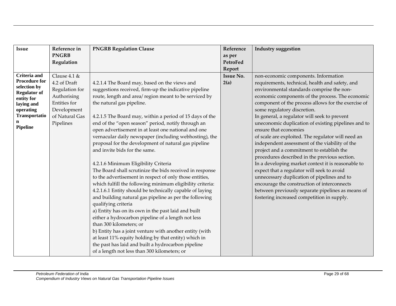| <b>Issue</b>                        | Reference in    | <b>PNGRB Regulation Clause</b>                            | Reference        | <b>Industry suggestion</b>                          |
|-------------------------------------|-----------------|-----------------------------------------------------------|------------------|-----------------------------------------------------|
|                                     | <b>PNGRB</b>    |                                                           | as per           |                                                     |
|                                     | Regulation      |                                                           | PetroFed         |                                                     |
|                                     |                 |                                                           | Report           |                                                     |
| Criteria and                        | Clause $4.1 \&$ |                                                           | <b>Issue No.</b> | non-economic components. Information                |
| <b>Procedure for</b>                | 4.2 of Draft    | 4.2.1.4 The Board may, based on the views and             | 2(a)             | requirements, technical, health and safety, and     |
| selection by<br><b>Regulator of</b> | Regulation for  | suggestions received, firm-up the indicative pipeline     |                  | environmental standards comprise the non-           |
| entity for                          | Authorising     | route, length and area/ region meant to be serviced by    |                  | economic components of the process. The economic    |
| laying and                          | Entities for    | the natural gas pipeline.                                 |                  | component of the process allows for the exercise of |
| operating                           | Development     |                                                           |                  | some regulatory discretion.                         |
| Transportatio                       | of Natural Gas  | 4.2.1.5 The Board may, within a period of 15 days of the  |                  | In general, a regulator will seek to prevent        |
| n<br>Pipeline                       | Pipelines       | end of the "open season" period, notify through an        |                  | uneconomic duplication of existing pipelines and to |
|                                     |                 | open advertisement in at least one national and one       |                  | ensure that economies                               |
|                                     |                 | vernacular daily newspaper (including webhosting), the    |                  | of scale are exploited. The regulator will need an  |
|                                     |                 | proposal for the development of natural gas pipeline      |                  | independent assessment of the viability of the      |
|                                     |                 | and invite bids for the same.                             |                  | project and a commitment to establish the           |
|                                     |                 |                                                           |                  | procedures described in the previous section.       |
|                                     |                 | 4.2.1.6 Minimum Eligibility Criteria                      |                  | In a developing market context it is reasonable to  |
|                                     |                 | The Board shall scrutinize the bids received in response  |                  | expect that a regulator will seek to avoid          |
|                                     |                 | to the advertisement in respect of only those entities,   |                  | unnecessary duplication of pipelines and to         |
|                                     |                 | which fulfill the following minimum eligibility criteria: |                  | encourage the construction of interconnects         |
|                                     |                 | 4.2.1.6.1 Entity should be technically capable of laying  |                  | between previously separate pipelines as means of   |
|                                     |                 | and building natural gas pipeline as per the following    |                  | fostering increased competition in supply.          |
|                                     |                 | qualifying criteria                                       |                  |                                                     |
|                                     |                 | a) Entity has on its own in the past laid and built       |                  |                                                     |
|                                     |                 | either a hydrocarbon pipeline of a length not less        |                  |                                                     |
|                                     |                 | than 300 kilometers; or                                   |                  |                                                     |
|                                     |                 | b) Entity has a joint venture with another entity (with   |                  |                                                     |
|                                     |                 | at least 11% equity holding by that entity) which in      |                  |                                                     |
|                                     |                 | the past has laid and built a hydrocarbon pipeline        |                  |                                                     |
|                                     |                 | of a length not less than 300 kilometers; or              |                  |                                                     |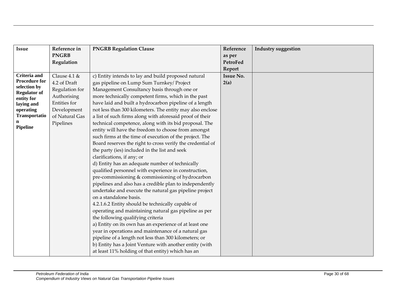| <b>Issue</b>                        | Reference in    | <b>PNGRB Regulation Clause</b>                             | Reference        | <b>Industry suggestion</b> |
|-------------------------------------|-----------------|------------------------------------------------------------|------------------|----------------------------|
|                                     | <b>PNGRB</b>    |                                                            | as per           |                            |
|                                     | Regulation      |                                                            | PetroFed         |                            |
|                                     |                 |                                                            | Report           |                            |
| Criteria and                        | Clause $4.1 \&$ | c) Entity intends to lay and build proposed natural        | <b>Issue No.</b> |                            |
| <b>Procedure for</b>                | 4.2 of Draft    | gas pipeline on Lump Sum Turnkey/ Project                  | 2(a)             |                            |
| selection by<br><b>Regulator of</b> | Regulation for  | Management Consultancy basis through one or                |                  |                            |
| entity for                          | Authorising     | more technically competent firms, which in the past        |                  |                            |
| laying and                          | Entities for    | have laid and built a hydrocarbon pipeline of a length     |                  |                            |
| operating                           | Development     | not less than 300 kilometers. The entity may also enclose  |                  |                            |
| Transportatio                       | of Natural Gas  | a list of such firms along with aforesaid proof of their   |                  |                            |
| n                                   | Pipelines       | technical competence, along with its bid proposal. The     |                  |                            |
| Pipeline                            |                 | entity will have the freedom to choose from amongst        |                  |                            |
|                                     |                 | such firms at the time of execution of the project. The    |                  |                            |
|                                     |                 | Board reserves the right to cross verify the credential of |                  |                            |
|                                     |                 | the party (ies) included in the list and seek              |                  |                            |
|                                     |                 | clarifications, if any; or                                 |                  |                            |
|                                     |                 | d) Entity has an adequate number of technically            |                  |                            |
|                                     |                 | qualified personnel with experience in construction,       |                  |                            |
|                                     |                 | pre-commissioning & commissioning of hydrocarbon           |                  |                            |
|                                     |                 | pipelines and also has a credible plan to independently    |                  |                            |
|                                     |                 | undertake and execute the natural gas pipeline project     |                  |                            |
|                                     |                 | on a standalone basis.                                     |                  |                            |
|                                     |                 | 4.2.1.6.2 Entity should be technically capable of          |                  |                            |
|                                     |                 | operating and maintaining natural gas pipeline as per      |                  |                            |
|                                     |                 | the following qualifying criteria                          |                  |                            |
|                                     |                 | a) Entity on its own has an experience of at least one     |                  |                            |
|                                     |                 | year in operations and maintenance of a natural gas        |                  |                            |
|                                     |                 | pipeline of a length not less than 300 kilometers; or      |                  |                            |
|                                     |                 | b) Entity has a Joint Venture with another entity (with    |                  |                            |
|                                     |                 | at least 11% holding of that entity) which has an          |                  |                            |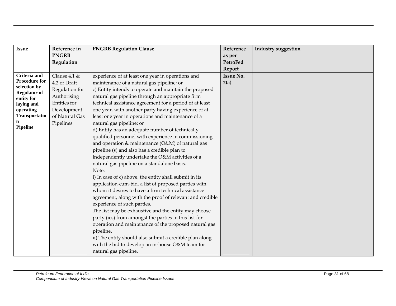| <b>Issue</b>                         | Reference in    | <b>PNGRB Regulation Clause</b>                           | Reference        | <b>Industry suggestion</b> |
|--------------------------------------|-----------------|----------------------------------------------------------|------------------|----------------------------|
|                                      | <b>PNGRB</b>    |                                                          | as per           |                            |
|                                      | Regulation      |                                                          | PetroFed         |                            |
|                                      |                 |                                                          | Report           |                            |
| <b>Criteria</b> and                  | Clause $4.1 \&$ | experience of at least one year in operations and        | <b>Issue No.</b> |                            |
| <b>Procedure for</b><br>selection by | 4.2 of Draft    | maintenance of a natural gas pipeline; or                | 2(a)             |                            |
| <b>Regulator of</b>                  | Regulation for  | c) Entity intends to operate and maintain the proposed   |                  |                            |
| entity for                           | Authorising     | natural gas pipeline through an appropriate firm         |                  |                            |
| laying and                           | Entities for    | technical assistance agreement for a period of at least  |                  |                            |
| operating                            | Development     | one year, with another party having experience of at     |                  |                            |
| Transportatio                        | of Natural Gas  | least one year in operations and maintenance of a        |                  |                            |
| n<br>Pipeline                        | Pipelines       | natural gas pipeline; or                                 |                  |                            |
|                                      |                 | d) Entity has an adequate number of technically          |                  |                            |
|                                      |                 | qualified personnel with experience in commissioning     |                  |                            |
|                                      |                 | and operation & maintenance (O&M) of natural gas         |                  |                            |
|                                      |                 | pipeline (s) and also has a credible plan to             |                  |                            |
|                                      |                 | independently undertake the O&M activities of a          |                  |                            |
|                                      |                 | natural gas pipeline on a standalone basis.              |                  |                            |
|                                      |                 | Note:                                                    |                  |                            |
|                                      |                 | i) In case of c) above, the entity shall submit in its   |                  |                            |
|                                      |                 | application-cum-bid, a list of proposed parties with     |                  |                            |
|                                      |                 | whom it desires to have a firm technical assistance      |                  |                            |
|                                      |                 | agreement, along with the proof of relevant and credible |                  |                            |
|                                      |                 | experience of such parties.                              |                  |                            |
|                                      |                 | The list may be exhaustive and the entity may choose     |                  |                            |
|                                      |                 | party (ies) from amongst the parties in this list for    |                  |                            |
|                                      |                 | operation and maintenance of the proposed natural gas    |                  |                            |
|                                      |                 | pipeline.                                                |                  |                            |
|                                      |                 | ii) The entity should also submit a credible plan along  |                  |                            |
|                                      |                 | with the bid to develop an in-house O&M team for         |                  |                            |
|                                      |                 | natural gas pipeline.                                    |                  |                            |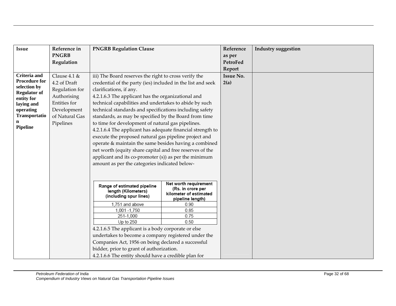| <b>Issue</b>                                                                                                                                                         | Reference in<br><b>PNGRB</b><br>Regulation                                                                                     | <b>PNGRB Regulation Clause</b>                                                                                                                                                                                                                                                                                                                                                                                                                                                                                                                                                                                                                                                                                                                                                                 |                                                                                                                          | Reference<br>as per<br><b>PetroFed</b> | <b>Industry suggestion</b> |
|----------------------------------------------------------------------------------------------------------------------------------------------------------------------|--------------------------------------------------------------------------------------------------------------------------------|------------------------------------------------------------------------------------------------------------------------------------------------------------------------------------------------------------------------------------------------------------------------------------------------------------------------------------------------------------------------------------------------------------------------------------------------------------------------------------------------------------------------------------------------------------------------------------------------------------------------------------------------------------------------------------------------------------------------------------------------------------------------------------------------|--------------------------------------------------------------------------------------------------------------------------|----------------------------------------|----------------------------|
|                                                                                                                                                                      |                                                                                                                                |                                                                                                                                                                                                                                                                                                                                                                                                                                                                                                                                                                                                                                                                                                                                                                                                |                                                                                                                          | Report                                 |                            |
| <b>Criteria</b> and<br><b>Procedure for</b><br>selection by<br><b>Regulator of</b><br>entity for<br>laying and<br>operating<br>Transportatio<br>n<br><b>Pipeline</b> | Clause $4.1 \&$<br>4.2 of Draft<br>Regulation for<br>Authorising<br>Entities for<br>Development<br>of Natural Gas<br>Pipelines | iii) The Board reserves the right to cross verify the<br>credential of the party (ies) included in the list and seek<br>clarifications, if any.<br>4.2.1.6.3 The applicant has the organizational and<br>technical capabilities and undertakes to abide by such<br>technical standards and specifications including safety<br>standards, as may be specified by the Board from time<br>to time for development of natural gas pipelines.<br>4.2.1.6.4 The applicant has adequate financial strength to<br>execute the proposed natural gas pipeline project and<br>operate & maintain the same besides having a combined<br>net worth (equity share capital and free reserves of the<br>applicant and its co-promoter (s)) as per the minimum<br>amount as per the categories indicated below- |                                                                                                                          | <b>Issue No.</b><br>2(a)               |                            |
|                                                                                                                                                                      |                                                                                                                                | Range of estimated pipeline<br>length (Kilometers)<br>(including spur lines)<br>1,751 and above<br>1,001 - 1,750<br>251-1,000<br>Up to 250<br>4.2.1.6.5 The applicant is a body corporate or else<br>undertakes to become a company registered under the<br>Companies Act, 1956 on being declared a successful<br>bidder, prior to grant of authorization.<br>4.2.1.6.6 The entity should have a credible plan for                                                                                                                                                                                                                                                                                                                                                                             | Net worth requirement<br>(Rs. in crore per<br>kilometer of estimated<br>pipeline length)<br>0.90<br>0.85<br>0.75<br>0.50 |                                        |                            |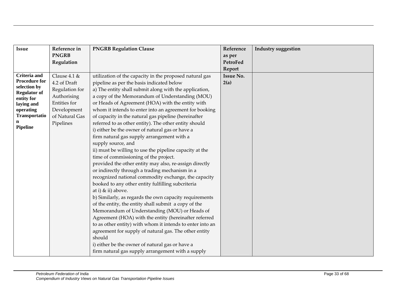| <b>Issue</b>                        | Reference in    | <b>PNGRB Regulation Clause</b>                            | Reference        | <b>Industry suggestion</b> |
|-------------------------------------|-----------------|-----------------------------------------------------------|------------------|----------------------------|
|                                     | <b>PNGRB</b>    |                                                           | as per           |                            |
|                                     | Regulation      |                                                           | PetroFed         |                            |
|                                     |                 |                                                           | Report           |                            |
| Criteria and                        | Clause $4.1 \&$ | utilization of the capacity in the proposed natural gas   | <b>Issue No.</b> |                            |
| <b>Procedure for</b>                | 4.2 of Draft    | pipeline as per the basis indicated below                 | 2(a)             |                            |
| selection by<br><b>Regulator of</b> | Regulation for  | a) The entity shall submit along with the application,    |                  |                            |
| entity for                          | Authorising     | a copy of the Memorandum of Understanding (MOU)           |                  |                            |
| laying and                          | Entities for    | or Heads of Agreement (HOA) with the entity with          |                  |                            |
| operating                           | Development     | whom it intends to enter into an agreement for booking    |                  |                            |
| Transportatio                       | of Natural Gas  | of capacity in the natural gas pipeline (hereinafter      |                  |                            |
| <b>Pipeline</b>                     | Pipelines       | referred to as other entity). The other entity should     |                  |                            |
|                                     |                 | i) either be the owner of natural gas or have a           |                  |                            |
|                                     |                 | firm natural gas supply arrangement with a                |                  |                            |
|                                     |                 | supply source, and                                        |                  |                            |
|                                     |                 | ii) must be willing to use the pipeline capacity at the   |                  |                            |
|                                     |                 | time of commissioning of the project.                     |                  |                            |
|                                     |                 | provided the other entity may also, re-assign directly    |                  |                            |
|                                     |                 | or indirectly through a trading mechanism in a            |                  |                            |
|                                     |                 | recognized national commodity exchange, the capacity      |                  |                            |
|                                     |                 | booked to any other entity fulfilling subcriteria         |                  |                            |
|                                     |                 | at i) & ii) above.                                        |                  |                            |
|                                     |                 | b) Similarly, as regards the own capacity requirements    |                  |                            |
|                                     |                 | of the entity, the entity shall submit a copy of the      |                  |                            |
|                                     |                 | Memorandum of Understanding (MOU) or Heads of             |                  |                            |
|                                     |                 | Agreement (HOA) with the entity (hereinafter referred     |                  |                            |
|                                     |                 | to as other entity) with whom it intends to enter into an |                  |                            |
|                                     |                 | agreement for supply of natural gas. The other entity     |                  |                            |
|                                     |                 | should                                                    |                  |                            |
|                                     |                 | i) either be the owner of natural gas or have a           |                  |                            |
|                                     |                 | firm natural gas supply arrangement with a supply         |                  |                            |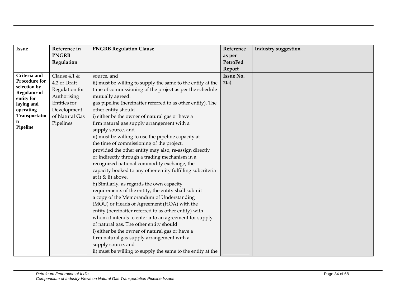| <b>Issue</b>                        | Reference in    | <b>PNGRB Regulation Clause</b>                              | Reference        | <b>Industry suggestion</b> |
|-------------------------------------|-----------------|-------------------------------------------------------------|------------------|----------------------------|
|                                     | <b>PNGRB</b>    |                                                             | as per           |                            |
|                                     | Regulation      |                                                             | PetroFed         |                            |
|                                     |                 |                                                             | Report           |                            |
| <b>Criteria</b> and                 | Clause $4.1 \&$ | source, and                                                 | <b>Issue No.</b> |                            |
| <b>Procedure for</b>                | 4.2 of Draft    | ii) must be willing to supply the same to the entity at the | 2(a)             |                            |
| selection by<br><b>Regulator of</b> | Regulation for  | time of commissioning of the project as per the schedule    |                  |                            |
| entity for                          | Authorising     | mutually agreed.                                            |                  |                            |
| laying and                          | Entities for    | gas pipeline (hereinafter referred to as other entity). The |                  |                            |
| operating                           | Development     | other entity should                                         |                  |                            |
| Transportatio                       | of Natural Gas  | i) either be the owner of natural gas or have a             |                  |                            |
|                                     | Pipelines       | firm natural gas supply arrangement with a                  |                  |                            |
| <b>Pipeline</b>                     |                 | supply source, and                                          |                  |                            |
|                                     |                 | ii) must be willing to use the pipeline capacity at         |                  |                            |
|                                     |                 | the time of commissioning of the project.                   |                  |                            |
|                                     |                 | provided the other entity may also, re-assign directly      |                  |                            |
|                                     |                 | or indirectly through a trading mechanism in a              |                  |                            |
|                                     |                 | recognized national commodity exchange, the                 |                  |                            |
|                                     |                 | capacity booked to any other entity fulfilling subcriteria  |                  |                            |
|                                     |                 | at i) & ii) above.                                          |                  |                            |
|                                     |                 | b) Similarly, as regards the own capacity                   |                  |                            |
|                                     |                 | requirements of the entity, the entity shall submit         |                  |                            |
|                                     |                 | a copy of the Memorandum of Understanding                   |                  |                            |
|                                     |                 | (MOU) or Heads of Agreement (HOA) with the                  |                  |                            |
|                                     |                 | entity (hereinafter referred to as other entity) with       |                  |                            |
|                                     |                 | whom it intends to enter into an agreement for supply       |                  |                            |
|                                     |                 | of natural gas. The other entity should                     |                  |                            |
|                                     |                 | i) either be the owner of natural gas or have a             |                  |                            |
|                                     |                 | firm natural gas supply arrangement with a                  |                  |                            |
|                                     |                 | supply source, and                                          |                  |                            |
|                                     |                 | ii) must be willing to supply the same to the entity at the |                  |                            |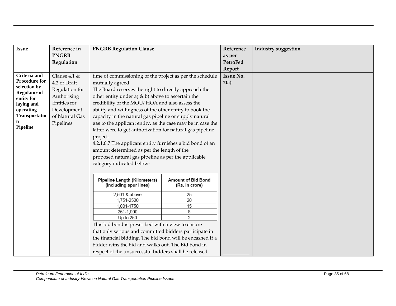| <b>Issue</b>                      | Reference in    | <b>PNGRB Regulation Clause</b>                              |                           | Reference        | <b>Industry suggestion</b> |
|-----------------------------------|-----------------|-------------------------------------------------------------|---------------------------|------------------|----------------------------|
|                                   | <b>PNGRB</b>    |                                                             |                           | as per           |                            |
|                                   | Regulation      |                                                             |                           | PetroFed         |                            |
|                                   |                 |                                                             |                           | Report           |                            |
| Criteria and                      | Clause $4.1 \&$ | time of commissioning of the project as per the schedule    |                           | <b>Issue No.</b> |                            |
| <b>Procedure for</b>              | 4.2 of Draft    | mutually agreed.                                            |                           | 2(a)             |                            |
| selection by                      | Regulation for  | The Board reserves the right to directly approach the       |                           |                  |                            |
| <b>Regulator of</b><br>entity for | Authorising     | other entity under a) $\&$ b) above to ascertain the        |                           |                  |                            |
| laying and                        | Entities for    | credibility of the MOU/HOA and also assess the              |                           |                  |                            |
| operating                         | Development     | ability and willingness of the other entity to book the     |                           |                  |                            |
| Transportatio                     | of Natural Gas  | capacity in the natural gas pipeline or supply natural      |                           |                  |                            |
|                                   | Pipelines       | gas to the applicant entity, as the case may be in case the |                           |                  |                            |
| <b>Pipeline</b>                   |                 | latter were to get authorization for natural gas pipeline   |                           |                  |                            |
|                                   |                 | project.                                                    |                           |                  |                            |
|                                   |                 | 4.2.1.6.7 The applicant entity furnishes a bid bond of an   |                           |                  |                            |
|                                   |                 | amount determined as per the length of the                  |                           |                  |                            |
|                                   |                 | proposed natural gas pipeline as per the applicable         |                           |                  |                            |
|                                   |                 | category indicated below-                                   |                           |                  |                            |
|                                   |                 |                                                             |                           |                  |                            |
|                                   |                 | Pipeline Length (Kilometers)                                | <b>Amount of Bid Bond</b> |                  |                            |
|                                   |                 | (including spur lines)                                      | (Rs. in crore)            |                  |                            |
|                                   |                 | 2,501 & above                                               | 25                        |                  |                            |
|                                   |                 | 1,751-2500                                                  | 20                        |                  |                            |
|                                   |                 | 1,001-1750                                                  | 15                        |                  |                            |
|                                   |                 | 251-1,000<br>Up to $250$                                    | 8<br>2                    |                  |                            |
|                                   |                 | This bid bond is prescribed with a view to ensure           |                           |                  |                            |
|                                   |                 | that only serious and committed bidders participate in      |                           |                  |                            |
|                                   |                 | the financial bidding. The bid bond will be encashed if a   |                           |                  |                            |
|                                   |                 | bidder wins the bid and walks out. The Bid bond in          |                           |                  |                            |
|                                   |                 |                                                             |                           |                  |                            |
|                                   |                 | respect of the unsuccessful bidders shall be released       |                           |                  |                            |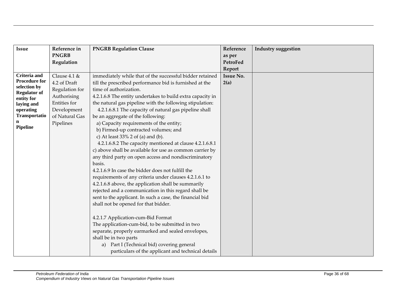| Issue                                | Reference in    | <b>PNGRB Regulation Clause</b>                             | Reference        | <b>Industry suggestion</b> |
|--------------------------------------|-----------------|------------------------------------------------------------|------------------|----------------------------|
|                                      | <b>PNGRB</b>    |                                                            | as per           |                            |
|                                      | Regulation      |                                                            | PetroFed         |                            |
|                                      |                 |                                                            | Report           |                            |
| Criteria and                         | Clause $4.1 \&$ | immediately while that of the successful bidder retained   | <b>Issue No.</b> |                            |
| <b>Procedure for</b><br>selection by | 4.2 of Draft    | till the prescribed performance bid is furnished at the    | 2(a)             |                            |
| <b>Regulator of</b>                  | Regulation for  | time of authorization.                                     |                  |                            |
| entity for                           | Authorising     | 4.2.1.6.8 The entity undertakes to build extra capacity in |                  |                            |
| laying and                           | Entities for    | the natural gas pipeline with the following stipulation:   |                  |                            |
| operating                            | Development     | 4.2.1.6.8.1 The capacity of natural gas pipeline shall     |                  |                            |
| Transportatio                        | of Natural Gas  | be an aggregate of the following:                          |                  |                            |
| <b>Pipeline</b>                      | Pipelines       | a) Capacity requirements of the entity;                    |                  |                            |
|                                      |                 | b) Firmed-up contracted volumes; and                       |                  |                            |
|                                      |                 | c) At least $33\%$ 2 of (a) and (b).                       |                  |                            |
|                                      |                 | 4.2.1.6.8.2 The capacity mentioned at clause 4.2.1.6.8.1   |                  |                            |
|                                      |                 | c) above shall be available for use as common carrier by   |                  |                            |
|                                      |                 | any third party on open access and nondiscriminatory       |                  |                            |
|                                      |                 | basis.                                                     |                  |                            |
|                                      |                 | 4.2.1.6.9 In case the bidder does not fulfill the          |                  |                            |
|                                      |                 | requirements of any criteria under clauses 4.2.1.6.1 to    |                  |                            |
|                                      |                 | 4.2.1.6.8 above, the application shall be summarily        |                  |                            |
|                                      |                 | rejected and a communication in this regard shall be       |                  |                            |
|                                      |                 | sent to the applicant. In such a case, the financial bid   |                  |                            |
|                                      |                 | shall not be opened for that bidder.                       |                  |                            |
|                                      |                 |                                                            |                  |                            |
|                                      |                 | 4.2.1.7 Application-cum-Bid Format                         |                  |                            |
|                                      |                 | The application-cum-bid, to be submitted in two            |                  |                            |
|                                      |                 | separate, properly earmarked and sealed envelopes,         |                  |                            |
|                                      |                 | shall be in two parts                                      |                  |                            |
|                                      |                 | a) Part I (Technical bid) covering general                 |                  |                            |
|                                      |                 | particulars of the applicant and technical details         |                  |                            |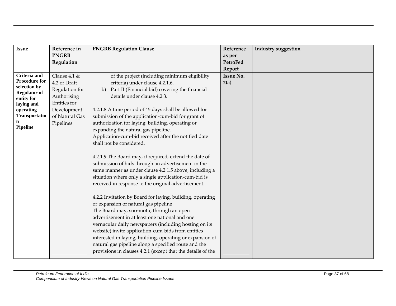| <b>Issue</b>                        | Reference in    | <b>PNGRB Regulation Clause</b>                              | Reference        | <b>Industry suggestion</b> |
|-------------------------------------|-----------------|-------------------------------------------------------------|------------------|----------------------------|
|                                     | <b>PNGRB</b>    |                                                             | as per           |                            |
|                                     | Regulation      |                                                             | PetroFed         |                            |
|                                     |                 |                                                             | Report           |                            |
| <b>Criteria</b> and                 | Clause $4.1 \&$ | of the project (including minimum eligibility               | <b>Issue No.</b> |                            |
| <b>Procedure for</b>                | 4.2 of Draft    | criteria) under clause 4.2.1.6.                             | 2(a)             |                            |
| selection by<br><b>Regulator of</b> | Regulation for  | b) Part II (Financial bid) covering the financial           |                  |                            |
| entity for                          | Authorising     | details under clause 4.2.3.                                 |                  |                            |
| laying and                          | Entities for    |                                                             |                  |                            |
| operating                           | Development     | 4.2.1.8 A time period of 45 days shall be allowed for       |                  |                            |
| Transportatio                       | of Natural Gas  | submission of the application-cum-bid for grant of          |                  |                            |
| n                                   | Pipelines       | authorization for laying, building, operating or            |                  |                            |
| Pipeline                            |                 | expanding the natural gas pipeline.                         |                  |                            |
|                                     |                 | Application-cum-bid received after the notified date        |                  |                            |
|                                     |                 | shall not be considered.                                    |                  |                            |
|                                     |                 |                                                             |                  |                            |
|                                     |                 | 4.2.1.9 The Board may, if required, extend the date of      |                  |                            |
|                                     |                 | submission of bids through an advertisement in the          |                  |                            |
|                                     |                 | same manner as under clause 4.2.1.5 above, including a      |                  |                            |
|                                     |                 | situation where only a single application-cum-bid is        |                  |                            |
|                                     |                 | received in response to the original advertisement.         |                  |                            |
|                                     |                 |                                                             |                  |                            |
|                                     |                 | 4.2.2 Invitation by Board for laying, building, operating   |                  |                            |
|                                     |                 | or expansion of natural gas pipeline                        |                  |                            |
|                                     |                 | The Board may, suo-motu, through an open                    |                  |                            |
|                                     |                 | advertisement in at least one national and one              |                  |                            |
|                                     |                 | vernacular daily newspapers (including hosting on its       |                  |                            |
|                                     |                 | website) invite application-cum-bids from entities          |                  |                            |
|                                     |                 | interested in laying, building, operating or expansion of   |                  |                            |
|                                     |                 | natural gas pipeline along a specified route and the        |                  |                            |
|                                     |                 | provisions in clauses 4.2.1 (except that the details of the |                  |                            |
|                                     |                 |                                                             |                  |                            |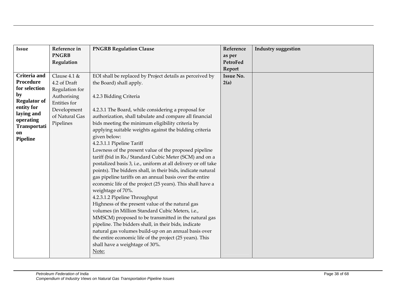| <b>Issue</b>                     | Reference in                | <b>PNGRB Regulation Clause</b>                                | Reference        | <b>Industry suggestion</b> |
|----------------------------------|-----------------------------|---------------------------------------------------------------|------------------|----------------------------|
|                                  | <b>PNGRB</b>                |                                                               | as per           |                            |
|                                  | Regulation                  |                                                               | PetroFed         |                            |
|                                  |                             |                                                               | Report           |                            |
| <b>Criteria</b> and<br>Procedure | Clause $4.1 \&$             | EOI shall be replaced by Project details as perceived by      | <b>Issue No.</b> |                            |
| for selection                    | 4.2 of Draft                | the Board) shall apply.                                       | 2(a)             |                            |
| by                               | Regulation for              |                                                               |                  |                            |
| <b>Regulator of</b>              | Authorising<br>Entities for | 4.2.3 Bidding Criteria                                        |                  |                            |
| entity for                       | Development                 | 4.2.3.1 The Board, while considering a proposal for           |                  |                            |
| laying and                       | of Natural Gas              | authorization, shall tabulate and compare all financial       |                  |                            |
| operating                        | Pipelines                   | bids meeting the minimum eligibility criteria by              |                  |                            |
| Transportati                     |                             | applying suitable weights against the bidding criteria        |                  |                            |
| on                               |                             | given below:                                                  |                  |                            |
| <b>Pipeline</b>                  |                             | 4.2.3.1.1 Pipeline Tariff                                     |                  |                            |
|                                  |                             | Lowness of the present value of the proposed pipeline         |                  |                            |
|                                  |                             | tariff (bid in Rs./ Standard Cubic Meter (SCM) and on a       |                  |                            |
|                                  |                             | postalized basis 3, i.e., uniform at all delivery or off take |                  |                            |
|                                  |                             | points). The bidders shall, in their bids, indicate natural   |                  |                            |
|                                  |                             | gas pipeline tariffs on an annual basis over the entire       |                  |                            |
|                                  |                             | economic life of the project (25 years). This shall have a    |                  |                            |
|                                  |                             | weightage of 70%.                                             |                  |                            |
|                                  |                             | 4.2.3.1.2 Pipeline Throughput                                 |                  |                            |
|                                  |                             | Highness of the present value of the natural gas              |                  |                            |
|                                  |                             | volumes (in Million Standard Cubic Meters, i.e.,              |                  |                            |
|                                  |                             | MMSCM) proposed to be transmitted in the natural gas          |                  |                            |
|                                  |                             | pipeline. The bidders shall, in their bids, indicate          |                  |                            |
|                                  |                             | natural gas volumes build-up on an annual basis over          |                  |                            |
|                                  |                             | the entire economic life of the project (25 years). This      |                  |                            |
|                                  |                             | shall have a weightage of 30%.                                |                  |                            |
|                                  |                             | Note:                                                         |                  |                            |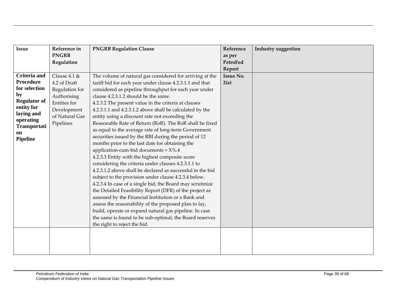| <b>Issue</b>              | Reference in    | <b>PNGRB Regulation Clause</b>                             | Reference        | <b>Industry suggestion</b> |
|---------------------------|-----------------|------------------------------------------------------------|------------------|----------------------------|
|                           | <b>PNGRB</b>    |                                                            | as per           |                            |
|                           | Regulation      |                                                            | PetroFed         |                            |
|                           |                 |                                                            | Report           |                            |
| <b>Criteria</b> and       | Clause $4.1 \&$ | The volume of natural gas considered for arriving at the   | <b>Issue No.</b> |                            |
| Procedure                 | 4.2 of Draft    | tariff bid for each year under clause 4.2.3.1.1 and that   | 2(a)             |                            |
| for selection             | Regulation for  | considered as pipeline throughput for each year under      |                  |                            |
| by                        | Authorising     | clause 4.2.3.1.2 should be the same.                       |                  |                            |
| <b>Regulator of</b>       | Entities for    | 4.2.3.2 The present value in the criteria at clauses       |                  |                            |
| entity for                | Development     | 4.2.3.1.1 and 4.2.3.1.2 above shall be calculated by the   |                  |                            |
| laying and                | of Natural Gas  | entity using a discount rate not exceeding the             |                  |                            |
| operating<br>Transportati | Pipelines       | Reasonable Rate of Return (RoR). The RoR shall be fixed    |                  |                            |
| on                        |                 | as equal to the average rate of long-term Government       |                  |                            |
| <b>Pipeline</b>           |                 | securities issued by the RBI during the period of 12       |                  |                            |
|                           |                 | months prior to the last date for obtaining the            |                  |                            |
|                           |                 | application-cum-bid documents + X%.4                       |                  |                            |
|                           |                 | 4.2.3.3 Entity with the highest composite score            |                  |                            |
|                           |                 | considering the criteria under clauses 4.2.3.1.1 to        |                  |                            |
|                           |                 | 4.2.3.1.2 above shall be declared as successful in the bid |                  |                            |
|                           |                 | subject to the provision under clause 4.2.3.4 below.       |                  |                            |
|                           |                 | 4.2.3.4 In case of a single bid, the Board may scrutinize  |                  |                            |
|                           |                 | the Detailed Feasibility Report (DFR) of the project as    |                  |                            |
|                           |                 | assessed by the Financial Institution or a Bank and        |                  |                            |
|                           |                 | assess the reasonability of the proposed plan to lay,      |                  |                            |
|                           |                 | build, operate or expand natural gas pipeline. In case     |                  |                            |
|                           |                 | the same is found to be sub-optimal, the Board reserves    |                  |                            |
|                           |                 | the right to reject the bid.                               |                  |                            |
|                           |                 |                                                            |                  |                            |
|                           |                 |                                                            |                  |                            |
|                           |                 |                                                            |                  |                            |
|                           |                 |                                                            |                  |                            |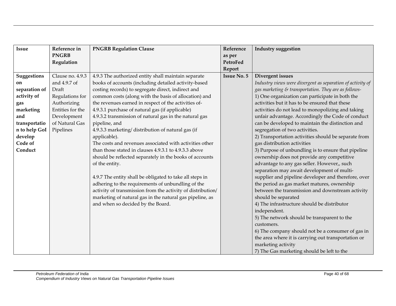| <b>Issue</b>  | Reference in     | <b>PNGRB Regulation Clause</b>                              | Reference          | <b>Industry suggestion</b>                                 |
|---------------|------------------|-------------------------------------------------------------|--------------------|------------------------------------------------------------|
|               | <b>PNGRB</b>     |                                                             | as per             |                                                            |
|               | Regulation       |                                                             | PetroFed           |                                                            |
|               |                  |                                                             | Report             |                                                            |
| Suggestions   | Clause no. 4.9.3 | 4.9.3 The authorized entity shall maintain separate         | <b>Issue No. 5</b> | Divergent issues                                           |
| on            | and 4.9.7 of     | books of accounts (including detailed activity-based        |                    | Industry views were divergent as separation of activity of |
| separation of | Draft            | costing records) to segregate direct, indirect and          |                    | gas marketing & transportation. They are as follows-       |
| activity of   | Regulations for  | common costs (along with the basis of allocation) and       |                    | 1) One organization can participate in both the            |
| gas           | Authorizing      | the revenues earned in respect of the activities of-        |                    | activities but it has to be ensured that these             |
| marketing     | Entities for the | 4.9.3.1 purchase of natural gas (if applicable)             |                    | activities do not lead to monopolizing and taking          |
| and           | Development      | 4.9.3.2 transmission of natural gas in the natural gas      |                    | unfair advantage. Accordingly the Code of conduct          |
| transportatio | of Natural Gas   | pipeline, and                                               |                    | can be developed to maintain the distinction and           |
| n to help GoI | Pipelines        | 4.9.3.3 marketing/distribution of natural gas (if           |                    | segregation of two activities.                             |
| develop       |                  | applicable).                                                |                    | 2) Transportation activities should be separate from       |
| Code of       |                  | The costs and revenues associated with activities other     |                    | gas distribution activities                                |
| Conduct       |                  | than those stated in clauses 4.9.3.1 to 4.9.3.3 above       |                    | 3) Purpose of unbundling is to ensure that pipeline        |
|               |                  | should be reflected separately in the books of accounts     |                    | ownership does not provide any competitive                 |
|               |                  | of the entity.                                              |                    | advantage to any gas seller. However,, such                |
|               |                  |                                                             |                    | separation may await development of multi-                 |
|               |                  | 4.9.7 The entity shall be obligated to take all steps in    |                    | supplier and pipeline developer and therefore, over        |
|               |                  | adhering to the requirements of unbundling of the           |                    | the period as gas market matures, ownership                |
|               |                  | activity of transmission from the activity of distribution/ |                    | between the transmission and downstream activity           |
|               |                  | marketing of natural gas in the natural gas pipeline, as    |                    | should be separated                                        |
|               |                  | and when so decided by the Board.                           |                    | 4) The infrastructure should be distributor                |
|               |                  |                                                             |                    | independent.                                               |
|               |                  |                                                             |                    | 5) The network should be transparent to the                |
|               |                  |                                                             |                    | customers.                                                 |
|               |                  |                                                             |                    | 6) The company should not be a consumer of gas in          |
|               |                  |                                                             |                    | the area where it is carrying out transportation or        |
|               |                  |                                                             |                    | marketing activity                                         |
|               |                  |                                                             |                    | 7) The Gas marketing should be left to the                 |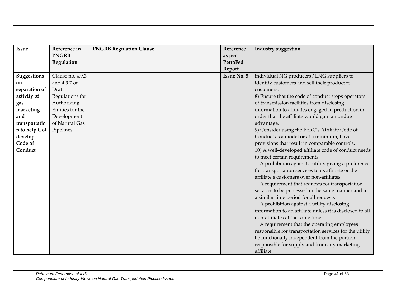| <b>Issue</b>  | Reference in     | <b>PNGRB Regulation Clause</b> | Reference          | <b>Industry suggestion</b>                                |
|---------------|------------------|--------------------------------|--------------------|-----------------------------------------------------------|
|               | <b>PNGRB</b>     |                                | as per             |                                                           |
|               | Regulation       |                                | PetroFed           |                                                           |
|               |                  |                                | Report             |                                                           |
| Suggestions   | Clause no. 4.9.3 |                                | <b>Issue No. 5</b> | individual NG producers / LNG suppliers to                |
| on            | and 4.9.7 of     |                                |                    | identify customers and sell their product to              |
| separation of | Draft            |                                |                    | customers.                                                |
| activity of   | Regulations for  |                                |                    | 8) Ensure that the code of conduct stops operators        |
| gas           | Authorizing      |                                |                    | of transmission facilities from disclosing                |
| marketing     | Entities for the |                                |                    | information to affiliates engaged in production in        |
| and           | Development      |                                |                    | order that the affiliate would gain an undue              |
| transportatio | of Natural Gas   |                                |                    | advantage.                                                |
| n to help GoI | Pipelines        |                                |                    | 9) Consider using the FERC's Affiliate Code of            |
| develop       |                  |                                |                    | Conduct as a model or at a minimum, have                  |
| Code of       |                  |                                |                    | provisions that result in comparable controls.            |
| Conduct       |                  |                                |                    | 10) A well-developed affiliate code of conduct needs      |
|               |                  |                                |                    | to meet certain requirements:                             |
|               |                  |                                |                    | A prohibition against a utility giving a preference       |
|               |                  |                                |                    | for transportation services to its affiliate or the       |
|               |                  |                                |                    | affiliate's customers over non-affiliates                 |
|               |                  |                                |                    | A requirement that requests for transportation            |
|               |                  |                                |                    | services to be processed in the same manner and in        |
|               |                  |                                |                    | a similar time period for all requests                    |
|               |                  |                                |                    | A prohibition against a utility disclosing                |
|               |                  |                                |                    | information to an affiliate unless it is disclosed to all |
|               |                  |                                |                    | non-affiliates at the same time                           |
|               |                  |                                |                    | A requirement that the operating employees                |
|               |                  |                                |                    | responsible for transportation services for the utility   |
|               |                  |                                |                    | be functionally independent from the portion              |
|               |                  |                                |                    | responsible for supply and from any marketing             |
|               |                  |                                |                    | affiliate                                                 |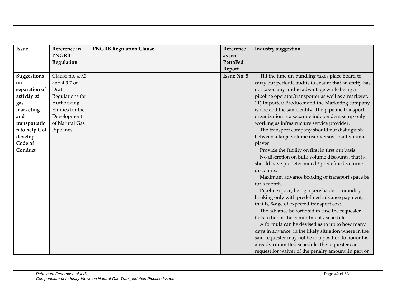| <b>Issue</b>  | Reference in     | <b>PNGRB Regulation Clause</b> | Reference          | <b>Industry suggestion</b>                             |
|---------------|------------------|--------------------------------|--------------------|--------------------------------------------------------|
|               | <b>PNGRB</b>     |                                | as per             |                                                        |
|               | Regulation       |                                | PetroFed           |                                                        |
|               |                  |                                | Report             |                                                        |
| Suggestions   | Clause no. 4.9.3 |                                | <b>Issue No. 5</b> | Till the time un-bundling takes place Board to         |
| on            | and 4.9.7 of     |                                |                    | carry out periodic audits to ensure that an entity has |
| separation of | Draft            |                                |                    | not taken any undue advantage while being a            |
| activity of   | Regulations for  |                                |                    | pipeline operator/transporter as well as a marketer.   |
| gas           | Authorizing      |                                |                    | 11) Importer/ Producer and the Marketing company       |
| marketing     | Entities for the |                                |                    | is one and the same entity. The pipeline transport     |
| and           | Development      |                                |                    | organization is a separate independent setup only      |
| transportatio | of Natural Gas   |                                |                    | working as infrastructure service provider.            |
| n to help GoI | Pipelines        |                                |                    | The transport company should not distinguish           |
| develop       |                  |                                |                    | between a large volume user versus small volume        |
| Code of       |                  |                                |                    | player                                                 |
| Conduct       |                  |                                |                    | Provide the facility on first in first out basis.      |
|               |                  |                                |                    | No discretion on bulk volume discounts, that is,       |
|               |                  |                                |                    | should have predetermined / predefined volume          |
|               |                  |                                |                    | discounts.                                             |
|               |                  |                                |                    | Maximum advance booking of transport space be          |
|               |                  |                                |                    | for a month,                                           |
|               |                  |                                |                    | Pipeline space, being a perishable commodity,          |
|               |                  |                                |                    | booking only with predefined advance payment,          |
|               |                  |                                |                    | that is, %age of expected transport cost.              |
|               |                  |                                |                    | The advance be forfeited in case the requester         |
|               |                  |                                |                    | fails to honor the commitment / schedule               |
|               |                  |                                |                    | A formula can be devised as to up to how many          |
|               |                  |                                |                    | days in advance, in the likely situation where in the  |
|               |                  |                                |                    | said requester may not be in a position to honor his   |
|               |                  |                                |                    | already committed schedule, the requester can          |
|               |                  |                                |                    | request for waiver of the penalty amount, in part or   |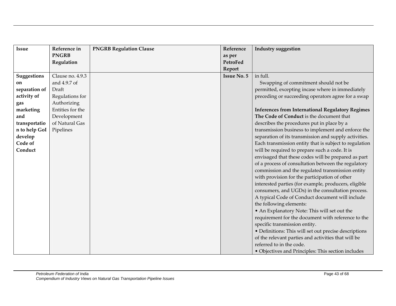| <b>Issue</b>  | Reference in     | <b>PNGRB Regulation Clause</b> | Reference          | <b>Industry suggestion</b>                              |
|---------------|------------------|--------------------------------|--------------------|---------------------------------------------------------|
|               | <b>PNGRB</b>     |                                | as per             |                                                         |
|               | Regulation       |                                | PetroFed           |                                                         |
|               |                  |                                | Report             |                                                         |
| Suggestions   | Clause no. 4.9.3 |                                | <b>Issue No. 5</b> | in full.                                                |
| on            | and 4.9.7 of     |                                |                    | Swapping of commitment should not be                    |
| separation of | Draft            |                                |                    | permitted, excepting incase where in immediately        |
| activity of   | Regulations for  |                                |                    | preceding or succeeding operators agree for a swap      |
| gas           | Authorizing      |                                |                    |                                                         |
| marketing     | Entities for the |                                |                    | <b>Inferences from International Regulatory Regimes</b> |
| and           | Development      |                                |                    | The Code of Conduct is the document that                |
| transportatio | of Natural Gas   |                                |                    | describes the procedures put in place by a              |
| n to help GoI | Pipelines        |                                |                    | transmission business to implement and enforce the      |
| develop       |                  |                                |                    | separation of its transmission and supply activities.   |
| Code of       |                  |                                |                    | Each transmission entity that is subject to regulation  |
| Conduct       |                  |                                |                    | will be required to prepare such a code. It is          |
|               |                  |                                |                    | envisaged that these codes will be prepared as part     |
|               |                  |                                |                    | of a process of consultation between the regulatory     |
|               |                  |                                |                    | commission and the regulated transmission entity        |
|               |                  |                                |                    | with provision for the participation of other           |
|               |                  |                                |                    | interested parties (for example, producers, eligible    |
|               |                  |                                |                    | consumers, and UGDs) in the consultation process.       |
|               |                  |                                |                    | A typical Code of Conduct document will include         |
|               |                  |                                |                    | the following elements:                                 |
|               |                  |                                |                    | • An Explanatory Note: This will set out the            |
|               |                  |                                |                    | requirement for the document with reference to the      |
|               |                  |                                |                    | specific transmission entity.                           |
|               |                  |                                |                    | • Definitions: This will set out precise descriptions   |
|               |                  |                                |                    | of the relevant parties and activities that will be     |
|               |                  |                                |                    | referred to in the code.                                |
|               |                  |                                |                    | · Objectives and Principles: This section includes      |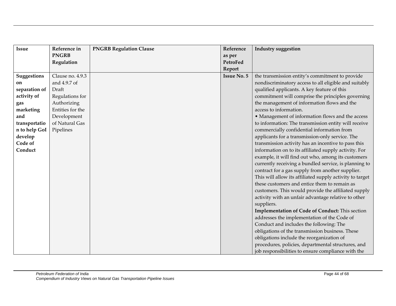| Issue              | Reference in     | <b>PNGRB Regulation Clause</b> | Reference          | <b>Industry suggestion</b>                               |
|--------------------|------------------|--------------------------------|--------------------|----------------------------------------------------------|
|                    | <b>PNGRB</b>     |                                | as per             |                                                          |
|                    | Regulation       |                                | PetroFed           |                                                          |
|                    |                  |                                | Report             |                                                          |
| <b>Suggestions</b> | Clause no. 4.9.3 |                                | <b>Issue No. 5</b> | the transmission entity's commitment to provide          |
| on                 | and 4.9.7 of     |                                |                    | nondiscriminatory access to all eligible and suitably    |
| separation of      | Draft            |                                |                    | qualified applicants. A key feature of this              |
| activity of        | Regulations for  |                                |                    | commitment will comprise the principles governing        |
| gas                | Authorizing      |                                |                    | the management of information flows and the              |
| marketing          | Entities for the |                                |                    | access to information.                                   |
| and                | Development      |                                |                    | • Management of information flows and the access         |
| transportatio      | of Natural Gas   |                                |                    | to information: The transmission entity will receive     |
| n to help GoI      | Pipelines        |                                |                    | commercially confidential information from               |
| develop            |                  |                                |                    | applicants for a transmission-only service. The          |
| Code of            |                  |                                |                    | transmission activity has an incentive to pass this      |
| Conduct            |                  |                                |                    | information on to its affiliated supply activity. For    |
|                    |                  |                                |                    | example, it will find out who, among its customers       |
|                    |                  |                                |                    | currently receiving a bundled service, is planning to    |
|                    |                  |                                |                    | contract for a gas supply from another supplier.         |
|                    |                  |                                |                    | This will allow its affiliated supply activity to target |
|                    |                  |                                |                    | these customers and entice them to remain as             |
|                    |                  |                                |                    | customers. This would provide the affiliated supply      |
|                    |                  |                                |                    | activity with an unfair advantage relative to other      |
|                    |                  |                                |                    | suppliers.                                               |
|                    |                  |                                |                    | Implementation of Code of Conduct: This section          |
|                    |                  |                                |                    | addresses the implementation of the Code of              |
|                    |                  |                                |                    | Conduct and includes the following: The                  |
|                    |                  |                                |                    | obligations of the transmission business. These          |
|                    |                  |                                |                    | obligations include the reorganization of                |
|                    |                  |                                |                    | procedures, policies, departmental structures, and       |
|                    |                  |                                |                    | job responsibilities to ensure compliance with the       |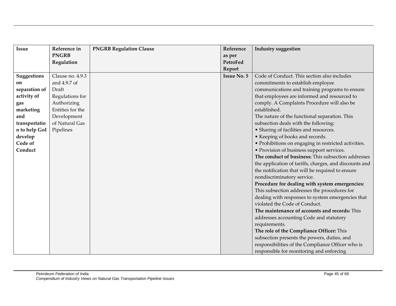| <b>Issue</b>  | Reference in     | <b>PNGRB Regulation Clause</b> | Reference          | <b>Industry suggestion</b>                             |
|---------------|------------------|--------------------------------|--------------------|--------------------------------------------------------|
|               | <b>PNGRB</b>     |                                | as per             |                                                        |
|               | Regulation       |                                | PetroFed           |                                                        |
|               |                  |                                | Report             |                                                        |
| Suggestions   | Clause no. 4.9.3 |                                | <b>Issue No. 5</b> | Code of Conduct. This section also includes            |
| on            | and 4.9.7 of     |                                |                    | commitments to establish employee                      |
| separation of | Draft            |                                |                    | communications and training programs to ensure         |
| activity of   | Regulations for  |                                |                    | that employees are informed and resourced to           |
| gas           | Authorizing      |                                |                    | comply. A Complaints Procedure will also be            |
| marketing     | Entities for the |                                |                    | established.                                           |
| and           | Development      |                                |                    | The nature of the functional separation. This          |
| transportatio | of Natural Gas   |                                |                    | subsection deals with the following:                   |
| n to help GoI | Pipelines        |                                |                    | • Sharing of facilities and resources.                 |
| develop       |                  |                                |                    | • Keeping of books and records.                        |
| Code of       |                  |                                |                    | • Prohibitions on engaging in restricted activities.   |
| Conduct       |                  |                                |                    | • Provision of business support services.              |
|               |                  |                                |                    | The conduct of business: This subsection addresses     |
|               |                  |                                |                    | the application of tariffs, charges, and discounts and |
|               |                  |                                |                    | the notification that will be required to ensure       |
|               |                  |                                |                    | nondiscriminatory service.                             |
|               |                  |                                |                    | Procedure for dealing with system emergencies:         |
|               |                  |                                |                    | This subsection addresses the procedures for           |
|               |                  |                                |                    | dealing with responses to system emergencies that      |
|               |                  |                                |                    | violated the Code of Conduct.                          |
|               |                  |                                |                    | The maintenance of accounts and records: This          |
|               |                  |                                |                    | addresses accounting Code and statutory                |
|               |                  |                                |                    | requirements.                                          |
|               |                  |                                |                    | The role of the Compliance Officer: This               |
|               |                  |                                |                    | subsection presents the powers, duties, and            |
|               |                  |                                |                    | responsibilities of the Compliance Officer who is      |
|               |                  |                                |                    | responsible for monitoring and enforcing               |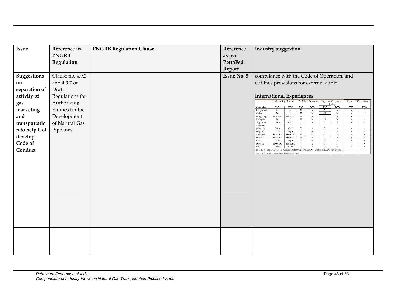| Issue              | Reference in     | <b>PNGRB Regulation Clause</b> | Reference          | Industry suggestion                                                                                                                                                                                                                                                                                                                 |
|--------------------|------------------|--------------------------------|--------------------|-------------------------------------------------------------------------------------------------------------------------------------------------------------------------------------------------------------------------------------------------------------------------------------------------------------------------------------|
|                    | <b>PNGRB</b>     |                                | as per             |                                                                                                                                                                                                                                                                                                                                     |
|                    | Regulation       |                                | PetroFed           |                                                                                                                                                                                                                                                                                                                                     |
|                    |                  |                                | Report             |                                                                                                                                                                                                                                                                                                                                     |
| <b>Suggestions</b> | Clause no. 4.9.3 |                                | <b>Issue No. 5</b> | compliance with the Code of Operation, and                                                                                                                                                                                                                                                                                          |
| on                 | and 4.9.7 of     |                                |                    | outlines provisions for external audit.                                                                                                                                                                                                                                                                                             |
| separation of      | Draft            |                                |                    |                                                                                                                                                                                                                                                                                                                                     |
| activity of        | Regulations for  |                                |                    | <b>International Experiences</b>                                                                                                                                                                                                                                                                                                    |
| gas                | Authorizing      |                                |                    | <b>Unbundling Method</b><br>Published Accounts<br>Separate Corporate<br>Separate HQ Location<br>Identity                                                                                                                                                                                                                            |
| marketing          | Entities for the |                                |                    | Countries<br><b>TSO</b><br>DSO<br><b>TSO</b><br>DSO<br><b>TSO</b><br><b>DSO</b><br><b>TSO</b><br><b>DSO</b><br>Bangladesh<br>$\overline{N}$<br>$\overline{\text{N}}$<br>N<br>$\overline{N}$<br>$\mathcal N$<br>$\overline{N}$<br>N<br>$_{\rm N}$                                                                                    |
| and                | Development      |                                |                    | $\mathbf N$<br>China<br>$_{\rm N}$<br>N<br>$\,$ N<br>$_{\rm N}$<br>$_{\rm N}$<br>$_{\rm N}$<br>$_{\rm N}$<br>$\rm N$<br>$\;$ N<br>$_{\rm N}$<br>Financial<br>Financial<br>$_{\rm N}$<br>$_{\rm N}$<br>$_{\rm N}$<br>Hongkong<br>$_{\rm N}$<br>$_{\rm N}$<br>$\overline{\text{N}}$<br>$\overline{\text{N}}$<br>$_{\rm N}$<br>$\rm N$ |
| transportatio      | of Natural Gas   |                                |                    | $\,$ N $\,$<br>Malaysia<br>N<br>Own<br>Own<br>Y<br>$\mathbf Y$<br>Y<br>$\Upsilon$<br>$\Upsilon$<br>Y<br>Singapore<br>Australia                                                                                                                                                                                                      |
| n to help GoI      | Pipelines        |                                |                    | $\mathbf Y$<br>$\mathbf Y$<br>$\Upsilon$<br>(Victoria)<br>Own<br>Own<br>Y<br>$\mathbf Y$<br>$\mathbf{Y}$<br>$\overline{N}$<br>$\rm N$<br>Legal<br>$_{\rm N}$<br>Belgium<br>Legal<br>Y<br>$\Upsilon$<br>Y                                                                                                                            |
| develop            |                  |                                |                    | $_{\rm N}$<br>$_{\rm N}$<br>$_{\rm N}$<br>${\rm N}$<br>$_{\rm N}$<br>Germany<br>Financial<br>Financial<br>N<br>N<br>N<br>N<br>$\rm N$<br>$_{\rm N}$<br>N<br>France<br>Financial<br>Financial                                                                                                                                        |
| Code of            |                  |                                |                    | $\overline{Y}$<br>$\overline{\mathbf{Y}}$<br>$_{\rm N}$<br>$\overline{Y}$<br>$_{\rm N}$<br>Itlay<br>Legal<br>Legal<br>Y<br>$\rm N$<br>$\,$ N $\,$<br>$\rm N$<br>Sweden<br>Financial<br>$_{\rm N}$<br>Financial<br>Y<br>Y                                                                                                            |
| Conduct            |                  |                                |                    | Own<br>Y<br>UK<br>Own<br>$\mathbf{Y}$<br>Y<br>Y<br>Y<br>Y<br>N- No, Y - Yes, TSO - Transmission System Operator, DSO - Distribution System Operator                                                                                                                                                                                 |
|                    |                  |                                |                    | Source: The World Bank - Oil & Gas sector review workshop, 2003                                                                                                                                                                                                                                                                     |
|                    |                  |                                |                    |                                                                                                                                                                                                                                                                                                                                     |
|                    |                  |                                |                    |                                                                                                                                                                                                                                                                                                                                     |
|                    |                  |                                |                    |                                                                                                                                                                                                                                                                                                                                     |
|                    |                  |                                |                    |                                                                                                                                                                                                                                                                                                                                     |
|                    |                  |                                |                    |                                                                                                                                                                                                                                                                                                                                     |
|                    |                  |                                |                    |                                                                                                                                                                                                                                                                                                                                     |
|                    |                  |                                |                    |                                                                                                                                                                                                                                                                                                                                     |
|                    |                  |                                |                    |                                                                                                                                                                                                                                                                                                                                     |
|                    |                  |                                |                    |                                                                                                                                                                                                                                                                                                                                     |
|                    |                  |                                |                    |                                                                                                                                                                                                                                                                                                                                     |
|                    |                  |                                |                    |                                                                                                                                                                                                                                                                                                                                     |
|                    |                  |                                |                    |                                                                                                                                                                                                                                                                                                                                     |
|                    |                  |                                |                    |                                                                                                                                                                                                                                                                                                                                     |
|                    |                  |                                |                    |                                                                                                                                                                                                                                                                                                                                     |
|                    |                  |                                |                    |                                                                                                                                                                                                                                                                                                                                     |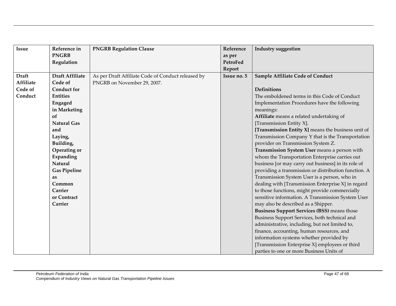| <b>Issue</b>     | Reference in           | <b>PNGRB Regulation Clause</b>                     | Reference   | <b>Industry suggestion</b>                            |
|------------------|------------------------|----------------------------------------------------|-------------|-------------------------------------------------------|
|                  | <b>PNGRB</b>           |                                                    | as per      |                                                       |
|                  | Regulation             |                                                    | PetroFed    |                                                       |
|                  |                        |                                                    | Report      |                                                       |
| <b>Draft</b>     | <b>Draft Affiliate</b> | As per Draft Affiliate Code of Conduct released by | Issue no. 5 | <b>Sample Affiliate Code of Conduct</b>               |
| <b>Affiliate</b> | Code of                | PNGRB on November 29, 2007.                        |             |                                                       |
| Code of          | <b>Conduct for</b>     |                                                    |             | <b>Definitions</b>                                    |
| Conduct          | <b>Entities</b>        |                                                    |             | The emboldened terms in this Code of Conduct          |
|                  | Engaged                |                                                    |             | Implementation Procedures have the following          |
|                  | in Marketing           |                                                    |             | meanings:                                             |
|                  | of                     |                                                    |             | Affiliate means a related undertaking of              |
|                  | <b>Natural Gas</b>     |                                                    |             | [Transmission Entity X].                              |
|                  | and                    |                                                    |             | [Transmission Entity $X$ ] means the business unit of |
|                  | Laying,                |                                                    |             | Transmission Company Y that is the Transportation     |
|                  | Building,              |                                                    |             | provider on Transmission System Z.                    |
|                  | Operating or           |                                                    |             | Transmission System User means a person with          |
|                  | Expanding              |                                                    |             | whom the Transportation Enterprise carries out        |
|                  | <b>Natural</b>         |                                                    |             | business [or may carry out business] in its role of   |
|                  | <b>Gas Pipeline</b>    |                                                    |             | providing a transmission or distribution function. A  |
|                  | as                     |                                                    |             | Transmission System User is a person, who in          |
|                  | Common                 |                                                    |             | dealing with [Transmission Enterprise X] in regard    |
|                  | Carrier                |                                                    |             | to those functions, might provide commercially        |
|                  | or Contract            |                                                    |             | sensitive information. A Transmission System User     |
|                  | Carrier                |                                                    |             | may also be described as a Shipper.                   |
|                  |                        |                                                    |             | <b>Business Support Services (BSS)</b> means those    |
|                  |                        |                                                    |             | Business Support Services, both technical and         |
|                  |                        |                                                    |             | administrative, including, but not limited to,        |
|                  |                        |                                                    |             | finance, accounting, human resources, and             |
|                  |                        |                                                    |             | information systems whether provided by               |
|                  |                        |                                                    |             | [Transmission Enterprise X] employees or third        |
|                  |                        |                                                    |             | parties to one or more Business Units of              |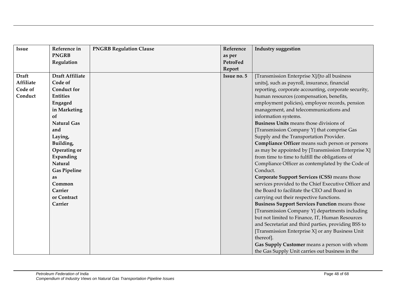| <b>Issue</b> | Reference in           | <b>PNGRB Regulation Clause</b> | Reference   | <b>Industry suggestion</b>                            |
|--------------|------------------------|--------------------------------|-------------|-------------------------------------------------------|
|              | <b>PNGRB</b>           |                                | as per      |                                                       |
|              | Regulation             |                                | PetroFed    |                                                       |
|              |                        |                                | Report      |                                                       |
| <b>Draft</b> | <b>Draft Affiliate</b> |                                | Issue no. 5 | [Transmission Enterprise X]/[to all business          |
| Affiliate    | Code of                |                                |             | units], such as payroll, insurance, financial         |
| Code of      | <b>Conduct for</b>     |                                |             | reporting, corporate accounting, corporate security,  |
| Conduct      | <b>Entities</b>        |                                |             | human resources (compensation, benefits,              |
|              | Engaged                |                                |             | employment policies), employee records, pension       |
|              | in Marketing           |                                |             | management, and telecommunications and                |
|              | of                     |                                |             | information systems.                                  |
|              | <b>Natural Gas</b>     |                                |             | <b>Business Units means those divisions of</b>        |
|              | and                    |                                |             | [Transmission Company Y] that comprise Gas            |
|              | Laying,                |                                |             | Supply and the Transportation Provider.               |
|              | Building,              |                                |             | Compliance Officer means such person or persons       |
|              | Operating or           |                                |             | as may be appointed by [Transmission Enterprise X]    |
|              | Expanding              |                                |             | from time to time to fulfill the obligations of       |
|              | <b>Natural</b>         |                                |             | Compliance Officer as contemplated by the Code of     |
|              | <b>Gas Pipeline</b>    |                                |             | Conduct.                                              |
|              | as                     |                                |             | <b>Corporate Support Services (CSS)</b> means those   |
|              | Common                 |                                |             | services provided to the Chief Executive Officer and  |
|              | Carrier                |                                |             | the Board to facilitate the CEO and Board in          |
|              | or Contract            |                                |             | carrying out their respective functions.              |
|              | Carrier                |                                |             | <b>Business Support Services Function means those</b> |
|              |                        |                                |             | [Transmission Company Y] departments including        |
|              |                        |                                |             | but not limited to Finance, IT, Human Resources       |
|              |                        |                                |             | and Secretariat and third parties, providing BSS to   |
|              |                        |                                |             | [Transmission Enterprise X] or any Business Unit      |
|              |                        |                                |             | thereof].                                             |
|              |                        |                                |             | Gas Supply Customer means a person with whom          |
|              |                        |                                |             | the Gas Supply Unit carries out business in the       |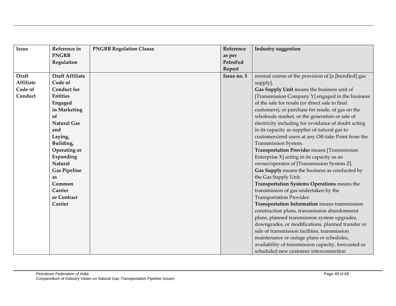| <b>Issue</b>     | Reference in           | <b>PNGRB Regulation Clause</b> | Reference   | <b>Industry suggestion</b>                           |
|------------------|------------------------|--------------------------------|-------------|------------------------------------------------------|
|                  | <b>PNGRB</b>           |                                | as per      |                                                      |
|                  | Regulation             |                                | PetroFed    |                                                      |
|                  |                        |                                | Report      |                                                      |
| <b>Draft</b>     | <b>Draft Affiliate</b> |                                | Issue no. 5 | normal course of the provision of [a [bundled] gas   |
| <b>Affiliate</b> | Code of                |                                |             | supply].                                             |
| Code of          | <b>Conduct for</b>     |                                |             | Gas Supply Unit means the business unit of           |
| Conduct          | <b>Entities</b>        |                                |             | [Transmission Company Y] engaged in the business     |
|                  | Engaged                |                                |             | of the sale for resale (or direct sale to final      |
|                  | in Marketing           |                                |             | customers), or purchase for resale, of gas on the    |
|                  | of                     |                                |             | wholesale market, or the generation or sale of       |
|                  | <b>Natural Gas</b>     |                                |             | electricity including for avoidance of doubt acting  |
|                  | and                    |                                |             | in its capacity as supplier of natural gas to        |
|                  | Laying,                |                                |             | customers/end users at any Off-take Point from the   |
|                  | Building,              |                                |             | Transmission System.                                 |
|                  | Operating or           |                                |             | Transportation Provider means [Transmission          |
|                  | Expanding              |                                |             | Enterprise X] acting in its capacity as an           |
|                  | Natural                |                                |             | owner/operator of [Transmission System Z].           |
|                  | <b>Gas Pipeline</b>    |                                |             | Gas Supply means the business as conducted by        |
|                  | as                     |                                |             | the Gas Supply Unit.                                 |
|                  | Common                 |                                |             | Transportation Systems Operations means the          |
|                  | Carrier                |                                |             | transmission of gas undertaken by the                |
|                  | or Contract            |                                |             | Transportation Provider.                             |
|                  | Carrier                |                                |             | Transportation Information means transmission        |
|                  |                        |                                |             | construction plans, transmission abandonment         |
|                  |                        |                                |             | plans, planned transmission system upgrades,         |
|                  |                        |                                |             | downgrades, or modifications, planned transfer or    |
|                  |                        |                                |             | sale of transmission facilities, transmission        |
|                  |                        |                                |             | maintenance or outage plans or schedules,            |
|                  |                        |                                |             | availability of transmission capacity, forecasted or |
|                  |                        |                                |             | scheduled new customer interconnection               |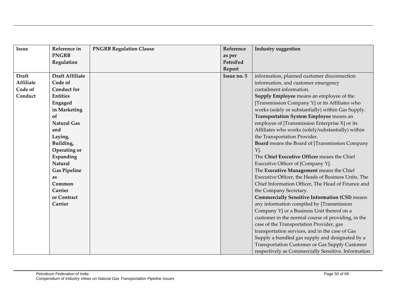| <b>Issue</b> | Reference in           | <b>PNGRB Regulation Clause</b> | Reference   | <b>Industry suggestion</b>                            |
|--------------|------------------------|--------------------------------|-------------|-------------------------------------------------------|
|              | <b>PNGRB</b>           |                                | as per      |                                                       |
|              | Regulation             |                                | PetroFed    |                                                       |
|              |                        |                                | Report      |                                                       |
| <b>Draft</b> | <b>Draft Affiliate</b> |                                | Issue no. 5 | information, planned customer disconnection           |
| Affiliate    | Code of                |                                |             | information, and customer emergency                   |
| Code of      | <b>Conduct for</b>     |                                |             | curtailment information.                              |
| Conduct      | <b>Entities</b>        |                                |             | Supply Employee means an employee of the              |
|              | Engaged                |                                |             | [Transmission Company Y] or its Affiliates who        |
|              | in Marketing           |                                |             | works (solely or substantially) within Gas Supply.    |
|              | of                     |                                |             | Transportation System Employee means an               |
|              | <b>Natural Gas</b>     |                                |             | employee of [Transmission Enterprise X] or its        |
|              | and                    |                                |             | Affiliates who works (solely/substantially) within    |
|              | Laying,                |                                |             | the Transportation Provider.                          |
|              | Building,              |                                |             | <b>Board</b> means the Board of [Transmission Company |
|              | Operating or           |                                |             | Y].                                                   |
|              | Expanding              |                                |             | The Chief Executive Officer means the Chief           |
|              | <b>Natural</b>         |                                |             | Executive Officer of [Company Y].                     |
|              | <b>Gas Pipeline</b>    |                                |             | The Executive Management means the Chief              |
|              | as                     |                                |             | Executive Officer, the Heads of Business Units, The   |
|              | Common                 |                                |             | Chief Information Officer, The Head of Finance and    |
|              | Carrier                |                                |             | the Company Secretary.                                |
|              | or Contract            |                                |             | <b>Commercially Sensitive Information (CSI)</b> means |
|              | Carrier                |                                |             | any information compiled by [Transmission             |
|              |                        |                                |             | Company Y] or a Business Unit thereof on a            |
|              |                        |                                |             | customer in the normal course of providing, in the    |
|              |                        |                                |             | case of the Transportation Provider, gas              |
|              |                        |                                |             | transportation services, and in the case of Gas       |
|              |                        |                                |             | Supply a bundled gas supply and designated by a       |
|              |                        |                                |             | Transportation Customer or Gas Supply Customer        |
|              |                        |                                |             | respectively as Commercially Sensitive. Information   |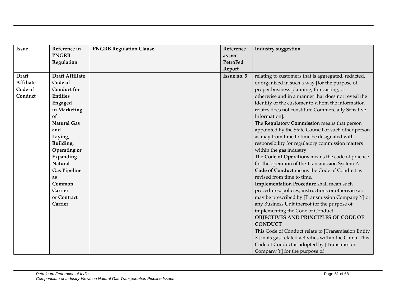| <b>Issue</b> | Reference in           | <b>PNGRB Regulation Clause</b> | Reference   | <b>Industry suggestion</b>                              |
|--------------|------------------------|--------------------------------|-------------|---------------------------------------------------------|
|              | <b>PNGRB</b>           |                                | as per      |                                                         |
|              | Regulation             |                                | PetroFed    |                                                         |
|              |                        |                                | Report      |                                                         |
| <b>Draft</b> | <b>Draft Affiliate</b> |                                | Issue no. 5 | relating to customers that is aggregated, redacted,     |
| Affiliate    | Code of                |                                |             | or organized in such a way [for the purpose of          |
| Code of      | <b>Conduct for</b>     |                                |             | proper business planning, forecasting, or               |
| Conduct      | <b>Entities</b>        |                                |             | otherwise and in a manner that does not reveal the      |
|              | Engaged                |                                |             | identity of the customer to whom the information        |
|              | in Marketing           |                                |             | relates does not constitute Commercially Sensitive      |
|              | of                     |                                |             | Information].                                           |
|              | <b>Natural Gas</b>     |                                |             | The Regulatory Commission means that person             |
|              | and                    |                                |             | appointed by the State Council or such other person     |
|              | Laying,                |                                |             | as may from time to time be designated with             |
|              | Building,              |                                |             | responsibility for regulatory commission matters        |
|              | Operating or           |                                |             | within the gas industry.                                |
|              | Expanding              |                                |             | The Code of Operations means the code of practice       |
|              | <b>Natural</b>         |                                |             | for the operation of the Transmission System Z.         |
|              | <b>Gas Pipeline</b>    |                                |             | Code of Conduct means the Code of Conduct as            |
|              | as                     |                                |             | revised from time to time.                              |
|              | Common                 |                                |             | Implementation Procedure shall mean such                |
|              | Carrier                |                                |             | procedures, policies, instructions or otherwise as      |
|              | or Contract            |                                |             | may be prescribed by [Transmission Company Y] or        |
|              | Carrier                |                                |             | any Business Unit thereof for the purpose of            |
|              |                        |                                |             | implementing the Code of Conduct.                       |
|              |                        |                                |             | OBJECTIVES AND PRINCIPLES OF CODE OF                    |
|              |                        |                                |             | <b>CONDUCT</b>                                          |
|              |                        |                                |             | This Code of Conduct relate to [Transmission Entity     |
|              |                        |                                |             | X] in its gas-related activities within the China. This |
|              |                        |                                |             | Code of Conduct is adopted by [Transmission             |
|              |                        |                                |             | Company Y] for the purpose of                           |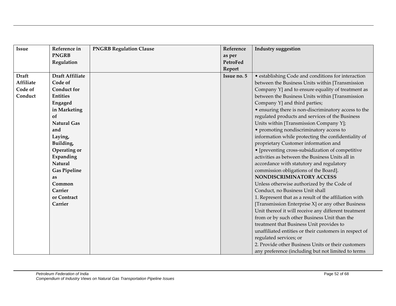| <b>Issue</b>     | Reference in           | <b>PNGRB Regulation Clause</b> | Reference   | <b>Industry suggestion</b>                             |
|------------------|------------------------|--------------------------------|-------------|--------------------------------------------------------|
|                  | <b>PNGRB</b>           |                                | as per      |                                                        |
|                  | Regulation             |                                | PetroFed    |                                                        |
|                  |                        |                                | Report      |                                                        |
| <b>Draft</b>     | <b>Draft Affiliate</b> |                                | Issue no. 5 | • establishing Code and conditions for interaction     |
| <b>Affiliate</b> | Code of                |                                |             | between the Business Units within [Transmission        |
| Code of          | <b>Conduct for</b>     |                                |             | Company Y] and to ensure equality of treatment as      |
| Conduct          | <b>Entities</b>        |                                |             | between the Business Units within [Transmission        |
|                  | Engaged                |                                |             | Company Y] and third parties;                          |
|                  | in Marketing           |                                |             | • ensuring there is non-discriminatory access to the   |
|                  | of                     |                                |             | regulated products and services of the Business        |
|                  | <b>Natural Gas</b>     |                                |             | Units within [Transmission Company Y];                 |
|                  | and                    |                                |             | • promoting nondiscriminatory access to                |
|                  | Laying,                |                                |             | information while protecting the confidentiality of    |
|                  | Building,              |                                |             | proprietary Customer information and                   |
|                  | Operating or           |                                |             | · [preventing cross-subsidization of competitive       |
|                  | Expanding              |                                |             | activities as between the Business Units all in        |
|                  | Natural                |                                |             | accordance with statutory and regulatory               |
|                  | <b>Gas Pipeline</b>    |                                |             | commission obligations of the Board].                  |
|                  | as                     |                                |             | NONDISCRIMINATORY ACCESS                               |
|                  | Common                 |                                |             | Unless otherwise authorized by the Code of             |
|                  | Carrier                |                                |             | Conduct, no Business Unit shall                        |
|                  | or Contract            |                                |             | 1. Represent that as a result of the affiliation with  |
|                  | Carrier                |                                |             | [Transmission Enterprise X] or any other Business      |
|                  |                        |                                |             | Unit thereof it will receive any different treatment   |
|                  |                        |                                |             | from or by such other Business Unit than the           |
|                  |                        |                                |             | treatment that Business Unit provides to               |
|                  |                        |                                |             | unaffiliated entities or their customers in respect of |
|                  |                        |                                |             | regulated services; or                                 |
|                  |                        |                                |             | 2. Provide other Business Units or their customers     |
|                  |                        |                                |             | any preference (including but not limited to terms     |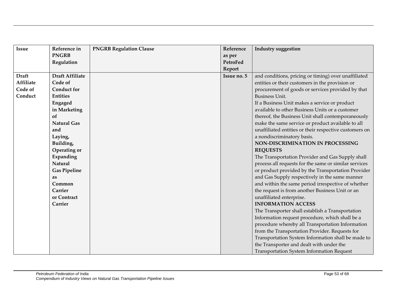| <b>Issue</b>     | Reference in           | <b>PNGRB Regulation Clause</b> | Reference   | <b>Industry suggestion</b>                             |
|------------------|------------------------|--------------------------------|-------------|--------------------------------------------------------|
|                  | <b>PNGRB</b>           |                                | as per      |                                                        |
|                  | Regulation             |                                | PetroFed    |                                                        |
|                  |                        |                                | Report      |                                                        |
| <b>Draft</b>     | <b>Draft Affiliate</b> |                                | Issue no. 5 | and conditions, pricing or timing) over unaffiliated   |
| <b>Affiliate</b> | Code of                |                                |             | entities or their customers in the provision or        |
| Code of          | <b>Conduct for</b>     |                                |             | procurement of goods or services provided by that      |
| Conduct          | <b>Entities</b>        |                                |             | <b>Business Unit.</b>                                  |
|                  | Engaged                |                                |             | If a Business Unit makes a service or product          |
|                  | in Marketing           |                                |             | available to other Business Units or a customer        |
|                  | of                     |                                |             | thereof, the Business Unit shall contemporaneously     |
|                  | <b>Natural Gas</b>     |                                |             | make the same service or product available to all      |
|                  | and                    |                                |             | unaffiliated entities or their respective customers on |
|                  | Laying,                |                                |             | a nondiscriminatory basis.                             |
|                  | Building,              |                                |             | NON-DISCRIMINATION IN PROCESSING                       |
|                  | Operating or           |                                |             | <b>REQUESTS</b>                                        |
|                  | Expanding              |                                |             | The Transportation Provider and Gas Supply shall       |
|                  | Natural                |                                |             | process all requests for the same or similar services  |
|                  | <b>Gas Pipeline</b>    |                                |             | or product provided by the Transportation Provider     |
|                  | as                     |                                |             | and Gas Supply respectively in the same manner         |
|                  | Common                 |                                |             | and within the same period irrespective of whether     |
|                  | Carrier                |                                |             | the request is from another Business Unit or an        |
|                  | or Contract            |                                |             | unaffiliated enterprise.                               |
|                  | Carrier                |                                |             | <b>INFORMATION ACCESS</b>                              |
|                  |                        |                                |             | The Transporter shall establish a Transportation       |
|                  |                        |                                |             | Information request procedure, which shall be a        |
|                  |                        |                                |             | procedure whereby all Transportation Information       |
|                  |                        |                                |             | from the Transportation Provider. Requests for         |
|                  |                        |                                |             | Transportation System Information shall be made to     |
|                  |                        |                                |             | the Transporter and dealt with under the               |
|                  |                        |                                |             | <b>Transportation System Information Request</b>       |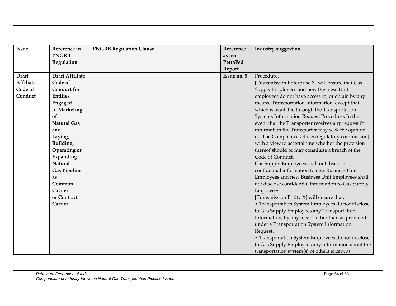| <b>Issue</b>     | Reference in           | <b>PNGRB Regulation Clause</b> | Reference   | <b>Industry suggestion</b>                          |
|------------------|------------------------|--------------------------------|-------------|-----------------------------------------------------|
|                  | <b>PNGRB</b>           |                                | as per      |                                                     |
|                  | Regulation             |                                | PetroFed    |                                                     |
|                  |                        |                                | Report      |                                                     |
| <b>Draft</b>     | <b>Draft Affiliate</b> |                                | Issue no. 5 | Procedure.                                          |
| <b>Affiliate</b> | Code of                |                                |             | [Transmission Enterprise X] will ensure that Gas    |
| Code of          | <b>Conduct for</b>     |                                |             | Supply Employees and new Business Unit              |
| Conduct          | <b>Entities</b>        |                                |             | employees do not have access to, or obtain by any   |
|                  | Engaged                |                                |             | means, Transportation Information, except that      |
|                  | in Marketing           |                                |             | which is available through the Transportation       |
|                  | of                     |                                |             | Systems Information Request Procedure. In the       |
|                  | <b>Natural Gas</b>     |                                |             | event that the Transporter receives any request for |
|                  | and                    |                                |             | information the Transporter may seek the opinion    |
|                  | Laying,                |                                |             | of [The Compliance Officer/regulatory commission]   |
|                  | Building,              |                                |             | with a view to ascertaining whether the provision   |
|                  | Operating or           |                                |             | thereof should or may constitute a breach of the    |
|                  | Expanding              |                                |             | Code of Conduct.                                    |
|                  | Natural                |                                |             | Gas Supply Employees shall not disclose             |
|                  | <b>Gas Pipeline</b>    |                                |             | confidential information to new Business Unit       |
|                  | as                     |                                |             | Employees and new Business Unit Employees shall     |
|                  | Common                 |                                |             | not disclose confidential information to Gas Supply |
|                  | Carrier                |                                |             | Employees.                                          |
|                  | or Contract            |                                |             | [Transmission Entity X] will ensure that:           |
|                  | Carrier                |                                |             | • Transportation System Employees do not disclose   |
|                  |                        |                                |             | to Gas Supply Employees any Transportation          |
|                  |                        |                                |             | Information, by any means other than as provided    |
|                  |                        |                                |             | under a Transportation System Information           |
|                  |                        |                                |             | Request.                                            |
|                  |                        |                                |             | • Transportation System Employees do not disclose   |
|                  |                        |                                |             | to Gas Supply Employees any information about the   |
|                  |                        |                                |             | transportation system(s) of others except as        |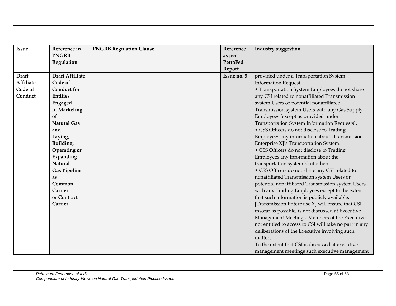| <b>Issue</b>     | Reference in           | <b>PNGRB Regulation Clause</b> | Reference   | <b>Industry suggestion</b>                             |
|------------------|------------------------|--------------------------------|-------------|--------------------------------------------------------|
|                  | <b>PNGRB</b>           |                                | as per      |                                                        |
|                  | Regulation             |                                | PetroFed    |                                                        |
|                  |                        |                                | Report      |                                                        |
| <b>Draft</b>     | <b>Draft Affiliate</b> |                                | Issue no. 5 | provided under a Transportation System                 |
| <b>Affiliate</b> | Code of                |                                |             | <b>Information Request.</b>                            |
| Code of          | <b>Conduct for</b>     |                                |             | • Transportation System Employees do not share         |
| Conduct          | <b>Entities</b>        |                                |             | any CSI related to nonaffiliated Transmission          |
|                  | Engaged                |                                |             | system Users or potential nonaffiliated                |
|                  | in Marketing           |                                |             | Transmission system Users with any Gas Supply          |
|                  | of                     |                                |             | Employees [except as provided under                    |
|                  | <b>Natural Gas</b>     |                                |             | Transportation System Information Requests].           |
|                  | and                    |                                |             | • CSS Officers do not disclose to Trading              |
|                  | Laying,                |                                |             | Employees any information about [Transmission          |
|                  | Building,              |                                |             | Enterprise X]'s Transportation System.                 |
|                  | Operating or           |                                |             | • CSS Officers do not disclose to Trading              |
|                  | Expanding              |                                |             | Employees any information about the                    |
|                  | Natural                |                                |             | transportation system(s) of others.                    |
|                  | <b>Gas Pipeline</b>    |                                |             | • CSS Officers do not share any CSI related to         |
|                  | as                     |                                |             | nonaffiliated Transmission system Users or             |
|                  | Common                 |                                |             | potential nonaffiliated Transmission system Users      |
|                  | Carrier                |                                |             | with any Trading Employees except to the extent        |
|                  | or Contract            |                                |             | that such information is publicly available.           |
|                  | Carrier                |                                |             | [Transmission Enterprise X] will ensure that CSI,      |
|                  |                        |                                |             | insofar as possible, is not discussed at Executive     |
|                  |                        |                                |             | Management Meetings. Members of the Executive          |
|                  |                        |                                |             | not entitled to access to CSI will take no part in any |
|                  |                        |                                |             | deliberations of the Executive involving such          |
|                  |                        |                                |             | matters.                                               |
|                  |                        |                                |             | To the extent that CSI is discussed at executive       |
|                  |                        |                                |             | management meetings such executive management          |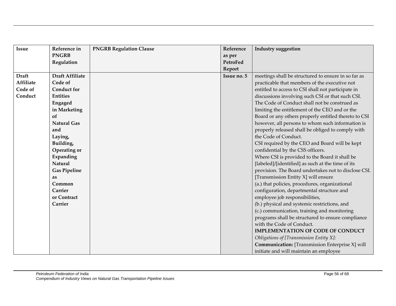| <b>Issue</b>     | Reference in           | <b>PNGRB Regulation Clause</b> | Reference   | <b>Industry suggestion</b>                             |
|------------------|------------------------|--------------------------------|-------------|--------------------------------------------------------|
|                  | <b>PNGRB</b>           |                                | as per      |                                                        |
|                  | Regulation             |                                | PetroFed    |                                                        |
|                  |                        |                                | Report      |                                                        |
| <b>Draft</b>     | <b>Draft Affiliate</b> |                                | Issue no. 5 | meetings shall be structured to ensure in so far as    |
| <b>Affiliate</b> | Code of                |                                |             | practicable that members of the executive not          |
| Code of          | <b>Conduct for</b>     |                                |             | entitled to access to CSI shall not participate in     |
| Conduct          | <b>Entities</b>        |                                |             | discussions involving such CSI or that such CSI.       |
|                  | Engaged                |                                |             | The Code of Conduct shall not be construed as          |
|                  | in Marketing           |                                |             | limiting the entitlement of the CEO and or the         |
|                  | of                     |                                |             | Board or any others properly entitled thereto to CSI   |
|                  | <b>Natural Gas</b>     |                                |             | however, all persons to whom such information is       |
|                  | and                    |                                |             | properly released shall be obliged to comply with      |
|                  | Laying,                |                                |             | the Code of Conduct.                                   |
|                  | Building,              |                                |             | CSI required by the CEO and Board will be kept         |
|                  | Operating or           |                                |             | confidential by the CSS officers.                      |
|                  | Expanding              |                                |             | Where CSI is provided to the Board it shall be         |
|                  | Natural                |                                |             | [labeled]/[identified] as such at the time of its      |
|                  | <b>Gas Pipeline</b>    |                                |             | provision. The Board undertakes not to disclose CSI.   |
|                  | as                     |                                |             | [Transmission Entity X] will ensure                    |
|                  | Common                 |                                |             | (a.) that policies, procedures, organizational         |
|                  | Carrier                |                                |             | configuration, departmental structure and              |
|                  | or Contract            |                                |             | employee job responsibilities,                         |
|                  | Carrier                |                                |             | (b.) physical and systemic restrictions, and           |
|                  |                        |                                |             | (c.) communication, training and monitoring            |
|                  |                        |                                |             | programs shall be structured to ensure compliance      |
|                  |                        |                                |             | with the Code of Conduct.                              |
|                  |                        |                                |             | <b>IMPLEMENTATION OF CODE OF CONDUCT</b>               |
|                  |                        |                                |             | Obligations of [Transmission Entity X]:                |
|                  |                        |                                |             | <b>Communication:</b> [Transmission Enterprise X] will |
|                  |                        |                                |             | initiate and will maintain an employee                 |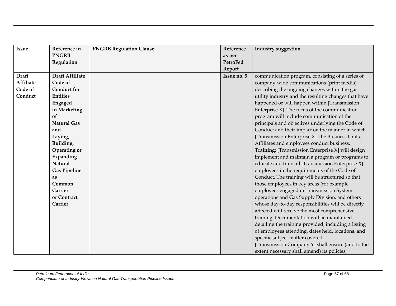| <b>Issue</b>     | Reference in           | <b>PNGRB Regulation Clause</b> | Reference   | Industry suggestion                                  |
|------------------|------------------------|--------------------------------|-------------|------------------------------------------------------|
|                  | <b>PNGRB</b>           |                                | as per      |                                                      |
|                  | Regulation             |                                | PetroFed    |                                                      |
|                  |                        |                                | Report      |                                                      |
| <b>Draft</b>     | <b>Draft Affiliate</b> |                                | Issue no. 5 | communication program, consisting of a series of     |
| <b>Affiliate</b> | Code of                |                                |             | company-wide communications (print media)            |
| Code of          | <b>Conduct for</b>     |                                |             | describing the ongoing changes within the gas        |
| Conduct          | <b>Entities</b>        |                                |             | utility industry and the resulting changes that have |
|                  | Engaged                |                                |             | happened or will happen within [Transmission         |
|                  | in Marketing           |                                |             | Enterprise X]. The focus of the communication        |
|                  | of                     |                                |             | program will include communication of the            |
|                  | <b>Natural Gas</b>     |                                |             | principals and objectives underlying the Code of     |
|                  | and                    |                                |             | Conduct and their impact on the manner in which      |
|                  | Laying,                |                                |             | [Transmission Enterprise X], the Business Units,     |
|                  | Building,              |                                |             | Affiliates and employees conduct business.           |
|                  | Operating or           |                                |             | Training: [Transmission Enterprise X] will design    |
|                  | Expanding              |                                |             | implement and maintain a program or programs to      |
|                  | Natural                |                                |             | educate and train all [Transmission Enterprise X]    |
|                  | <b>Gas Pipeline</b>    |                                |             | employees in the requirements of the Code of         |
|                  | as                     |                                |             | Conduct. The training will be structured so that     |
|                  | Common                 |                                |             | those employees in key areas (for example,           |
|                  | Carrier                |                                |             | employees engaged in Transmission System             |
|                  | or Contract            |                                |             | operations and Gas Supply Division, and others       |
|                  | Carrier                |                                |             | whose day-to-day responsibilities will be directly   |
|                  |                        |                                |             | affected will receive the most comprehensive         |
|                  |                        |                                |             | training. Documentation will be maintained           |
|                  |                        |                                |             | detailing the training provided, including a listing |
|                  |                        |                                |             | of employees attending, dates held, locations, and   |
|                  |                        |                                |             | specific subject matter covered.                     |
|                  |                        |                                |             | [Transmission Company Y] shall ensure (and to the    |
|                  |                        |                                |             | extent necessary shall amend) its policies,          |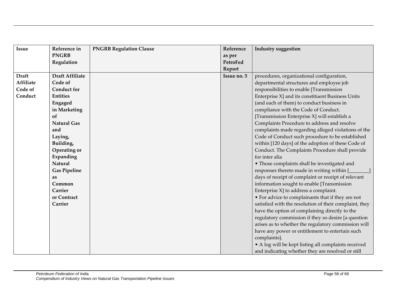| <b>Issue</b>     | Reference in           | <b>PNGRB Regulation Clause</b> | Reference   | <b>Industry suggestion</b>                             |
|------------------|------------------------|--------------------------------|-------------|--------------------------------------------------------|
|                  | <b>PNGRB</b>           |                                | as per      |                                                        |
|                  | Regulation             |                                | PetroFed    |                                                        |
|                  |                        |                                | Report      |                                                        |
| <b>Draft</b>     | <b>Draft Affiliate</b> |                                | Issue no. 5 | procedures, organizational configuration,              |
| <b>Affiliate</b> | Code of                |                                |             | departmental structures and employee job               |
| Code of          | <b>Conduct for</b>     |                                |             | responsibilities to enable [Transmission               |
| Conduct          | <b>Entities</b>        |                                |             | Enterprise X] and its constituent Business Units       |
|                  | Engaged                |                                |             | (and each of them) to conduct business in              |
|                  | in Marketing           |                                |             | compliance with the Code of Conduct.                   |
|                  | of                     |                                |             | [Transmission Enterprise X] will establish a           |
|                  | <b>Natural Gas</b>     |                                |             | Complaints Procedure to address and resolve            |
|                  | and                    |                                |             | complaints made regarding alleged violations of the    |
|                  | Laying,                |                                |             | Code of Conduct such procedure to be established       |
|                  | Building,              |                                |             | within [120 days] of the adoption of these Code of     |
|                  | Operating or           |                                |             | Conduct. The Complaints Procedure shall provide        |
|                  | Expanding              |                                |             | for inter alia                                         |
|                  | <b>Natural</b>         |                                |             | • Those complaints shall be investigated and           |
|                  | <b>Gas Pipeline</b>    |                                |             | responses thereto made in writing within [             |
|                  | as                     |                                |             | days of receipt of complaint or receipt of relevant    |
|                  | Common                 |                                |             | information sought to enable [Transmission             |
|                  | Carrier                |                                |             | Enterprise X] to address a complaint.                  |
|                  | or Contract            |                                |             | • For advice to complainants that if they are not      |
|                  | Carrier                |                                |             | satisfied with the resolution of their complaint, they |
|                  |                        |                                |             | have the option of complaining directly to the         |
|                  |                        |                                |             | regulatory commission if they so desire [a question    |
|                  |                        |                                |             | arises as to whether the regulatory commission will    |
|                  |                        |                                |             | have any power or entitlement to entertain such        |
|                  |                        |                                |             | complaints].                                           |
|                  |                        |                                |             | • A log will be kept listing all complaints received   |
|                  |                        |                                |             | and indicating whether they are resolved or still      |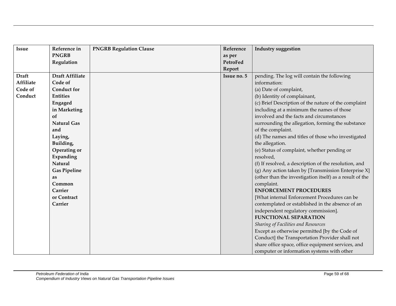| <b>Issue</b>     | Reference in           | <b>PNGRB Regulation Clause</b> | Reference   | Industry suggestion                                      |
|------------------|------------------------|--------------------------------|-------------|----------------------------------------------------------|
|                  | <b>PNGRB</b>           |                                | as per      |                                                          |
|                  | Regulation             |                                | PetroFed    |                                                          |
|                  |                        |                                | Report      |                                                          |
| <b>Draft</b>     | <b>Draft Affiliate</b> |                                | Issue no. 5 | pending. The log will contain the following              |
| <b>Affiliate</b> | Code of                |                                |             | information:                                             |
| Code of          | <b>Conduct for</b>     |                                |             | (a) Date of complaint,                                   |
| Conduct          | <b>Entities</b>        |                                |             | (b) Identity of complainant,                             |
|                  | Engaged                |                                |             | (c) Brief Description of the nature of the complaint     |
|                  | in Marketing           |                                |             | including at a minimum the names of those                |
|                  | of                     |                                |             | involved and the facts and circumstances                 |
|                  | <b>Natural Gas</b>     |                                |             | surrounding the allegation, forming the substance        |
|                  | and                    |                                |             | of the complaint.                                        |
|                  | Laying,                |                                |             | (d) The names and titles of those who investigated       |
|                  | Building,              |                                |             | the allegation.                                          |
|                  | Operating or           |                                |             | (e) Status of complaint, whether pending or              |
|                  | Expanding              |                                |             | resolved,                                                |
|                  | Natural                |                                |             | (f) If resolved, a description of the resolution, and    |
|                  | <b>Gas Pipeline</b>    |                                |             | $(g)$ Any action taken by [Transmission Enterprise X]    |
|                  | as                     |                                |             | (other than the investigation itself) as a result of the |
|                  | Common                 |                                |             | complaint.                                               |
|                  | Carrier                |                                |             | <b>ENFORCEMENT PROCEDURES</b>                            |
|                  | or Contract            |                                |             | [What internal Enforcement Procedures can be             |
|                  | Carrier                |                                |             | contemplated or established in the absence of an         |
|                  |                        |                                |             | independent regulatory commission].                      |
|                  |                        |                                |             | <b>FUNCTIONAL SEPARATION</b>                             |
|                  |                        |                                |             | Sharing of Facilities and Resources                      |
|                  |                        |                                |             | Except as otherwise permitted [by the Code of            |
|                  |                        |                                |             | Conduct] the Transportation Provider shall not           |
|                  |                        |                                |             | share office space, office equipment services, and       |
|                  |                        |                                |             | computer or information systems with other               |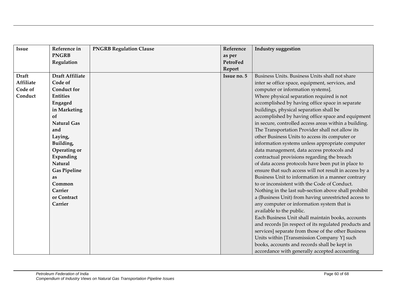| <b>Issue</b>     | Reference in           | <b>PNGRB Regulation Clause</b> | Reference   | <b>Industry suggestion</b>                             |
|------------------|------------------------|--------------------------------|-------------|--------------------------------------------------------|
|                  | <b>PNGRB</b>           |                                | as per      |                                                        |
|                  | Regulation             |                                | PetroFed    |                                                        |
|                  |                        |                                | Report      |                                                        |
| <b>Draft</b>     | <b>Draft Affiliate</b> |                                | Issue no. 5 | Business Units. Business Units shall not share         |
| <b>Affiliate</b> | Code of                |                                |             | inter se office space, equipment, services, and        |
| Code of          | <b>Conduct for</b>     |                                |             | computer or information systems].                      |
| Conduct          | <b>Entities</b>        |                                |             | Where physical separation required is not              |
|                  | Engaged                |                                |             | accomplished by having office space in separate        |
|                  | in Marketing           |                                |             | buildings, physical separation shall be                |
|                  | of                     |                                |             | accomplished by having office space and equipment      |
|                  | <b>Natural Gas</b>     |                                |             | in secure, controlled access areas within a building.  |
|                  | and                    |                                |             | The Transportation Provider shall not allow its        |
|                  | Laying,                |                                |             | other Business Units to access its computer or         |
|                  | Building,              |                                |             | information systems unless appropriate computer        |
|                  | Operating or           |                                |             | data management, data access protocols and             |
|                  | Expanding              |                                |             | contractual provisions regarding the breach            |
|                  | Natural                |                                |             | of data access protocols have been put in place to     |
|                  | <b>Gas Pipeline</b>    |                                |             | ensure that such access will not result in access by a |
|                  | as                     |                                |             | Business Unit to information in a manner contrary      |
|                  | Common                 |                                |             | to or inconsistent with the Code of Conduct.           |
|                  | Carrier                |                                |             | Nothing in the last sub-section above shall prohibit   |
|                  | or Contract            |                                |             | a (Business Unit) from having unrestricted access to   |
|                  | Carrier                |                                |             | any computer or information system that is             |
|                  |                        |                                |             | available to the public.                               |
|                  |                        |                                |             | Each Business Unit shall maintain books, accounts      |
|                  |                        |                                |             | and records [in respect of its regulated products and  |
|                  |                        |                                |             | services] separate from those of the other Business    |
|                  |                        |                                |             | Units within [Transmission Company Y] such             |
|                  |                        |                                |             | books, accounts and records shall be kept in           |
|                  |                        |                                |             | accordance with generally accepted accounting          |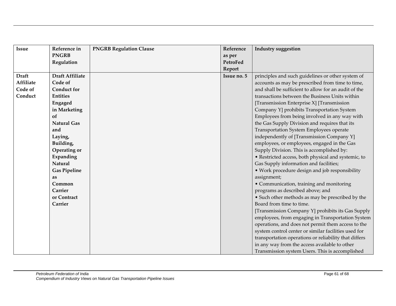| <b>Issue</b>     | Reference in           | <b>PNGRB Regulation Clause</b> | Reference   | <b>Industry suggestion</b>                            |
|------------------|------------------------|--------------------------------|-------------|-------------------------------------------------------|
|                  | <b>PNGRB</b>           |                                | as per      |                                                       |
|                  | Regulation             |                                | PetroFed    |                                                       |
|                  |                        |                                | Report      |                                                       |
| <b>Draft</b>     | <b>Draft Affiliate</b> |                                | Issue no. 5 | principles and such guidelines or other system of     |
| <b>Affiliate</b> | Code of                |                                |             | accounts as may be prescribed from time to time,      |
| Code of          | <b>Conduct for</b>     |                                |             | and shall be sufficient to allow for an audit of the  |
| Conduct          | <b>Entities</b>        |                                |             | transactions between the Business Units within        |
|                  | Engaged                |                                |             | [Transmission Enterprise X] [Transmission             |
|                  | in Marketing           |                                |             | Company Y] prohibits Transportation System            |
|                  | of                     |                                |             | Employees from being involved in any way with         |
|                  | <b>Natural Gas</b>     |                                |             | the Gas Supply Division and requires that its         |
|                  | and                    |                                |             | Transportation System Employees operate               |
|                  | Laying,                |                                |             | independently of [Transmission Company Y]             |
|                  | Building,              |                                |             | employees, or employees, engaged in the Gas           |
|                  | Operating or           |                                |             | Supply Division. This is accomplished by:             |
|                  | Expanding              |                                |             | • Restricted access, both physical and systemic, to   |
|                  | Natural                |                                |             | Gas Supply information and facilities;                |
|                  | <b>Gas Pipeline</b>    |                                |             | • Work procedure design and job responsibility        |
|                  | as                     |                                |             | assignment;                                           |
|                  | Common                 |                                |             | • Communication, training and monitoring              |
|                  | Carrier                |                                |             | programs as described above; and                      |
|                  | or Contract            |                                |             | • Such other methods as may be prescribed by the      |
|                  | Carrier                |                                |             | Board from time to time.                              |
|                  |                        |                                |             | [Transmission Company Y] prohibits its Gas Supply     |
|                  |                        |                                |             | employees, from engaging in Transportation System     |
|                  |                        |                                |             | operations, and does not permit them access to the    |
|                  |                        |                                |             | system control center or similar facilities used for  |
|                  |                        |                                |             | transportation operations or reliability that differs |
|                  |                        |                                |             | in any way from the access available to other         |
|                  |                        |                                |             | Transmission system Users. This is accomplished       |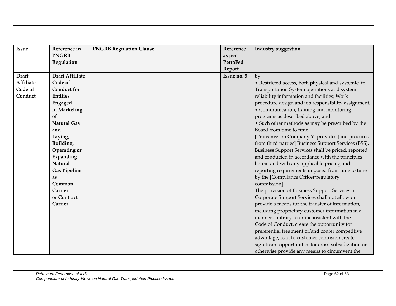| <b>Issue</b>     | Reference in           | <b>PNGRB Regulation Clause</b> | Reference   | <b>Industry suggestion</b>                           |
|------------------|------------------------|--------------------------------|-------------|------------------------------------------------------|
|                  | <b>PNGRB</b>           |                                | as per      |                                                      |
|                  | Regulation             |                                | PetroFed    |                                                      |
|                  |                        |                                | Report      |                                                      |
| <b>Draft</b>     | <b>Draft Affiliate</b> |                                | Issue no. 5 | by:                                                  |
| <b>Affiliate</b> | Code of                |                                |             | · Restricted access, both physical and systemic, to  |
| Code of          | <b>Conduct for</b>     |                                |             | Transportation System operations and system          |
| Conduct          | <b>Entities</b>        |                                |             | reliability information and facilities; Work         |
|                  | Engaged                |                                |             | procedure design and job responsibility assignment;  |
|                  | in Marketing           |                                |             | • Communication, training and monitoring             |
|                  | of                     |                                |             | programs as described above; and                     |
|                  | <b>Natural Gas</b>     |                                |             | • Such other methods as may be prescribed by the     |
|                  | and                    |                                |             | Board from time to time.                             |
|                  | Laying,                |                                |             | [Transmission Company Y] provides [and procures      |
|                  | Building,              |                                |             | from third parties] Business Support Services (BSS). |
|                  | Operating or           |                                |             | Business Support Services shall be priced, reported  |
|                  | Expanding              |                                |             | and conducted in accordance with the principles      |
|                  | Natural                |                                |             | herein and with any applicable pricing and           |
|                  | <b>Gas Pipeline</b>    |                                |             | reporting requirements imposed from time to time     |
|                  | as                     |                                |             | by the [Compliance Officer/regulatory                |
|                  | Common                 |                                |             | commission].                                         |
|                  | Carrier                |                                |             | The provision of Business Support Services or        |
|                  | or Contract            |                                |             | Corporate Support Services shall not allow or        |
|                  | Carrier                |                                |             | provide a means for the transfer of information,     |
|                  |                        |                                |             | including proprietary customer information in a      |
|                  |                        |                                |             | manner contrary to or inconsistent with the          |
|                  |                        |                                |             | Code of Conduct, create the opportunity for          |
|                  |                        |                                |             | preferential treatment or/and confer competitive     |
|                  |                        |                                |             | advantage, lead to customer confusion create         |
|                  |                        |                                |             | significant opportunities for cross-subsidization or |
|                  |                        |                                |             | otherwise provide any means to circumvent the        |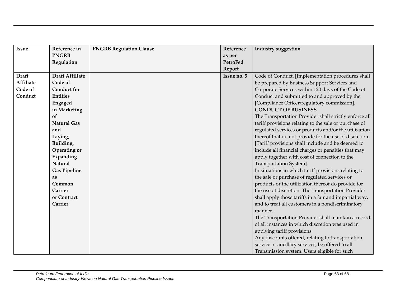| <b>Issue</b>     | Reference in           | <b>PNGRB Regulation Clause</b> | Reference   | <b>Industry suggestion</b>                             |
|------------------|------------------------|--------------------------------|-------------|--------------------------------------------------------|
|                  | <b>PNGRB</b>           |                                | as per      |                                                        |
|                  | Regulation             |                                | PetroFed    |                                                        |
|                  |                        |                                | Report      |                                                        |
| <b>Draft</b>     | <b>Draft Affiliate</b> |                                | Issue no. 5 | Code of Conduct. [Implementation procedures shall      |
| <b>Affiliate</b> | Code of                |                                |             | be prepared by Business Support Services and           |
| Code of          | <b>Conduct for</b>     |                                |             | Corporate Services within 120 days of the Code of      |
| Conduct          | <b>Entities</b>        |                                |             | Conduct and submitted to and approved by the           |
|                  | Engaged                |                                |             | [Compliance Officer/regulatory commission].            |
|                  | in Marketing           |                                |             | <b>CONDUCT OF BUSINESS</b>                             |
|                  | of                     |                                |             | The Transportation Provider shall strictly enforce all |
|                  | <b>Natural Gas</b>     |                                |             | tariff provisions relating to the sale or purchase of  |
|                  | and                    |                                |             | regulated services or products and/or the utilization  |
|                  | Laying,                |                                |             | thereof that do not provide for the use of discretion. |
|                  | Building,              |                                |             | [Tariff provisions shall include and be deemed to      |
|                  | Operating or           |                                |             | include all financial charges or penalties that may    |
|                  | Expanding              |                                |             | apply together with cost of connection to the          |
|                  | <b>Natural</b>         |                                |             | Transportation System].                                |
|                  | <b>Gas Pipeline</b>    |                                |             | In situations in which tariff provisions relating to   |
|                  | as                     |                                |             | the sale or purchase of regulated services or          |
|                  | Common                 |                                |             | products or the utilization thereof do provide for     |
|                  | Carrier                |                                |             | the use of discretion. The Transportation Provider     |
|                  | or Contract            |                                |             | shall apply those tariffs in a fair and impartial way, |
|                  | Carrier                |                                |             | and to treat all customers in a nondiscriminatory      |
|                  |                        |                                |             | manner.                                                |
|                  |                        |                                |             | The Transportation Provider shall maintain a record    |
|                  |                        |                                |             | of all instances in which discretion was used in       |
|                  |                        |                                |             | applying tariff provisions.                            |
|                  |                        |                                |             | Any discounts offered, relating to transportation      |
|                  |                        |                                |             | service or ancillary services, be offered to all       |
|                  |                        |                                |             | Transmission system. Users eligible for such           |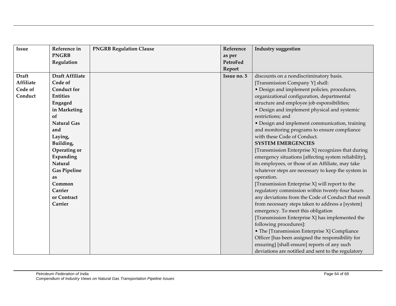| <b>Issue</b>     | Reference in           | <b>PNGRB Regulation Clause</b> | Reference   | <b>Industry suggestion</b>                           |
|------------------|------------------------|--------------------------------|-------------|------------------------------------------------------|
|                  | <b>PNGRB</b>           |                                | as per      |                                                      |
|                  | Regulation             |                                | PetroFed    |                                                      |
|                  |                        |                                | Report      |                                                      |
| <b>Draft</b>     | <b>Draft Affiliate</b> |                                | Issue no. 5 | discounts on a nondiscriminatory basis.              |
| <b>Affiliate</b> | Code of                |                                |             | [Transmission Company Y] shall:                      |
| Code of          | <b>Conduct for</b>     |                                |             | · Design and implement policies, procedures,         |
| Conduct          | <b>Entities</b>        |                                |             | organizational configuration, departmental           |
|                  | Engaged                |                                |             | structure and employee job esponsibilities;          |
|                  | in Marketing           |                                |             | • Design and implement physical and systemic         |
|                  | of                     |                                |             | restrictions; and                                    |
|                  | <b>Natural Gas</b>     |                                |             | • Design and implement communication, training       |
|                  | and                    |                                |             | and monitoring programs to ensure compliance         |
|                  | Laying,                |                                |             | with these Code of Conduct.                          |
|                  | Building,              |                                |             | <b>SYSTEM EMERGENCIES</b>                            |
|                  | Operating or           |                                |             | [Transmission Enterprise X] recognizes that during   |
|                  | Expanding              |                                |             | emergency situations [affecting system reliability], |
|                  | Natural                |                                |             | its employees, or those of an Affiliate, may take    |
|                  | <b>Gas Pipeline</b>    |                                |             | whatever steps are necessary to keep the system in   |
|                  | as                     |                                |             | operation.                                           |
|                  | Common                 |                                |             | [Transmission Enterprise X] will report to the       |
|                  | Carrier                |                                |             | regulatory commission within twenty-four hours       |
|                  | or Contract            |                                |             | any deviations from the Code of Conduct that result  |
|                  | Carrier                |                                |             | from necessary steps taken to address a [system]     |
|                  |                        |                                |             | emergency. To meet this obligation                   |
|                  |                        |                                |             | [Transmission Enterprise X] has implemented the      |
|                  |                        |                                |             | following procedures]:                               |
|                  |                        |                                |             | • The [Transmission Enterprise X] Compliance         |
|                  |                        |                                |             | Officer [has been assigned the responsibility for    |
|                  |                        |                                |             | ensuring] [shall ensure] reports of any such         |
|                  |                        |                                |             | deviations are notified and sent to the regulatory   |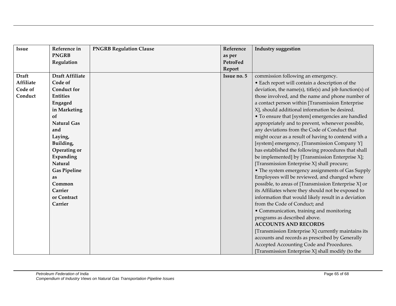| <b>Issue</b>     | Reference in           | <b>PNGRB Regulation Clause</b> | Reference   | <b>Industry suggestion</b>                              |
|------------------|------------------------|--------------------------------|-------------|---------------------------------------------------------|
|                  | <b>PNGRB</b>           |                                | as per      |                                                         |
|                  | Regulation             |                                | PetroFed    |                                                         |
|                  |                        |                                | Report      |                                                         |
| <b>Draft</b>     | <b>Draft Affiliate</b> |                                | Issue no. 5 | commission following an emergency.                      |
| <b>Affiliate</b> | Code of                |                                |             | • Each report will contain a description of the         |
| Code of          | <b>Conduct for</b>     |                                |             | deviation, the name(s), title(s) and job function(s) of |
| Conduct          | <b>Entities</b>        |                                |             | those involved, and the name and phone number of        |
|                  | Engaged                |                                |             | a contact person within [Transmission Enterprise        |
|                  | in Marketing           |                                |             | X], should additional information be desired.           |
|                  | of                     |                                |             | • To ensure that [system] emergencies are handled       |
|                  | <b>Natural Gas</b>     |                                |             | appropriately and to prevent, whenever possible,        |
|                  | and                    |                                |             | any deviations from the Code of Conduct that            |
|                  | Laying,                |                                |             | might occur as a result of having to contend with a     |
|                  | Building,              |                                |             | [system] emergency, [Transmission Company Y]            |
|                  | Operating or           |                                |             | has established the following procedures that shall     |
|                  | Expanding              |                                |             | be implemented] by [Transmission Enterprise X];         |
|                  | Natural                |                                |             | [Transmission Enterprise X] shall procure;              |
|                  | <b>Gas Pipeline</b>    |                                |             | • The system emergency assignments of Gas Supply        |
|                  | as                     |                                |             | Employees will be reviewed, and changed where           |
|                  | Common                 |                                |             | possible, to areas of [Transmission Enterprise X] or    |
|                  | Carrier                |                                |             | its Affiliates where they should not be exposed to      |
|                  | or Contract            |                                |             | information that would likely result in a deviation     |
|                  | Carrier                |                                |             | from the Code of Conduct; and                           |
|                  |                        |                                |             | • Communication, training and monitoring                |
|                  |                        |                                |             | programs as described above.                            |
|                  |                        |                                |             | <b>ACCOUNTS AND RECORDS</b>                             |
|                  |                        |                                |             | [Transmission Enterprise X] currently maintains its     |
|                  |                        |                                |             | accounts and records as prescribed by Generally         |
|                  |                        |                                |             | Accepted Accounting Code and Procedures.                |
|                  |                        |                                |             | [Transmission Enterprise X] shall modify (to the        |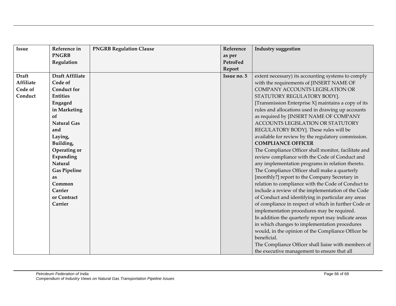| <b>Issue</b>     | Reference in           | <b>PNGRB Regulation Clause</b> | Reference   | <b>Industry suggestion</b>                           |
|------------------|------------------------|--------------------------------|-------------|------------------------------------------------------|
|                  | <b>PNGRB</b>           |                                | as per      |                                                      |
|                  | Regulation             |                                | PetroFed    |                                                      |
|                  |                        |                                | Report      |                                                      |
| <b>Draft</b>     | <b>Draft Affiliate</b> |                                | Issue no. 5 | extent necessary) its accounting systems to comply   |
| <b>Affiliate</b> | Code of                |                                |             | with the requirements of [INSERT NAME OF             |
| Code of          | <b>Conduct for</b>     |                                |             | COMPANY ACCOUNTS LEGISLATION OR                      |
| Conduct          | <b>Entities</b>        |                                |             | STATUTORY REGULATORY BODY].                          |
|                  | Engaged                |                                |             | [Transmission Enterprise X] maintains a copy of its  |
|                  | in Marketing           |                                |             | rules and allocations used in drawing up accounts    |
|                  | of                     |                                |             | as required by [INSERT NAME OF COMPANY               |
|                  | <b>Natural Gas</b>     |                                |             | ACCOUNTS LEGISLATION OR STATUTORY                    |
|                  | and                    |                                |             | REGULATORY BODY]. These rules will be                |
|                  | Laying,                |                                |             | available for review by the regulatory commission.   |
|                  | Building,              |                                |             | <b>COMPLIANCE OFFICER</b>                            |
|                  | Operating or           |                                |             | The Compliance Officer shall monitor, facilitate and |
|                  | Expanding              |                                |             | review compliance with the Code of Conduct and       |
|                  | Natural                |                                |             | any implementation programs in relation thereto.     |
|                  | <b>Gas Pipeline</b>    |                                |             | The Compliance Officer shall make a quarterly        |
|                  | as                     |                                |             | [monthly?] report to the Company Secretary in        |
|                  | Common                 |                                |             | relation to compliance with the Code of Conduct to   |
|                  | Carrier                |                                |             | include a review of the implementation of the Code   |
|                  | or Contract            |                                |             | of Conduct and identifying in particular any areas   |
|                  | Carrier                |                                |             | of compliance in respect of which in further Code or |
|                  |                        |                                |             | implementation procedures may be required.           |
|                  |                        |                                |             | In addition the quarterly report may indicate areas  |
|                  |                        |                                |             | in which changes to implementation procedures        |
|                  |                        |                                |             | would, in the opinion of the Compliance Officer be   |
|                  |                        |                                |             | beneficial.                                          |
|                  |                        |                                |             | The Compliance Officer shall liaise with members of  |
|                  |                        |                                |             | the executive management to ensure that all          |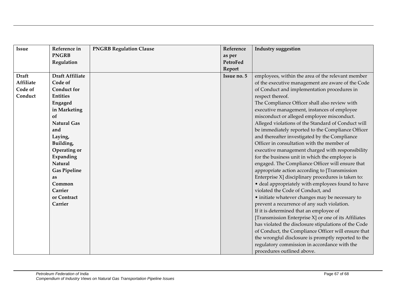| <b>Issue</b>     | Reference in           | <b>PNGRB Regulation Clause</b> | Reference   | <b>Industry suggestion</b>                           |
|------------------|------------------------|--------------------------------|-------------|------------------------------------------------------|
|                  | <b>PNGRB</b>           |                                | as per      |                                                      |
|                  | Regulation             |                                | PetroFed    |                                                      |
|                  |                        |                                | Report      |                                                      |
| <b>Draft</b>     | <b>Draft Affiliate</b> |                                | Issue no. 5 | employees, within the area of the relevant member    |
| <b>Affiliate</b> | Code of                |                                |             | of the executive management are aware of the Code    |
| Code of          | <b>Conduct for</b>     |                                |             | of Conduct and implementation procedures in          |
| Conduct          | <b>Entities</b>        |                                |             | respect thereof.                                     |
|                  | Engaged                |                                |             | The Compliance Officer shall also review with        |
|                  | in Marketing           |                                |             | executive management, instances of employee          |
|                  | of                     |                                |             | misconduct or alleged employee misconduct.           |
|                  | <b>Natural Gas</b>     |                                |             | Alleged violations of the Standard of Conduct will   |
|                  | and                    |                                |             | be immediately reported to the Compliance Officer    |
|                  | Laying,                |                                |             | and thereafter investigated by the Compliance        |
|                  | Building,              |                                |             | Officer in consultation with the member of           |
|                  | Operating or           |                                |             | executive management charged with responsibility     |
|                  | Expanding              |                                |             | for the business unit in which the employee is       |
|                  | Natural                |                                |             | engaged. The Compliance Officer will ensure that     |
|                  | <b>Gas Pipeline</b>    |                                |             | appropriate action according to [Transmission        |
|                  | as                     |                                |             | Enterprise X] disciplinary procedures is taken to:   |
|                  | Common                 |                                |             | · deal appropriately with employees found to have    |
|                  | Carrier                |                                |             | violated the Code of Conduct, and                    |
|                  | or Contract            |                                |             | • initiate whatever changes may be necessary to      |
|                  | Carrier                |                                |             | prevent a recurrence of any such violation.          |
|                  |                        |                                |             | If it is determined that an employee of              |
|                  |                        |                                |             | [Transmission Enterprise X] or one of its Affiliates |
|                  |                        |                                |             | has violated the disclosure stipulations of the Code |
|                  |                        |                                |             | of Conduct, the Compliance Officer will ensure that  |
|                  |                        |                                |             | the wrongful disclosure is promptly reported to the  |
|                  |                        |                                |             | regulatory commission in accordance with the         |
|                  |                        |                                |             | procedures outlined above.                           |